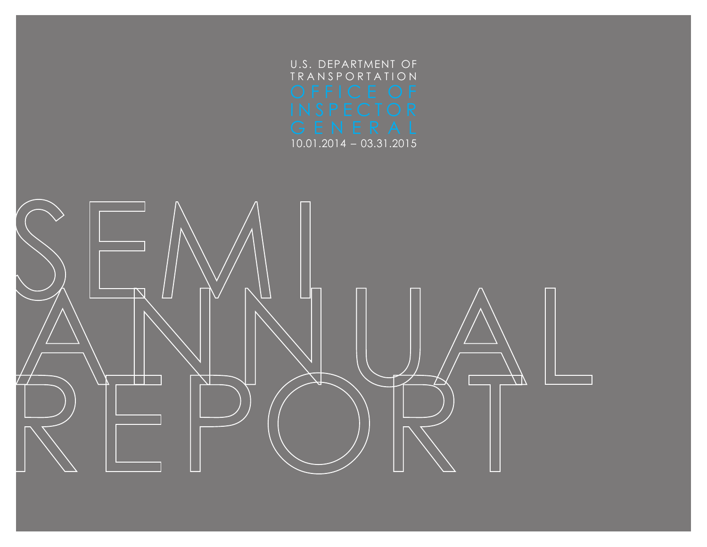

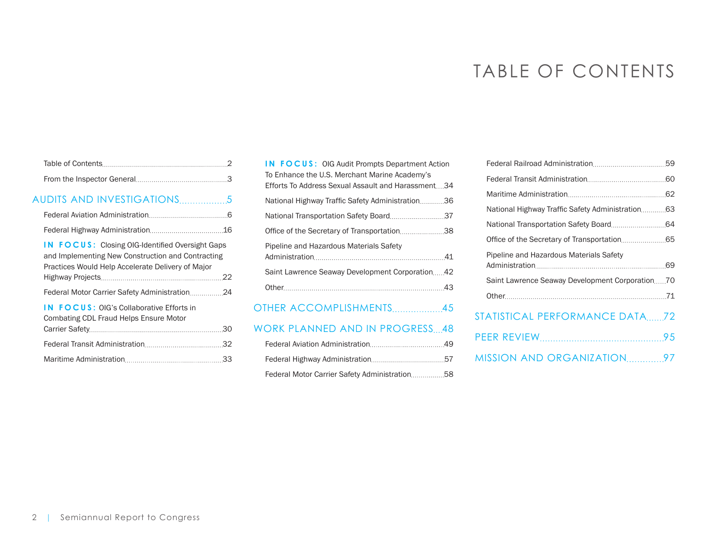# TABLE OF CONTENTS

| AUDITS AND INVESTIGATIONS5                                                                                                                                       |  |
|------------------------------------------------------------------------------------------------------------------------------------------------------------------|--|
|                                                                                                                                                                  |  |
|                                                                                                                                                                  |  |
| <b>IN FOCUS:</b> Closing OIG-Identified Oversight Gaps<br>and Implementing New Construction and Contracting<br>Practices Would Help Accelerate Delivery of Major |  |
|                                                                                                                                                                  |  |
| <b>IN FOCUS: OIG's Collaborative Efforts in</b><br>Combating CDL Fraud Helps Ensure Motor                                                                        |  |
|                                                                                                                                                                  |  |
|                                                                                                                                                                  |  |
|                                                                                                                                                                  |  |

| <b>IN FOCUS: OIG Audit Prompts Department Action</b><br>To Enhance the U.S. Merchant Marine Academy's |  |  |  |
|-------------------------------------------------------------------------------------------------------|--|--|--|
| Efforts To Address Sexual Assault and Harassment34                                                    |  |  |  |
| National Highway Traffic Safety Administration36                                                      |  |  |  |
|                                                                                                       |  |  |  |
| Office of the Secretary of Transportation38                                                           |  |  |  |
| Pipeline and Hazardous Materials Safety                                                               |  |  |  |
|                                                                                                       |  |  |  |
| Saint Lawrence Seaway Development Corporation42                                                       |  |  |  |
|                                                                                                       |  |  |  |
|                                                                                                       |  |  |  |

[OTHER](#page-44-0) [ACCOMPLISHMENTS](#page-44-0)................... 45

# [WORK PLANNED](#page-47-0) [AND IN PROGRESS](#page-47-0)....48

| Federal Motor Carrier Safety Administration58 |  |
|-----------------------------------------------|--|

| Pipeline and Hazardous Materials Safety         |
|-------------------------------------------------|
|                                                 |
| Saint Lawrence Seaway Development Corporation70 |
|                                                 |
| $\overline{1}$                                  |

# [STATISTICAL](#page-71-0) [PERFORMANCE DATA](#page-71-0).......72

| MISSION AND ORGANIZATION97 |  |
|----------------------------|--|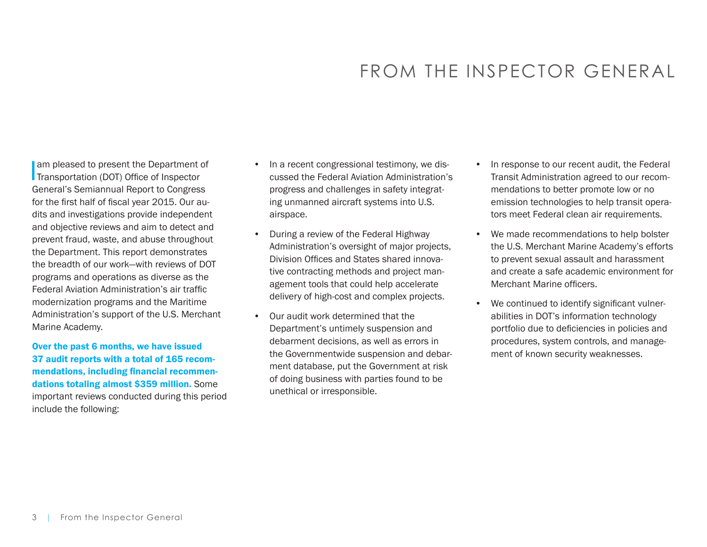# FROM THE INSPECTOR GENERAL

<span id="page-2-0"></span>am pleased to present the Department of<br>Transportation (DOT) Office of Inspector am pleased to present the Department of General's Semiannual Report to Congress for the first half of fiscal year 2015. Our audits and investigations provide independent and objective reviews and aim to detect and prevent fraud, waste, and abuse throughout the Department. This report demonstrates the breadth of our work—with reviews of DOT programs and operations as diverse as the Federal Aviation Administration's air traffic modernization programs and the Maritime Administration's support of the U.S. Merchant Marine Academy.

# Over the past 6 months, we have issued 37 audit reports with a total of 165 recommendations, including financial recommendations totaling almost \$359 million. Some important reviews conducted during this period include the following:

- In a recent congressional testimony, we discussed the Federal Aviation Administration's progress and challenges in safety integrating unmanned aircraft systems into U.S. airspace.
- During a review of the Federal Highway Administration's oversight of major projects, Division Offices and States shared innovative contracting methods and project management tools that could help accelerate delivery of high-cost and complex projects.
- Our audit work determined that the Department's untimely suspension and debarment decisions, as well as errors in the Governmentwide suspension and debarment database, put the Government at risk of doing business with parties found to be unethical or irresponsible.
- In response to our recent audit, the Federal Transit Administration agreed to our recommendations to better promote low or no emission technologies to help transit operators meet Federal clean air requirements.
- We made recommendations to help bolster the U.S. Merchant Marine Academy's efforts to prevent sexual assault and harassment and create a safe academic environment for Merchant Marine officers.
- We continued to identify significant vulnerabilities in DOT's information technology portfolio due to deficiencies in policies and procedures, system controls, and management of known security weaknesses.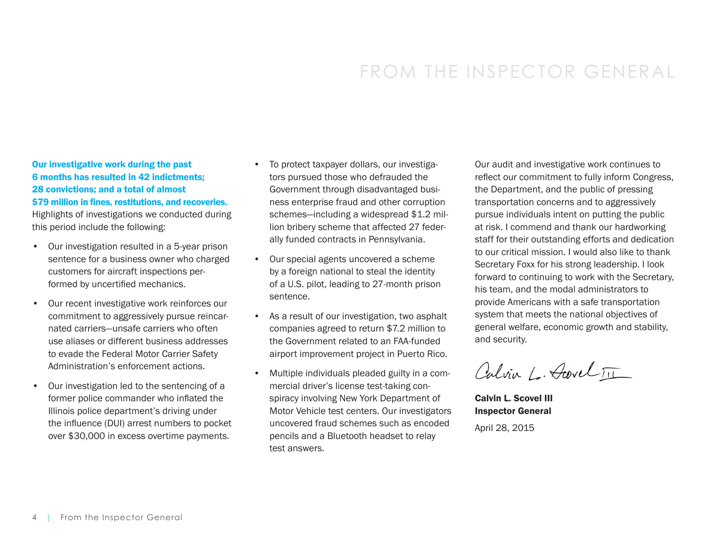# FROM THE INSPECTOR GENERAL

Our investigative work during the past 6 months has resulted in 42 indictments; 28 convictions; and a total of almost \$79 million in fines, restitutions, and recoveries. Highlights of investigations we conducted during

this period include the following:

- Our investigation resulted in a 5-year prison sentence for a business owner who charged customers for aircraft inspections performed by uncertified mechanics.
- Our recent investigative work reinforces our commitment to aggressively pursue reincarnated carriers—unsafe carriers who often use aliases or different business addresses to evade the Federal Motor Carrier Safety Administration's enforcement actions.
- Our investigation led to the sentencing of a former police commander who inflated the Illinois police department's driving under the influence (DUI) arrest numbers to pocket over \$30,000 in excess overtime payments.
- To protect taxpayer dollars, our investigators pursued those who defrauded the Government through disadvantaged business enterprise fraud and other corruption schemes—including a widespread \$1.2 million bribery scheme that affected 27 federally funded contracts in Pennsylvania.
- Our special agents uncovered a scheme by a foreign national to steal the identity of a U.S. pilot, leading to 27-month prison sentence.
- As a result of our investigation, two asphalt companies agreed to return \$7.2 million to the Government related to an FAA-funded airport improvement project in Puerto Rico.
- Multiple individuals pleaded guilty in a commercial driver's license test-taking conspiracy involving New York Department of Motor Vehicle test centers. Our investigators uncovered fraud schemes such as encoded pencils and a Bluetooth headset to relay test answers.

Our audit and investigative work continues to reflect our commitment to fully inform Congress, the Department, and the public of pressing transportation concerns and to aggressively pursue individuals intent on putting the public at risk. I commend and thank our hardworking staff for their outstanding efforts and dedication to our critical mission. I would also like to thank Secretary Foxx for his strong leadership. I look forward to continuing to work with the Secretary, his team, and the modal administrators to provide Americans with a safe transportation system that meets the national objectives of general welfare, economic growth and stability, and security.

Calvin L. Acevel III

Calvin L. Scovel III Inspector General

April 28, 2015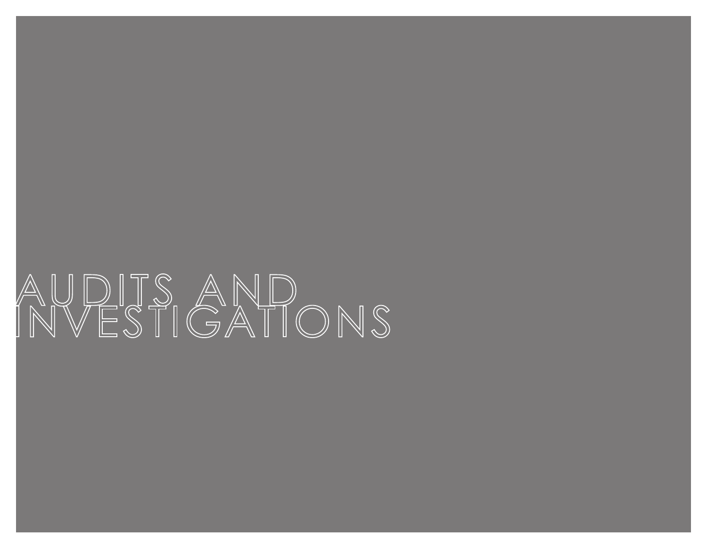# AUDITS AND<br>INVESTIGATIONS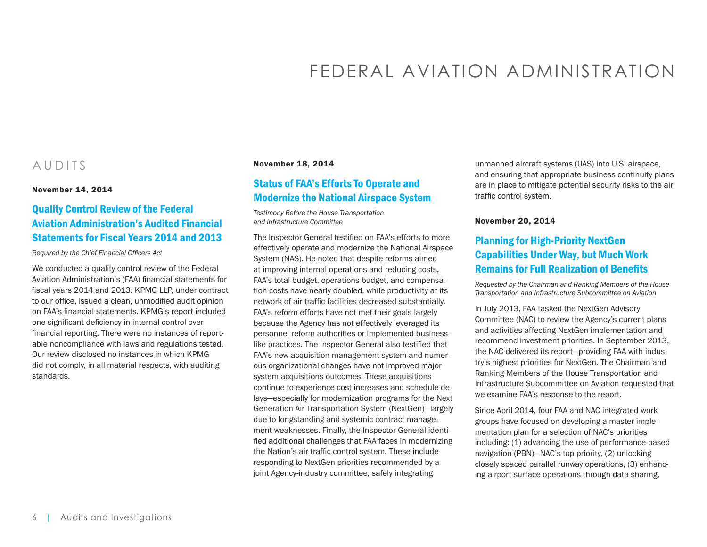# FEDERAL AVIATION ADMINISTRATION

# <span id="page-5-0"></span>AUDITS

November 14, 2014

# [Quality Control Review of the Federal](https://www.oig.dot.gov/library-item/32269)  [Aviation Administration's Audited Financial](https://www.oig.dot.gov/library-item/32269)  [Statements for Fiscal Years 2014 and 2013](https://www.oig.dot.gov/library-item/32269)

*Required by the Chief Financial Officers Act*

We conducted a quality control review of the Federal Aviation Administration's (FAA) financial statements for fiscal years 2014 and 2013. KPMG LLP, under contract to our office, issued a clean, unmodified audit opinion on FAA's financial statements. KPMG's report included one significant deficiency in internal control over financial reporting. There were no instances of reportable noncompliance with laws and regulations tested. Our review disclosed no instances in which KPMG did not comply, in all material respects, with auditing standards.

#### November 18, 2014

# [Status of FAA's Efforts To Operate and](https://www.oig.dot.gov/library-item/32251)  [Modernize the National Airspace System](https://www.oig.dot.gov/library-item/32251)

*Testimony Before the House Transportation and Infrastructure Committee*

The Inspector General testified on FAA's efforts to more effectively operate and modernize the National Airspace System (NAS). He noted that despite reforms aimed at improving internal operations and reducing costs, FAA's total budget, operations budget, and compensation costs have nearly doubled, while productivity at its network of air traffic facilities decreased substantially. FAA's reform efforts have not met their goals largely because the Agency has not effectively leveraged its personnel reform authorities or implemented businesslike practices. The Inspector General also testified that FAA's new acquisition management system and numerous organizational changes have not improved major system acquisitions outcomes. These acquisitions continue to experience cost increases and schedule delays—especially for modernization programs for the Next Generation Air Transportation System (NextGen)—largely due to longstanding and systemic contract management weaknesses. Finally, the Inspector General identified additional challenges that FAA faces in modernizing the Nation's air traffic control system. These include responding to NextGen priorities recommended by a joint Agency-industry committee, safely integrating

unmanned aircraft systems (UAS) into U.S. airspace, and ensuring that appropriate business continuity plans are in place to mitigate potential security risks to the air traffic control system.

#### November 20, 2014

# [Planning for High-Priority NextGen](https://www.oig.dot.gov/library-item/32252)  [Capabilities Under Way, but Much Work](https://www.oig.dot.gov/library-item/32252)  [Remains for Full Realization of Benefits](https://www.oig.dot.gov/library-item/32252)

*Requested by the Chairman and Ranking Members of the House Transportation and Infrastructure Subcommittee on Aviation*

In July 2013, FAA tasked the NextGen Advisory Committee (NAC) to review the Agency's current plans and activities affecting NextGen implementation and recommend investment priorities. In September 2013, the NAC delivered its report—providing FAA with industry's highest priorities for NextGen. The Chairman and Ranking Members of the House Transportation and Infrastructure Subcommittee on Aviation requested that we examine FAA's response to the report.

Since April 2014, four FAA and NAC integrated work groups have focused on developing a master implementation plan for a selection of NAC's priorities including: (1) advancing the use of performance-based navigation (PBN)—NAC's top priority, (2) unlocking closely spaced parallel runway operations, (3) enhancing airport surface operations through data sharing,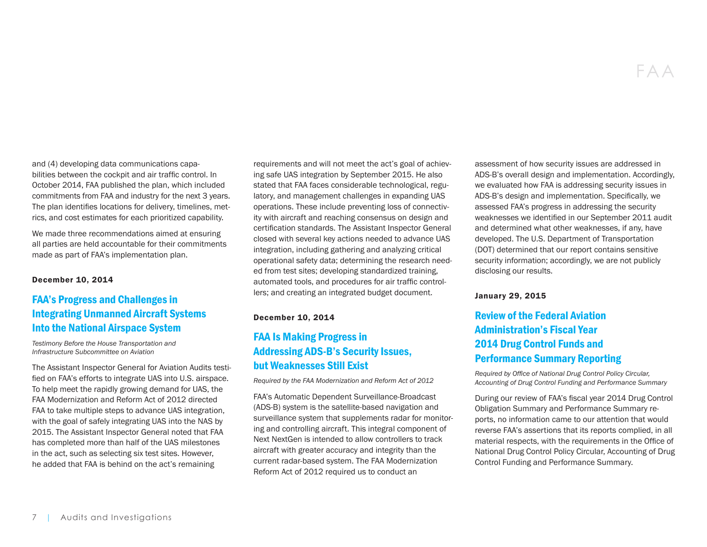and (4) developing data communications capabilities between the cockpit and air traffic control. In October 2014, FAA published the plan, which included commitments from FAA and industry for the next 3 years. The plan identifies locations for delivery, timelines, metrics, and cost estimates for each prioritized capability.

We made three recommendations aimed at ensuring all parties are held accountable for their commitments made as part of FAA's implementation plan.

#### December 10, 2014

# [FAA's Progress and Challenges in](https://www.oig.dot.gov/library-item/32268)  [Integrating Unmanned Aircraft Systems](https://www.oig.dot.gov/library-item/32268)  [Into the National Airspace System](https://www.oig.dot.gov/library-item/32268)

*Testimony Before the House Transportation and Infrastructure Subcommittee on Aviation*

The Assistant Inspector General for Aviation Audits testified on FAA's efforts to integrate UAS into U.S. airspace. To help meet the rapidly growing demand for UAS, the FAA Modernization and Reform Act of 2012 directed FAA to take multiple steps to advance UAS integration, with the goal of safely integrating UAS into the NAS by 2015. The Assistant Inspector General noted that FAA has completed more than half of the UAS milestones in the act, such as selecting six test sites. However, he added that FAA is behind on the act's remaining

requirements and will not meet the act's goal of achieving safe UAS integration by September 2015. He also stated that FAA faces considerable technological, regulatory, and management challenges in expanding UAS operations. These include preventing loss of connectivity with aircraft and reaching consensus on design and certification standards. The Assistant Inspector General closed with several key actions needed to advance UAS integration, including gathering and analyzing critical operational safety data; determining the research needed from test sites; developing standardized training, automated tools, and procedures for air traffic controllers; and creating an integrated budget document.

#### December 10, 2014

# [FAA Is Making Progress in](https://www.oig.dot.gov/library-item/32387)  [Addressing ADS-B's Security Issues,](https://www.oig.dot.gov/library-item/32387)  [but Weaknesses Still Exist](https://www.oig.dot.gov/library-item/32387)

*Required by the FAA Modernization and Reform Act of 2012*

FAA's Automatic Dependent Surveillance-Broadcast (ADS-B) system is the satellite-based navigation and surveillance system that supplements radar for monitoring and controlling aircraft. This integral component of Next NextGen is intended to allow controllers to track aircraft with greater accuracy and integrity than the current radar-based system. The FAA Modernization Reform Act of 2012 required us to conduct an

assessment of how security issues are addressed in ADS-B's overall design and implementation. Accordingly, we evaluated how FAA is addressing security issues in ADS-B's design and implementation. Specifically, we assessed FAA's progress in addressing the security weaknesses we identified in our September 2011 audit and determined what other weaknesses, if any, have developed. The U.S. Department of Transportation (DOT) determined that our report contains sensitive security information; accordingly, we are not publicly disclosing our results.

#### January 29, 2015

# [Review of the Federal Aviation](https://www.oig.dot.gov/library-item/32347)  [Administration's Fiscal Year](https://www.oig.dot.gov/library-item/32347)  [2014 Drug Control Funds and](https://www.oig.dot.gov/library-item/32347)  [Performance Summary Reporting](https://www.oig.dot.gov/library-item/32347)

*Required by Office of National Drug Control Policy Circular, Accounting of Drug Control Funding and Performance Summary*

During our review of FAA's fiscal year 2014 Drug Control Obligation Summary and Performance Summary reports, no information came to our attention that would reverse FAA's assertions that its reports complied, in all material respects, with the requirements in the Office of National Drug Control Policy Circular, Accounting of Drug Control Funding and Performance Summary.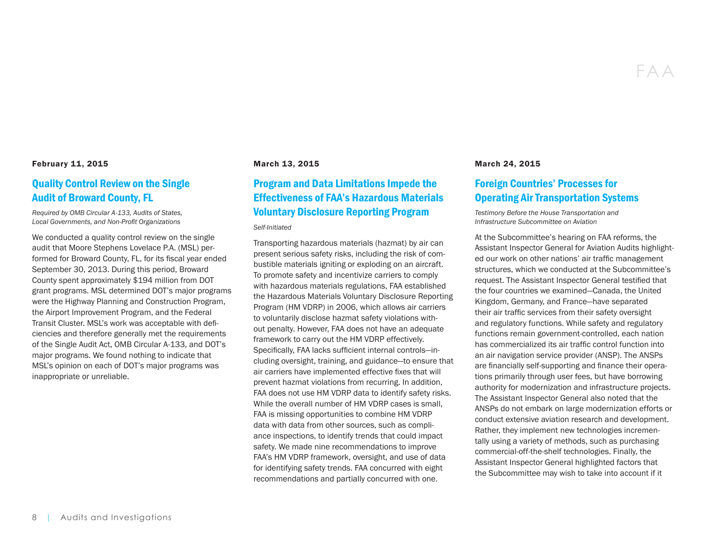#### February 11, 2015

# [Quality Control Review on the Single](https://www.oig.dot.gov/library-item/32362)  [Audit of Broward County, FL](https://www.oig.dot.gov/library-item/32362)

*Required by OMB Circular A-133, Audits of States, Local Governments, and Non-Profit Organizations*

We conducted a quality control review on the single audit that Moore Stephens Lovelace P.A. (MSL) performed for Broward County, FL, for its fiscal year ended September 30, 2013. During this period, Broward County spent approximately \$194 million from DOT grant programs. MSL determined DOT's major programs were the Highway Planning and Construction Program, the Airport Improvement Program, and the Federal Transit Cluster. MSL's work was acceptable with deficiencies and therefore generally met the requirements of the Single Audit Act, OMB Circular A-133, and DOT's major programs. We found nothing to indicate that MSL's opinion on each of DOT's major programs was inappropriate or unreliable.

#### March 13, 2015

# [Program and Data Limitations Impede the](https://www.oig.dot.gov/library-item/32411)  [Effectiveness of FAA's Hazardous Materials](https://www.oig.dot.gov/library-item/32411)  [Voluntary Disclosure Reporting Program](https://www.oig.dot.gov/library-item/32411)

#### *Self-Initiated*

Transporting hazardous materials (hazmat) by air can present serious safety risks, including the risk of combustible materials igniting or exploding on an aircraft. To promote safety and incentivize carriers to comply with hazardous materials regulations, FAA established the Hazardous Materials Voluntary Disclosure Reporting Program (HM VDRP) in 2006, which allows air carriers to voluntarily disclose hazmat safety violations without penalty. However, FAA does not have an adequate framework to carry out the HM VDRP effectively. Specifically, FAA lacks sufficient internal controls—including oversight, training, and guidance—to ensure that air carriers have implemented effective fixes that will prevent hazmat violations from recurring. In addition, FAA does not use HM VDRP data to identify safety risks. While the overall number of HM VDRP cases is small, FAA is missing opportunities to combine HM VDRP data with data from other sources, such as compliance inspections, to identify trends that could impact safety. We made nine recommendations to improve FAA's HM VDRP framework, oversight, and use of data for identifying safety trends. FAA concurred with eight recommendations and partially concurred with one.

#### March 24, 2015

# [Foreign Countries' Processes for](https://www.oig.dot.gov/library-item/32436)  [Operating Air Transportation Systems](https://www.oig.dot.gov/library-item/32436)

*Testimony Before the House Transportation and Infrastructure Subcommittee on Aviation*

At the Subcommittee's hearing on FAA reforms, the Assistant Inspector General for Aviation Audits highlighted our work on other nations' air traffic management structures, which we conducted at the Subcommittee's request. The Assistant Inspector General testified that the four countries we examined—Canada, the United Kingdom, Germany, and France—have separated their air traffic services from their safety oversight and regulatory functions. While safety and regulatory functions remain government-controlled, each nation has commercialized its air traffic control function into an air navigation service provider (ANSP). The ANSPs are financially self-supporting and finance their operations primarily through user fees, but have borrowing authority for modernization and infrastructure projects. The Assistant Inspector General also noted that the ANSPs do not embark on large modernization efforts or conduct extensive aviation research and development. Rather, they implement new technologies incrementally using a variety of methods, such as purchasing commercial-off-the-shelf technologies. Finally, the Assistant Inspector General highlighted factors that the Subcommittee may wish to take into account if it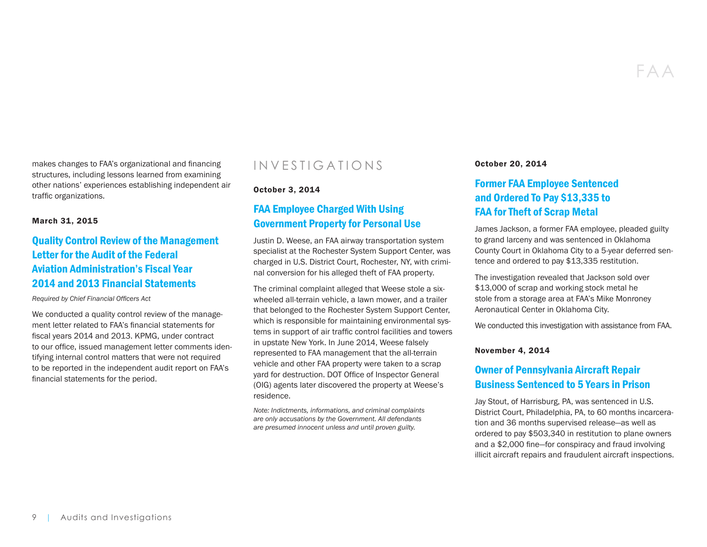FAA

makes changes to FAA's organizational and financing structures, including lessons learned from examining other nations' experiences establishing independent air traffic organizations.

#### March 31, 2015

# [Quality Control Review of the Management](https://www.oig.dot.gov/library-item/32444)  [Letter for the Audit of the Federal](https://www.oig.dot.gov/library-item/32444)  [Aviation Administration's Fiscal Year](https://www.oig.dot.gov/library-item/32444)  [2014 and 2013 Financial Statements](https://www.oig.dot.gov/library-item/32444)

*Required by Chief Financial Officers Act*

We conducted a quality control review of the management letter related to FAA's financial statements for fiscal years 2014 and 2013. KPMG, under contract to our office, issued management letter comments identifying internal control matters that were not required to be reported in the independent audit report on FAA's financial statements for the period.

# INVESTIGATIONS

#### October 3, 2014

# [FAA Employee Charged With Using](https://www.oig.dot.gov/library-item/32189)  [Government Property for Personal Use](https://www.oig.dot.gov/library-item/32189)

Justin D. Weese, an FAA airway transportation system specialist at the Rochester System Support Center, was charged in U.S. District Court, Rochester, NY, with criminal conversion for his alleged theft of FAA property.

The criminal complaint alleged that Weese stole a sixwheeled all-terrain vehicle, a lawn mower, and a trailer that belonged to the Rochester System Support Center, which is responsible for maintaining environmental systems in support of air traffic control facilities and towers in upstate New York. In June 2014, Weese falsely represented to FAA management that the all-terrain vehicle and other FAA property were taken to a scrap yard for destruction. DOT Office of Inspector General (OIG) agents later discovered the property at Weese's residence.

*Note: Indictments, informations, and criminal complaints are only accusations by the Government. All defendants are presumed innocent unless and until proven guilty.* 

October 20, 2014

# [Former FAA Employee Sentenced](https://www.oig.dot.gov/library-item/32213)  [and Ordered To Pay \\$13,335 to](https://www.oig.dot.gov/library-item/32213)  [FAA for Theft of Scrap Metal](https://www.oig.dot.gov/library-item/32213)

James Jackson, a former FAA employee, pleaded guilty to grand larceny and was sentenced in Oklahoma County Court in Oklahoma City to a 5-year deferred sentence and ordered to pay \$13,335 restitution.

The investigation revealed that Jackson sold over \$13,000 of scrap and working stock metal he stole from a storage area at FAA's Mike Monroney Aeronautical Center in Oklahoma City.

We conducted this investigation with assistance from FAA.

#### November 4, 2014

# [Owner of Pennsylvania Aircraft Repair](https://www.oig.dot.gov/library-item/32239)  [Business Sentenced to 5 Years in Prison](https://www.oig.dot.gov/library-item/32239)

Jay Stout, of Harrisburg, PA, was sentenced in U.S. District Court, Philadelphia, PA, to 60 months incarceration and 36 months supervised release—as well as ordered to pay \$503,340 in restitution to plane owners and a \$2,000 fine—for conspiracy and fraud involving illicit aircraft repairs and fraudulent aircraft inspections.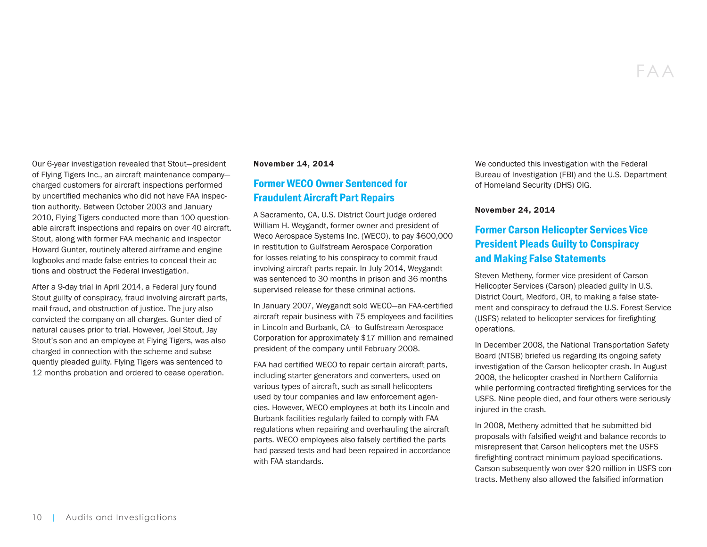Our 6-year investigation revealed that Stout—president of Flying Tigers Inc., an aircraft maintenance company charged customers for aircraft inspections performed by uncertified mechanics who did not have FAA inspection authority. Between October 2003 and January 2010, Flying Tigers conducted more than 100 questionable aircraft inspections and repairs on over 40 aircraft. Stout, along with former FAA mechanic and inspector Howard Gunter, routinely altered airframe and engine logbooks and made false entries to conceal their actions and obstruct the Federal investigation.

After a 9-day trial in April 2014, a Federal jury found Stout guilty of conspiracy, fraud involving aircraft parts, mail fraud, and obstruction of justice. The jury also convicted the company on all charges. Gunter died of natural causes prior to trial. However, Joel Stout, Jay Stout's son and an employee at Flying Tigers, was also charged in connection with the scheme and subsequently pleaded guilty. Flying Tigers was sentenced to 12 months probation and ordered to cease operation.

#### November 14, 2014

## [Former WECO Owner Sentenced for](https://www.oig.dot.gov/library-item/32257)  [Fraudulent Aircraft Part Repairs](https://www.oig.dot.gov/library-item/32257)

A Sacramento, CA, U.S. District Court judge ordered William H. Weygandt, former owner and president of Weco Aerospace Systems Inc. (WECO), to pay \$600,000 in restitution to Gulfstream Aerospace Corporation for losses relating to his conspiracy to commit fraud involving aircraft parts repair. In July 2014, Weygandt was sentenced to 30 months in prison and 36 months supervised release for these criminal actions.

In January 2007, Weygandt sold WECO—an FAA-certified aircraft repair business with 75 employees and facilities in Lincoln and Burbank, CA—to Gulfstream Aerospace Corporation for approximately \$17 million and remained president of the company until February 2008.

FAA had certified WECO to repair certain aircraft parts, including starter generators and converters, used on various types of aircraft, such as small helicopters used by tour companies and law enforcement agencies. However, WECO employees at both its Lincoln and Burbank facilities regularly failed to comply with FAA regulations when repairing and overhauling the aircraft parts. WECO employees also falsely certified the parts had passed tests and had been repaired in accordance with FAA standards.

We conducted this investigation with the Federal Bureau of Investigation (FBI) and the U.S. Department of Homeland Security (DHS) OIG.

#### November 24, 2014

# [Former Carson Helicopter Services Vice](https://www.oig.dot.gov/library-item/32263)  [President Pleads Guilty to Conspiracy](https://www.oig.dot.gov/library-item/32263)  [and Making False Statements](https://www.oig.dot.gov/library-item/32263)

Steven Metheny, former vice president of Carson Helicopter Services (Carson) pleaded guilty in U.S. District Court, Medford, OR, to making a false statement and conspiracy to defraud the U.S. Forest Service (USFS) related to helicopter services for firefighting operations.

In December 2008, the National Transportation Safety Board (NTSB) briefed us regarding its ongoing safety investigation of the Carson helicopter crash. In August 2008, the helicopter crashed in Northern California while performing contracted firefighting services for the USFS. Nine people died, and four others were seriously injured in the crash.

In 2008, Metheny admitted that he submitted bid proposals with falsified weight and balance records to misrepresent that Carson helicopters met the USFS firefighting contract minimum payload specifications. Carson subsequently won over \$20 million in USFS contracts. Metheny also allowed the falsified information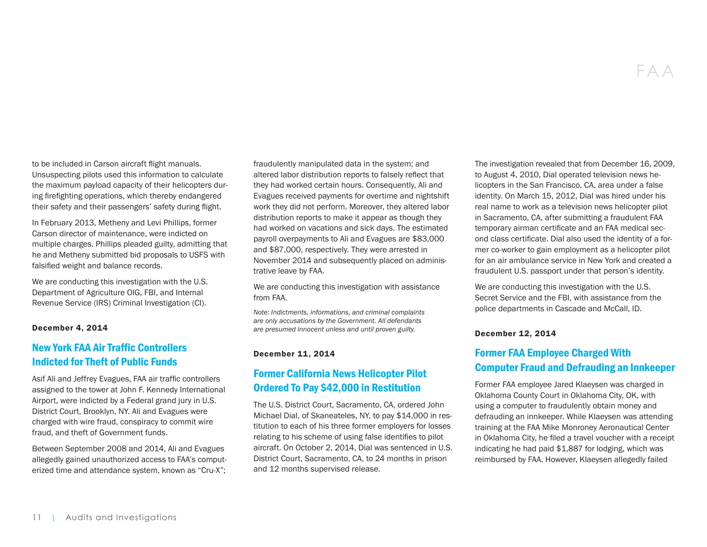to be included in Carson aircraft flight manuals. Unsuspecting pilots used this information to calculate the maximum payload capacity of their helicopters during firefighting operations, which thereby endangered their safety and their passengers' safety during flight.

In February 2013, Metheny and Levi Phillips, former Carson director of maintenance, were indicted on multiple charges. Phillips pleaded guilty, admitting that he and Metheny submitted bid proposals to USFS with falsified weight and balance records.

We are conducting this investigation with the U.S. Department of Agriculture OIG, FBI, and Internal Revenue Service (IRS) Criminal Investigation (CI).

#### December 4, 2014

## [New York FAA Air Traffic Controllers](https://www.oig.dot.gov/library-item/32280)  [Indicted for Theft of Public Funds](https://www.oig.dot.gov/library-item/32280)

Asif Ali and Jeffrey Evagues, FAA air traffic controllers assigned to the tower at John F. Kennedy International Airport, were indicted by a Federal grand jury in U.S. District Court, Brooklyn, NY. Ali and Evagues were charged with wire fraud, conspiracy to commit wire fraud, and theft of Government funds.

Between September 2008 and 2014, Ali and Evagues allegedly gained unauthorized access to FAA's computerized time and attendance system, known as "Cru-X";

fraudulently manipulated data in the system; and altered labor distribution reports to falsely reflect that they had worked certain hours. Consequently, Ali and Evagues received payments for overtime and nightshift work they did not perform. Moreover, they altered labor distribution reports to make it appear as though they had worked on vacations and sick days. The estimated payroll overpayments to Ali and Evagues are \$83,000 and \$87,000, respectively. They were arrested in November 2014 and subsequently placed on administrative leave by FAA.

We are conducting this investigation with assistance from FAA.

*Note: Indictments, informations, and criminal complaints are only accusations by the Government. All defendants are presumed innocent unless and until proven guilty.* 

#### December 11, 2014

# [Former California News Helicopter Pilot](https://www.oig.dot.gov/library-item/32305)  [Ordered To Pay \\$42,000 in Restitution](https://www.oig.dot.gov/library-item/32305)

The U.S. District Court, Sacramento, CA, ordered John Michael Dial, of Skaneateles, NY, to pay \$14,000 in restitution to each of his three former employers for losses relating to his scheme of using false identifies to pilot aircraft. On October 2, 2014, Dial was sentenced in U.S. District Court, Sacramento, CA, to 24 months in prison and 12 months supervised release.

The investigation revealed that from December 16, 2009, to August 4, 2010, Dial operated television news helicopters in the San Francisco, CA, area under a false identity. On March 15, 2012, Dial was hired under his real name to work as a television news helicopter pilot in Sacramento, CA, after submitting a fraudulent FAA temporary airman certificate and an FAA medical second class certificate. Dial also used the identity of a former co-worker to gain employment as a helicopter pilot for an air ambulance service in New York and created a fraudulent U.S. passport under that person's identity.

We are conducting this investigation with the U.S. Secret Service and the FBI, with assistance from the police departments in Cascade and McCall, ID.

#### December 12, 2014

# [Former FAA Employee Charged With](https://www.oig.dot.gov/library-item/32320)  [Computer Fraud and Defrauding an Innkeeper](https://www.oig.dot.gov/library-item/32320)

Former FAA employee Jared Klaeysen was charged in Oklahoma County Court in Oklahoma City, OK, with using a computer to fraudulently obtain money and defrauding an innkeeper. While Klaeysen was attending training at the FAA Mike Monroney Aeronautical Center in Oklahoma City, he filed a travel voucher with a receipt indicating he had paid \$1,887 for lodging, which was reimbursed by FAA. However, Klaeysen allegedly failed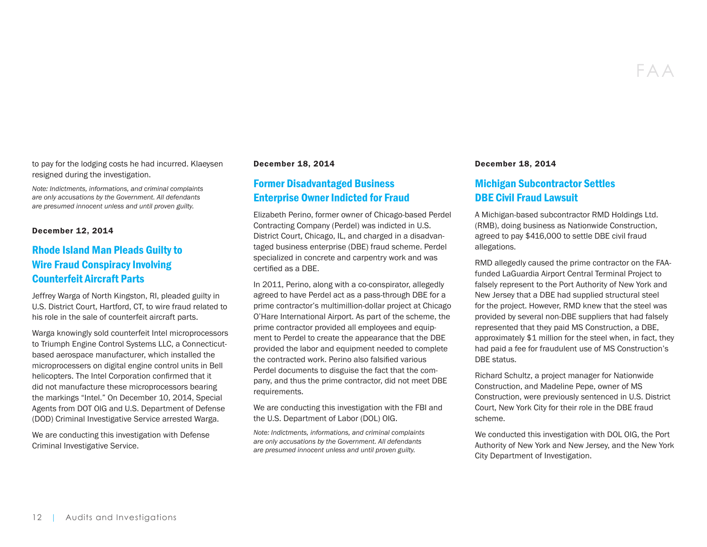FAA

to pay for the lodging costs he had incurred. Klaeysen resigned during the investigation.

*Note: Indictments, informations, and criminal complaints are only accusations by the Government. All defendants are presumed innocent unless and until proven guilty.* 

#### December 12, 2014

# [Rhode Island Man Pleads Guilty to](https://www.oig.dot.gov/library-item/32307)  [Wire Fraud Conspiracy Involving](https://www.oig.dot.gov/library-item/32307)  [Counterfeit Aircraft Parts](https://www.oig.dot.gov/library-item/32307)

Jeffrey Warga of North Kingston, RI, pleaded guilty in U.S. District Court, Hartford, CT, to wire fraud related to his role in the sale of counterfeit aircraft parts.

Warga knowingly sold counterfeit Intel microprocessors to Triumph Engine Control Systems LLC, a Connecticutbased aerospace manufacturer, which installed the microprocessers on digital engine control units in Bell helicopters. The Intel Corporation confirmed that it did not manufacture these microprocessors bearing the markings "Intel." On December 10, 2014, Special Agents from DOT OIG and U.S. Department of Defense (DOD) Criminal Investigative Service arrested Warga.

We are conducting this investigation with Defense Criminal Investigative Service.

#### December 18, 2014

# [Former Disadvantaged Business](https://www.oig.dot.gov/library-item/32317)  [Enterprise Owner Indicted for Fraud](https://www.oig.dot.gov/library-item/32317)

Elizabeth Perino, former owner of Chicago-based Perdel Contracting Company (Perdel) was indicted in U.S. District Court, Chicago, IL, and charged in a disadvantaged business enterprise (DBE) fraud scheme. Perdel specialized in concrete and carpentry work and was certified as a DBE.

In 2011, Perino, along with a co-conspirator, allegedly agreed to have Perdel act as a pass-through DBE for a prime contractor's multimillion-dollar project at Chicago O'Hare International Airport. As part of the scheme, the prime contractor provided all employees and equipment to Perdel to create the appearance that the DBE provided the labor and equipment needed to complete the contracted work. Perino also falsified various Perdel documents to disguise the fact that the company, and thus the prime contractor, did not meet DBE requirements.

We are conducting this investigation with the FBI and the U.S. Department of Labor (DOL) OIG.

*Note: Indictments, informations, and criminal complaints are only accusations by the Government. All defendants are presumed innocent unless and until proven guilty.* 

#### December 18, 2014

# [Michigan Subcontractor Settles](https://www.oig.dot.gov/library-item/32321)  [DBE Civil Fraud Lawsuit](https://www.oig.dot.gov/library-item/32321)

A Michigan-based subcontractor RMD Holdings Ltd. (RMB), doing business as Nationwide Construction, agreed to pay \$416,000 to settle DBE civil fraud allegations.

RMD allegedly caused the prime contractor on the FAAfunded LaGuardia Airport Central Terminal Project to falsely represent to the Port Authority of New York and New Jersey that a DBE had supplied structural steel for the project. However, RMD knew that the steel was provided by several non-DBE suppliers that had falsely represented that they paid MS Construction, a DBE, approximately \$1 million for the steel when, in fact, they had paid a fee for fraudulent use of MS Construction's DBE status.

Richard Schultz, a project manager for Nationwide Construction, and Madeline Pepe, owner of MS Construction, were previously sentenced in U.S. District Court, New York City for their role in the DBE fraud scheme.

We conducted this investigation with DOL OIG, the Port Authority of New York and New Jersey, and the New York City Department of Investigation.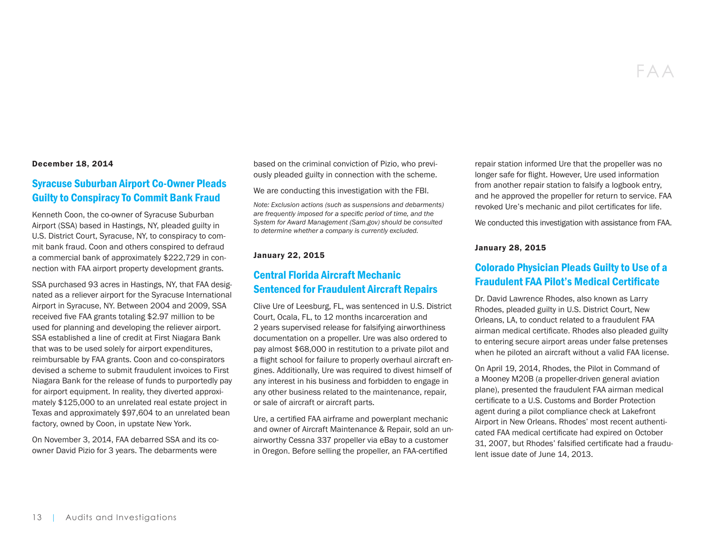#### December 18, 2014

# [Syracuse Suburban Airport Co-Owner Pleads](https://www.oig.dot.gov/library-item/32318)  [Guilty to Conspiracy To Commit Bank Fraud](https://www.oig.dot.gov/library-item/32318)

Kenneth Coon, the co-owner of Syracuse Suburban Airport (SSA) based in Hastings, NY, pleaded guilty in U.S. District Court, Syracuse, NY, to conspiracy to commit bank fraud. Coon and others conspired to defraud a commercial bank of approximately \$222,729 in connection with FAA airport property development grants.

SSA purchased 93 acres in Hastings, NY, that FAA designated as a reliever airport for the Syracuse International Airport in Syracuse, NY. Between 2004 and 2009, SSA received five FAA grants totaling \$2.97 million to be used for planning and developing the reliever airport. SSA established a line of credit at First Niagara Bank that was to be used solely for airport expenditures, reimbursable by FAA grants. Coon and co-conspirators devised a scheme to submit fraudulent invoices to First Niagara Bank for the release of funds to purportedly pay for airport equipment. In reality, they diverted approximately \$125,000 to an unrelated real estate project in Texas and approximately \$97,604 to an unrelated bean factory, owned by Coon, in upstate New York.

On November 3, 2014, FAA debarred SSA and its coowner David Pizio for 3 years. The debarments were

based on the criminal conviction of Pizio, who previously pleaded guilty in connection with the scheme.

We are conducting this investigation with the FBI.

*Note: Exclusion actions (such as suspensions and debarments) are frequently imposed for a specific period of time, and the System for Award Management (Sam.gov) should be consulted to determine whether a company is currently excluded.* 

#### January 22, 2015

## [Central Florida Aircraft Mechanic](https://www.oig.dot.gov/library-item/32345)  [Sentenced for Fraudulent Aircraft Repairs](https://www.oig.dot.gov/library-item/32345)

Clive Ure of Leesburg, FL, was sentenced in U.S. District Court, Ocala, FL, to 12 months incarceration and 2 years supervised release for falsifying airworthiness documentation on a propeller. Ure was also ordered to pay almost \$68,000 in restitution to a private pilot and a flight school for failure to properly overhaul aircraft engines. Additionally, Ure was required to divest himself of any interest in his business and forbidden to engage in any other business related to the maintenance, repair, or sale of aircraft or aircraft parts.

Ure, a certified FAA airframe and powerplant mechanic and owner of Aircraft Maintenance & Repair, sold an unairworthy Cessna 337 propeller via eBay to a customer in Oregon. Before selling the propeller, an FAA-certified

repair station informed Ure that the propeller was no longer safe for flight. However, Ure used information from another repair station to falsify a logbook entry, and he approved the propeller for return to service. FAA revoked Ure's mechanic and pilot certificates for life.

We conducted this investigation with assistance from FAA.

#### January 28, 2015

## [Colorado Physician Pleads Guilty to Use of a](https://www.oig.dot.gov/library-item/32352)  [Fraudulent FAA Pilot's Medical Certificate](https://www.oig.dot.gov/library-item/32352)

Dr. David Lawrence Rhodes, also known as Larry Rhodes, pleaded guilty in U.S. District Court, New Orleans, LA, to conduct related to a fraudulent FAA airman medical certificate. Rhodes also pleaded guilty to entering secure airport areas under false pretenses when he piloted an aircraft without a valid FAA license.

On April 19, 2014, Rhodes, the Pilot in Command of a Mooney M20B (a propeller-driven general aviation plane), presented the fraudulent FAA airman medical certificate to a U.S. Customs and Border Protection agent during a pilot compliance check at Lakefront Airport in New Orleans. Rhodes' most recent authenticated FAA medical certificate had expired on October 31, 2007, but Rhodes' falsified certificate had a fraudulent issue date of June 14, 2013.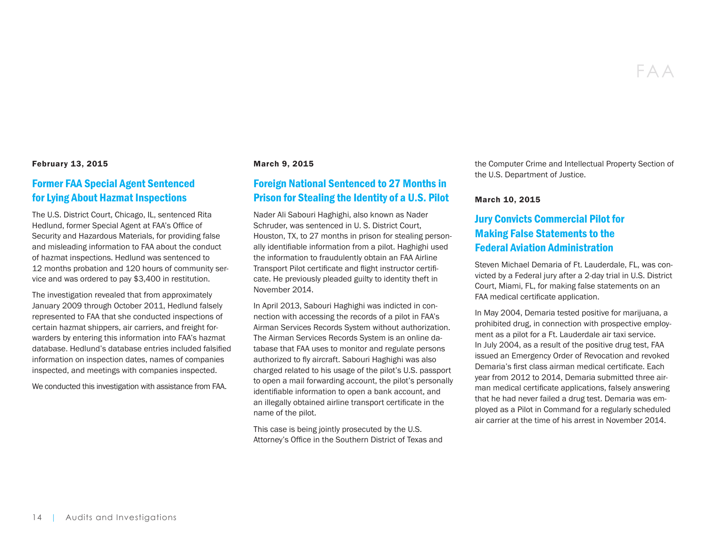#### February 13, 2015

## [Former FAA Special Agent Sentenced](https://www.oig.dot.gov/library-item/32367)  [for Lying About Hazmat Inspections](https://www.oig.dot.gov/library-item/32367)

The U.S. District Court, Chicago, IL, sentenced Rita Hedlund, former Special Agent at FAA's Office of Security and Hazardous Materials, for providing false and misleading information to FAA about the conduct of hazmat inspections. Hedlund was sentenced to 12 months probation and 120 hours of community service and was ordered to pay \$3,400 in restitution.

The investigation revealed that from approximately January 2009 through October 2011, Hedlund falsely represented to FAA that she conducted inspections of certain hazmat shippers, air carriers, and freight forwarders by entering this information into FAA's hazmat database. Hedlund's database entries included falsified information on inspection dates, names of companies inspected, and meetings with companies inspected.

We conducted this investigation with assistance from FAA.

#### March 9, 2015

# [Foreign National Sentenced to 27 Months in](https://www.oig.dot.gov/library-item/32406)  [Prison for Stealing the Identity of a U.S. Pilot](https://www.oig.dot.gov/library-item/32406)

Nader Ali Sabouri Haghighi, also known as Nader Schruder, was sentenced in U. S. District Court, Houston, TX, to 27 months in prison for stealing personally identifiable information from a pilot. Haghighi used the information to fraudulently obtain an FAA Airline Transport Pilot certificate and flight instructor certificate. He previously pleaded guilty to identity theft in November 2014.

In April 2013, Sabouri Haghighi was indicted in connection with accessing the records of a pilot in FAA's Airman Services Records System without authorization. The Airman Services Records System is an online database that FAA uses to monitor and regulate persons authorized to fly aircraft. Sabouri Haghighi was also charged related to his usage of the pilot's U.S. passport to open a mail forwarding account, the pilot's personally identifiable information to open a bank account, and an illegally obtained airline transport certificate in the name of the pilot.

This case is being jointly prosecuted by the U.S. Attorney's Office in the Southern District of Texas and

the Computer Crime and Intellectual Property Section of the U.S. Department of Justice.

#### March 10, 2015

# [Jury Convicts Commercial Pilot for](https://www.oig.dot.gov/library-item/32431)  [Making False Statements to the](https://www.oig.dot.gov/library-item/32431)  [Federal Aviation Administration](https://www.oig.dot.gov/library-item/32431)

Steven Michael Demaria of Ft. Lauderdale, FL, was convicted by a Federal jury after a 2-day trial in U.S. District Court, Miami, FL, for making false statements on an FAA medical certificate application.

In May 2004, Demaria tested positive for marijuana, a prohibited drug, in connection with prospective employment as a pilot for a Ft. Lauderdale air taxi service. In July 2004, as a result of the positive drug test, FAA issued an Emergency Order of Revocation and revoked Demaria's first class airman medical certificate. Each year from 2012 to 2014, Demaria submitted three airman medical certificate applications, falsely answering that he had never failed a drug test. Demaria was employed as a Pilot in Command for a regularly scheduled air carrier at the time of his arrest in November 2014.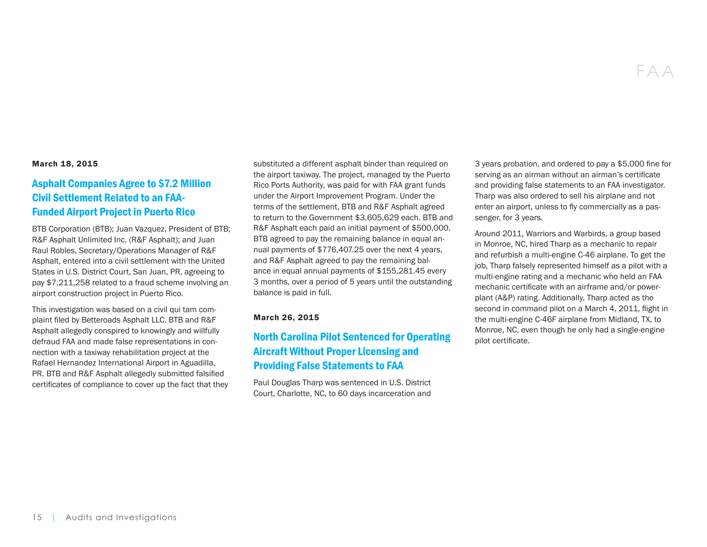#### March 18, 2015

# [Asphalt Companies Agree to \\$7.2 Million](https://www.oig.dot.gov/library-item/32438)  [Civil Settlement Related to an FAA-](https://www.oig.dot.gov/library-item/32438)[Funded Airport Project in Puerto Rico](https://www.oig.dot.gov/library-item/32438)

BTB Corporation (BTB); Juan Vazquez, President of BTB; R&F Asphalt Unlimited Inc. (R&F Asphalt); and Juan Raul Robles, Secretary/Operations Manager of R&F Asphalt, entered into a civil settlement with the United States in U.S. District Court, San Juan, PR, agreeing to pay \$7,211,258 related to a fraud scheme involving an airport construction project in Puerto Rico.

This investigation was based on a civil qui tam complaint filed by Betteroads Asphalt LLC. BTB and R&F Asphalt allegedly conspired to knowingly and willfully defraud FAA and made false representations in connection with a taxiway rehabilitation project at the Rafael Hernandez International Airport in Aguadilla, PR. BTB and R&F Asphalt allegedly submitted falsified certificates of compliance to cover up the fact that they substituted a different asphalt binder than required on the airport taxiway. The project, managed by the Puerto Rico Ports Authority, was paid for with FAA grant funds under the Airport Improvement Program. Under the terms of the settlement, BTB and R&F Asphalt agreed to return to the Government \$3,605,629 each. BTB and R&F Asphalt each paid an initial payment of \$500,000. BTB agreed to pay the remaining balance in equal annual payments of \$776,407.25 over the next 4 years, and R&F Asphalt agreed to pay the remaining balance in equal annual payments of \$155,281.45 every 3 months, over a period of 5 years until the outstanding balance is paid in full.

#### March 26, 2015

# [North Carolina Pilot Sentenced for Operating](https://www.oig.dot.gov/library-item/32449)  [Aircraft Without Proper Licensing and](https://www.oig.dot.gov/library-item/32449)  [Providing False Statements to FAA](https://www.oig.dot.gov/library-item/32449)

Paul Douglas Tharp was sentenced in U.S. District Court, Charlotte, NC, to 60 days incarceration and

3 years probation, and ordered to pay a \$5,000 fine for serving as an airman without an airman's certificate and providing false statements to an FAA investigator. Tharp was also ordered to sell his airplane and not enter an airport, unless to fly commercially as a passenger, for 3 years.

Around 2011, Warriors and Warbirds, a group based in Monroe, NC, hired Tharp as a mechanic to repair and refurbish a multi-engine C-46 airplane. To get the job, Tharp falsely represented himself as a pilot with a multi-engine rating and a mechanic who held an FAA mechanic certificate with an airframe and/or powerplant (A&P) rating. Additionally, Tharp acted as the second in command pilot on a March 4, 2011, flight in the multi-engine C-46F airplane from Midland, TX, to Monroe, NC, even though he only had a single-engine pilot certificate.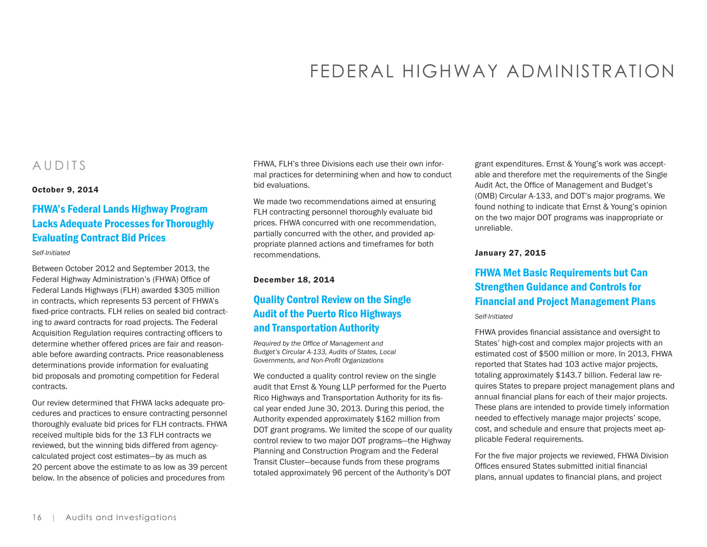# FEDERAL HIGHWAY ADMINISTRATION

# <span id="page-15-0"></span>AUDITS

#### October 9, 2014

# [FHWA's Federal Lands Highway Program](https://www.oig.dot.gov/library-item/32186)  [Lacks Adequate Processes for Thoroughly](https://www.oig.dot.gov/library-item/32186)  [Evaluating Contract Bid Prices](https://www.oig.dot.gov/library-item/32186)

#### *Self-Initiated*

Between October 2012 and September 2013, the Federal Highway Administration's (FHWA) Office of Federal Lands Highways (FLH) awarded \$305 million in contracts, which represents 53 percent of FHWA's fixed-price contracts. FLH relies on sealed bid contracting to award contracts for road projects. The Federal Acquisition Regulation requires contracting officers to determine whether offered prices are fair and reasonable before awarding contracts. Price reasonableness determinations provide information for evaluating bid proposals and promoting competition for Federal contracts.

Our review determined that FHWA lacks adequate procedures and practices to ensure contracting personnel thoroughly evaluate bid prices for FLH contracts. FHWA received multiple bids for the 13 FLH contracts we reviewed, but the winning bids differed from agencycalculated project cost estimates—by as much as 20 percent above the estimate to as low as 39 percent below. In the absence of policies and procedures from

FHWA, FLH's three Divisions each use their own informal practices for determining when and how to conduct bid evaluations.

We made two recommendations aimed at ensuring FLH contracting personnel thoroughly evaluate bid prices. FHWA concurred with one recommendation, partially concurred with the other, and provided appropriate planned actions and timeframes for both recommendations.

#### December 18, 2014

# [Quality Control Review on the Single](https://www.oig.dot.gov/library-item/32300)  [Audit of the Puerto Rico Highways](https://www.oig.dot.gov/library-item/32300)  [and Transportation Authority](https://www.oig.dot.gov/library-item/32300)

*Required by the Office of Management and Budget's Circular A-133, Audits of States, Local Governments, and Non-Profit Organizations*

We conducted a quality control review on the single audit that Ernst & Young LLP performed for the Puerto Rico Highways and Transportation Authority for its fiscal year ended June 30, 2013. During this period, the Authority expended approximately \$162 million from DOT grant programs. We limited the scope of our quality control review to two major DOT programs—the Highway Planning and Construction Program and the Federal Transit Cluster—because funds from these programs totaled approximately 96 percent of the Authority's DOT

grant expenditures. Ernst & Young's work was acceptable and therefore met the requirements of the Single Audit Act, the Office of Management and Budget's (OMB) Circular A-133, and DOT's major programs. We found nothing to indicate that Ernst & Young's opinion on the two major DOT programs was inappropriate or unreliable.

#### January 27, 2015

# [FHWA Met Basic Requirements but Can](https://www.oig.dot.gov/library-item/32336)  [Strengthen Guidance and Controls for](https://www.oig.dot.gov/library-item/32336)  [Financial and Project Management Plans](https://www.oig.dot.gov/library-item/32336)

#### *Self-Initiated*

FHWA provides financial assistance and oversight to States' high-cost and complex major projects with an estimated cost of \$500 million or more. In 2013, FHWA reported that States had 103 active major projects, totaling approximately \$143.7 billion. Federal law requires States to prepare project management plans and annual financial plans for each of their major projects. These plans are intended to provide timely information needed to effectively manage major projects' scope, cost, and schedule and ensure that projects meet applicable Federal requirements.

For the five major projects we reviewed, FHWA Division Offices ensured States submitted initial financial plans, annual updates to financial plans, and project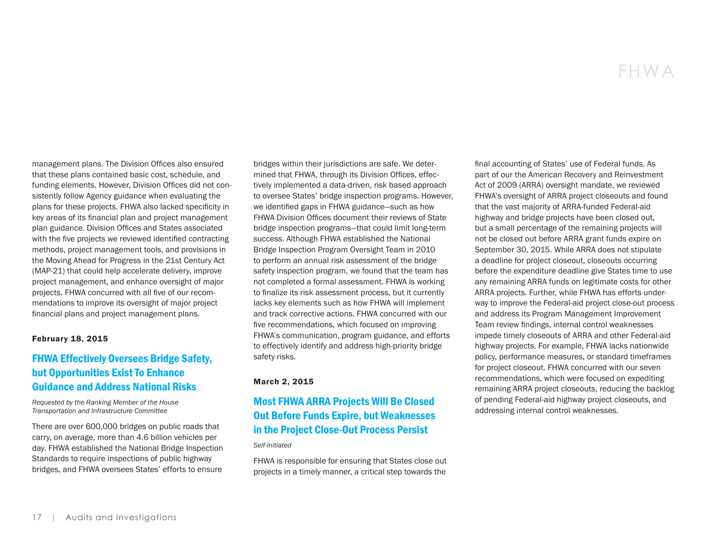management plans. The Division Offices also ensured that these plans contained basic cost, schedule, and funding elements. However, Division Offices did not consistently follow Agency guidance when evaluating the plans for these projects. FHWA also lacked specificity in key areas of its financial plan and project management plan guidance. Division Offices and States associated with the five projects we reviewed identified contracting methods, project management tools, and provisions in the Moving Ahead for Progress in the 21st Century Act (MAP-21) that could help accelerate delivery, improve project management, and enhance oversight of major projects. FHWA concurred with all five of our recommendations to improve its oversight of major project financial plans and project management plans.

#### February 18, 2015

# [FHWA Effectively Oversees Bridge Safety,](https://www.oig.dot.gov/library-item/32366)  [but Opportunities Exist To Enhance](https://www.oig.dot.gov/library-item/32366)  [Guidance and Address National Risks](https://www.oig.dot.gov/library-item/32366)

*Requested by the Ranking Member of the House Transportation and Infrastructure Committee*

There are over 600,000 bridges on public roads that carry, on average, more than 4.6 billion vehicles per day. FHWA established the National Bridge Inspection Standards to require inspections of public highway bridges, and FHWA oversees States' efforts to ensure

bridges within their jurisdictions are safe. We determined that FHWA, through its Division Offices, effectively implemented a data-driven, risk based approach to oversee States' bridge inspection programs. However, we identified gaps in FHWA guidance—such as how FHWA Division Offices document their reviews of State bridge inspection programs—that could limit long-term success. Although FHWA established the National Bridge Inspection Program Oversight Team in 2010 to perform an annual risk assessment of the bridge safety inspection program, we found that the team has not completed a formal assessment. FHWA is working to finalize its risk assessment process, but it currently lacks key elements such as how FHWA will implement and track corrective actions. FHWA concurred with our five recommendations, which focused on improving FHWA's communication, program guidance, and efforts to effectively identify and address high-priority bridge safety risks.

#### March 2, 2015

# [Most FHWA ARRA Projects Will Be Closed](https://www.oig.dot.gov/library-item/32373)  [Out Before Funds Expire, but Weaknesses](https://www.oig.dot.gov/library-item/32373)  [in the Project Close-Out Process Persist](https://www.oig.dot.gov/library-item/32373)

#### *Self-Initiated*

FHWA is responsible for ensuring that States close out projects in a timely manner, a critical step towards the final accounting of States' use of Federal funds. As part of our the American Recovery and Reinvestment Act of 2009 (ARRA) oversight mandate, we reviewed FHWA's oversight of ARRA project closeouts and found that the vast majority of ARRA-funded Federal-aid highway and bridge projects have been closed out, but a small percentage of the remaining projects will not be closed out before ARRA grant funds expire on September 30, 2015. While ARRA does not stipulate a deadline for project closeout, closeouts occurring before the expenditure deadline give States time to use any remaining ARRA funds on legitimate costs for other ARRA projects. Further, while FHWA has efforts underway to improve the Federal-aid project close-out process and address its Program Management Improvement Team review findings, internal control weaknesses impede timely closeouts of ARRA and other Federal-aid highway projects. For example, FHWA lacks nationwide policy, performance measures, or standard timeframes for project closeout. FHWA concurred with our seven recommendations, which were focused on expediting remaining ARRA project closeouts, reducing the backlog of pending Federal-aid highway project closeouts, and addressing internal control weaknesses.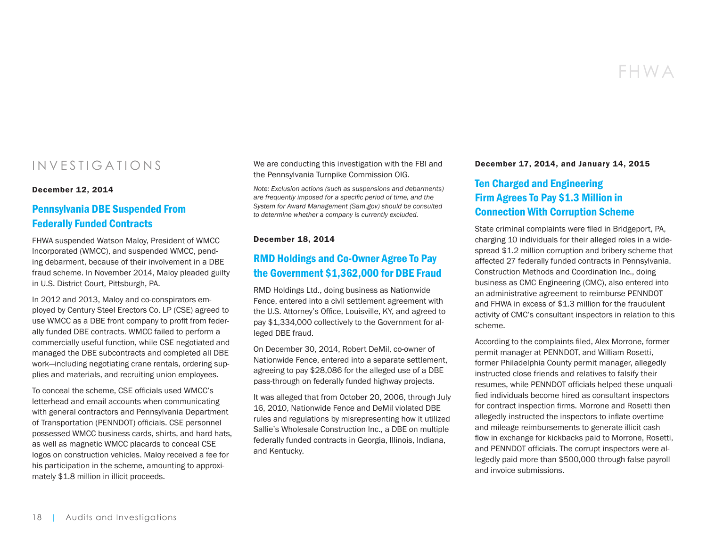# FHWA

# INVESTIGATIONS

#### December 12, 2014

## [Pennsylvania DBE Suspended From](https://www.oig.dot.gov/library-item/32319)  [Federally Funded Contracts](https://www.oig.dot.gov/library-item/32319)

FHWA suspended Watson Maloy, President of WMCC Incorporated (WMCC), and suspended WMCC, pending debarment, because of their involvement in a DBE fraud scheme. In November 2014, Maloy pleaded guilty in U.S. District Court, Pittsburgh, PA.

In 2012 and 2013, Maloy and co-conspirators employed by Century Steel Erectors Co. LP (CSE) agreed to use WMCC as a DBE front company to profit from federally funded DBE contracts. WMCC failed to perform a commercially useful function, while CSE negotiated and managed the DBE subcontracts and completed all DBE work—including negotiating crane rentals, ordering supplies and materials, and recruiting union employees.

To conceal the scheme, CSE officials used WMCC's letterhead and email accounts when communicating with general contractors and Pennsylvania Department of Transportation (PENNDOT) officials. CSE personnel possessed WMCC business cards, shirts, and hard hats, as well as magnetic WMCC placards to conceal CSE logos on construction vehicles. Maloy received a fee for his participation in the scheme, amounting to approximately \$1.8 million in illicit proceeds.

We are conducting this investigation with the FBI and the Pennsylvania Turnpike Commission OIG.

*Note: Exclusion actions (such as suspensions and debarments) are frequently imposed for a specific period of time, and the System for Award Management (Sam.gov) should be consulted to determine whether a company is currently excluded.* 

#### December 18, 2014

# [RMD Holdings and Co-Owner Agree To Pay](https://www.oig.dot.gov/library-item/32325)  [the Government \\$1,362,000 for DBE Fraud](https://www.oig.dot.gov/library-item/32325)

RMD Holdings Ltd., doing business as Nationwide Fence, entered into a civil settlement agreement with the U.S. Attorney's Office, Louisville, KY, and agreed to pay \$1,334,000 collectively to the Government for alleged DBE fraud.

On December 30, 2014, Robert DeMil, co-owner of Nationwide Fence, entered into a separate settlement, agreeing to pay \$28,086 for the alleged use of a DBE pass-through on federally funded highway projects.

It was alleged that from October 20, 2006, through July 16, 2010, Nationwide Fence and DeMil violated DBE rules and regulations by misrepresenting how it utilized Sallie's Wholesale Construction Inc., a DBE on multiple federally funded contracts in Georgia, Illinois, Indiana, and Kentucky.

#### December 17, 2014, and January 14, 2015

# [Ten Charged and Engineering](https://www.oig.dot.gov/library-item/32350)  [Firm Agrees To Pay \\$1.3 Million in](https://www.oig.dot.gov/library-item/32350)  [Connection With Corruption Scheme](https://www.oig.dot.gov/library-item/32350)

State criminal complaints were filed in Bridgeport, PA, charging 10 individuals for their alleged roles in a widespread \$1.2 million corruption and bribery scheme that affected 27 federally funded contracts in Pennsylvania. Construction Methods and Coordination Inc., doing business as CMC Engineering (CMC), also entered into an administrative agreement to reimburse PENNDOT and FHWA in excess of \$1.3 million for the fraudulent activity of CMC's consultant inspectors in relation to this scheme.

According to the complaints filed, Alex Morrone, former permit manager at PENNDOT, and William Rosetti, former Philadelphia County permit manager, allegedly instructed close friends and relatives to falsify their resumes, while PENNDOT officials helped these unqualified individuals become hired as consultant inspectors for contract inspection firms. Morrone and Rosetti then allegedly instructed the inspectors to inflate overtime and mileage reimbursements to generate illicit cash flow in exchange for kickbacks paid to Morrone, Rosetti, and PENNDOT officials. The corrupt inspectors were allegedly paid more than \$500,000 through false payroll and invoice submissions.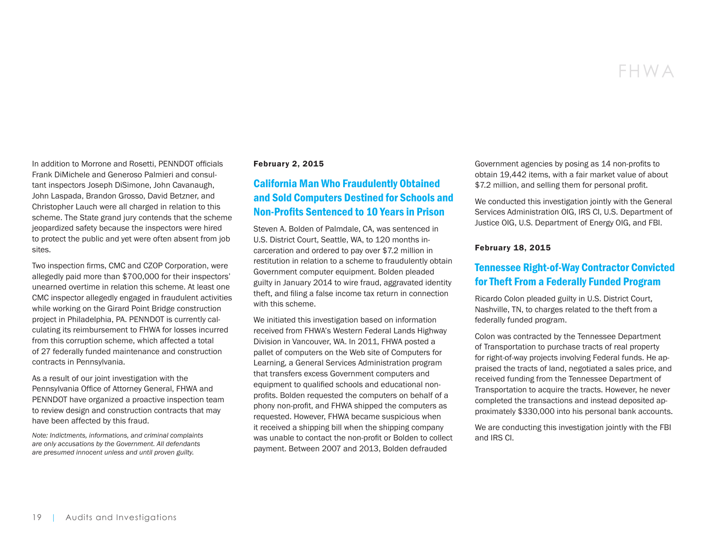# FHWA

In addition to Morrone and Rosetti, PENNDOT officials Frank DiMichele and Generoso Palmieri and consultant inspectors Joseph DiSimone, John Cavanaugh, John Laspada, Brandon Grosso, David Betzner, and Christopher Lauch were all charged in relation to this scheme. The State grand jury contends that the scheme jeopardized safety because the inspectors were hired to protect the public and yet were often absent from job sites.

Two inspection firms, CMC and CZOP Corporation, were allegedly paid more than \$700,000 for their inspectors' unearned overtime in relation this scheme. At least one CMC inspector allegedly engaged in fraudulent activities while working on the Girard Point Bridge construction project in Philadelphia, PA. PENNDOT is currently calculating its reimbursement to FHWA for losses incurred from this corruption scheme, which affected a total of 27 federally funded maintenance and construction contracts in Pennsylvania.

As a result of our joint investigation with the Pennsylvania Office of Attorney General, FHWA and PENNDOT have organized a proactive inspection team to review design and construction contracts that may have been affected by this fraud.

*Note: Indictments, informations, and criminal complaints are only accusations by the Government. All defendants are presumed innocent unless and until proven guilty.* 

#### February 2, 2015

# [California Man Who Fraudulently Obtained](https://www.oig.dot.gov/library-item/32364)  [and Sold Computers Destined for Schools and](https://www.oig.dot.gov/library-item/32364) [Non-Profits Sentenced to 10 Years in Prison](https://www.oig.dot.gov/library-item/32364)

Steven A. Bolden of Palmdale, CA, was sentenced in U.S. District Court, Seattle, WA, to 120 months incarceration and ordered to pay over \$7.2 million in restitution in relation to a scheme to fraudulently obtain Government computer equipment. Bolden pleaded guilty in January 2014 to wire fraud, aggravated identity theft, and filing a false income tax return in connection with this scheme.

We initiated this investigation based on information received from FHWA's Western Federal Lands Highway Division in Vancouver, WA. In 2011, FHWA posted a pallet of computers on the Web site of Computers for Learning, a General Services Administration program that transfers excess Government computers and equipment to qualified schools and educational nonprofits. Bolden requested the computers on behalf of a phony non-profit, and FHWA shipped the computers as requested. However, FHWA became suspicious when it received a shipping bill when the shipping company was unable to contact the non-profit or Bolden to collect payment. Between 2007 and 2013, Bolden defrauded

Government agencies by posing as 14 non-profits to obtain 19,442 items, with a fair market value of about \$7.2 million, and selling them for personal profit.

We conducted this investigation jointly with the General Services Administration OIG, IRS CI, U.S. Department of Justice OIG, U.S. Department of Energy OIG, and FBI.

#### February 18, 2015

## [Tennessee Right-of-Way Contractor Convicted](https://www.oig.dot.gov/library-item/32430)  [for Theft From a Federally Funded Program](https://www.oig.dot.gov/library-item/32430)

Ricardo Colon pleaded guilty in U.S. District Court, Nashville, TN, to charges related to the theft from a federally funded program.

Colon was contracted by the Tennessee Department of Transportation to purchase tracts of real property for right-of-way projects involving Federal funds. He appraised the tracts of land, negotiated a sales price, and received funding from the Tennessee Department of Transportation to acquire the tracts. However, he never completed the transactions and instead deposited approximately \$330,000 into his personal bank accounts.

We are conducting this investigation jointly with the FBI and IRS CI.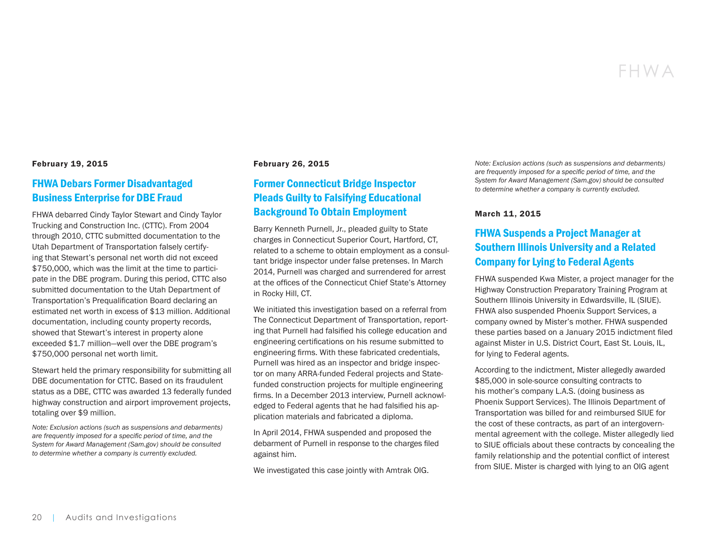# FHWA

#### February 19, 2015

## [FHWA Debars Former Disadvantaged](https://www.oig.dot.gov/library-item/32371)  [Business Enterprise for DBE Fraud](https://www.oig.dot.gov/library-item/32371)

FHWA debarred Cindy Taylor Stewart and Cindy Taylor Trucking and Construction Inc. (CTTC). From 2004 through 2010, CTTC submitted documentation to the Utah Department of Transportation falsely certifying that Stewart's personal net worth did not exceed \$750,000, which was the limit at the time to participate in the DBE program. During this period, CTTC also submitted documentation to the Utah Department of Transportation's Prequalification Board declaring an estimated net worth in excess of \$13 million. Additional documentation, including county property records, showed that Stewart's interest in property alone exceeded \$1.7 million—well over the DBE program's \$750,000 personal net worth limit.

Stewart held the primary responsibility for submitting all DBE documentation for CTTC. Based on its fraudulent status as a DBE, CTTC was awarded 13 federally funded highway construction and airport improvement projects, totaling over \$9 million.

*Note: Exclusion actions (such as suspensions and debarments) are frequently imposed for a specific period of time, and the System for Award Management (Sam.gov) should be consulted to determine whether a company is currently excluded.*

#### February 26, 2015

# [Former Connecticut Bridge Inspector](https://www.oig.dot.gov/library-item/32382)  [Pleads Guilty to Falsifying Educational](https://www.oig.dot.gov/library-item/32382)  [Background To Obtain Employment](https://www.oig.dot.gov/library-item/32382)

Barry Kenneth Purnell, Jr., pleaded guilty to State charges in Connecticut Superior Court, Hartford, CT, related to a scheme to obtain employment as a consultant bridge inspector under false pretenses. In March 2014, Purnell was charged and surrendered for arrest at the offices of the Connecticut Chief State's Attorney in Rocky Hill, CT.

We initiated this investigation based on a referral from The Connecticut Department of Transportation, reporting that Purnell had falsified his college education and engineering certifications on his resume submitted to engineering firms. With these fabricated credentials, Purnell was hired as an inspector and bridge inspector on many ARRA-funded Federal projects and Statefunded construction projects for multiple engineering firms. In a December 2013 interview, Purnell acknowledged to Federal agents that he had falsified his application materials and fabricated a diploma.

In April 2014, FHWA suspended and proposed the debarment of Purnell in response to the charges filed against him.

We investigated this case jointly with Amtrak OIG.

*Note: Exclusion actions (such as suspensions and debarments) are frequently imposed for a specific period of time, and the System for Award Management (Sam.gov) should be consulted to determine whether a company is currently excluded.*

#### March 11, 2015

# [FHWA Suspends a Project Manager at](https://www.oig.dot.gov/library-item/32428)  [Southern Illinois University and a Related](https://www.oig.dot.gov/library-item/32428)  [Company for Lying to Federal Agents](https://www.oig.dot.gov/library-item/32428)

FHWA suspended Kwa Mister, a project manager for the Highway Construction Preparatory Training Program at Southern Illinois University in Edwardsville, IL (SIUE). FHWA also suspended Phoenix Support Services, a company owned by Mister's mother. FHWA suspended these parties based on a January 2015 indictment filed against Mister in U.S. District Court, East St. Louis, IL, for lying to Federal agents.

According to the indictment, Mister allegedly awarded \$85,000 in sole-source consulting contracts to his mother's company L.A.S. (doing business as Phoenix Support Services). The Illinois Department of Transportation was billed for and reimbursed SIUE for the cost of these contracts, as part of an intergovernmental agreement with the college. Mister allegedly lied to SIUE officials about these contracts by concealing the family relationship and the potential conflict of interest from SIUE. Mister is charged with lying to an OIG agent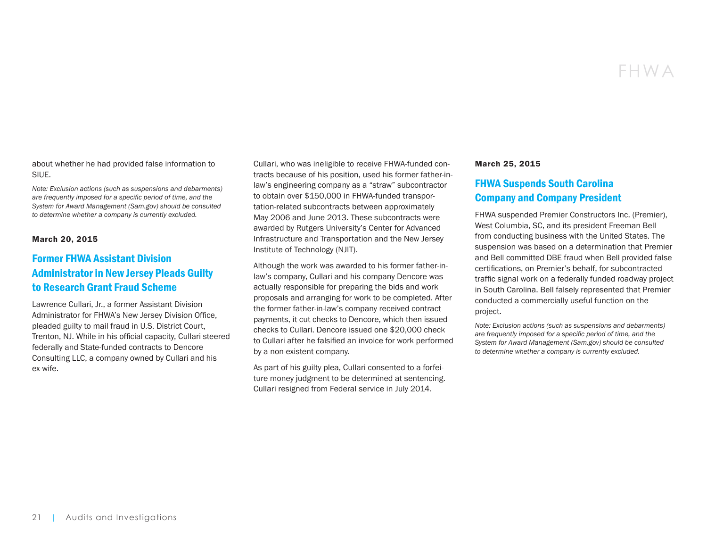about whether he had provided false information to SIUE.

*Note: Exclusion actions (such as suspensions and debarments) are frequently imposed for a specific period of time, and the System for Award Management (Sam.gov) should be consulted to determine whether a company is currently excluded.*

#### March 20, 2015

# [Former FHWA Assistant Division](https://www.oig.dot.gov/library-item/32426)  [Administrator in New Jersey Pleads Guilty](https://www.oig.dot.gov/library-item/32426)  [to Research Grant Fraud Scheme](https://www.oig.dot.gov/library-item/32426)

Lawrence Cullari, Jr., a former Assistant Division Administrator for FHWA's New Jersey Division Office, pleaded guilty to mail fraud in U.S. District Court, Trenton, NJ. While in his official capacity, Cullari steered federally and State-funded contracts to Dencore Consulting LLC, a company owned by Cullari and his ex-wife.

Cullari, who was ineligible to receive FHWA-funded contracts because of his position, used his former father-inlaw's engineering company as a "straw" subcontractor to obtain over \$150,000 in FHWA-funded transportation-related subcontracts between approximately May 2006 and June 2013. These subcontracts were awarded by Rutgers University's Center for Advanced Infrastructure and Transportation and the New Jersey Institute of Technology (NJIT).

Although the work was awarded to his former father-inlaw's company, Cullari and his company Dencore was actually responsible for preparing the bids and work proposals and arranging for work to be completed. After the former father-in-law's company received contract payments, it cut checks to Dencore, which then issued checks to Cullari. Dencore issued one \$20,000 check to Cullari after he falsified an invoice for work performed by a non-existent company.

As part of his guilty plea, Cullari consented to a forfeiture money judgment to be determined at sentencing. Cullari resigned from Federal service in July 2014.

#### March 25, 2015

# [FHWA Suspends South Carolina](https://www.oig.dot.gov/library-item/32448)  [Company and Company President](https://www.oig.dot.gov/library-item/32448)

FHWA suspended Premier Constructors Inc. (Premier), West Columbia, SC, and its president Freeman Bell from conducting business with the United States. The suspension was based on a determination that Premier and Bell committed DBE fraud when Bell provided false certifications, on Premier's behalf, for subcontracted traffic signal work on a federally funded roadway project in South Carolina. Bell falsely represented that Premier conducted a commercially useful function on the project.

*Note: Exclusion actions (such as suspensions and debarments) are frequently imposed for a specific period of time, and the System for Award Management (Sam.gov) should be consulted to determine whether a company is currently excluded.*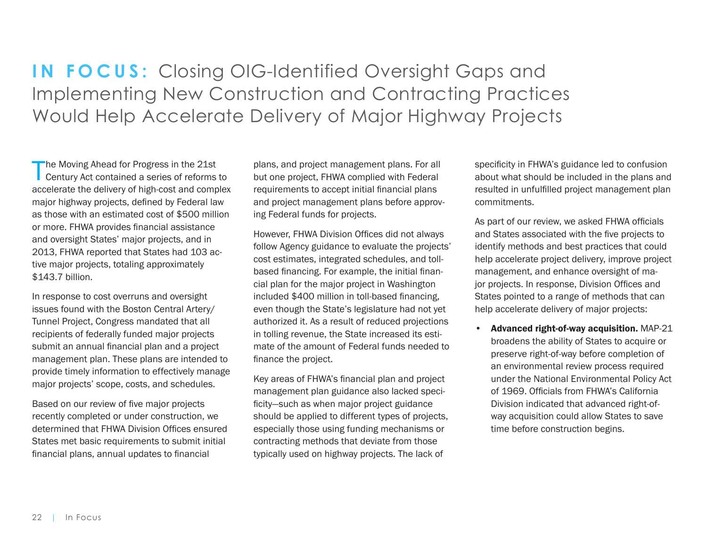<span id="page-21-0"></span>**IN FOCUS:** Closing OIG-Identified Oversight Gaps and Implementing New Construction and Contracting Practices Would Help Accelerate Delivery of Major Highway Projects

The Moving Ahead for Progress in the 21st Century Act contained a series of reforms to accelerate the delivery of high-cost and complex major highway projects, defined by Federal law as those with an estimated cost of \$500 million or more. FHWA provides financial assistance and oversight States' major projects, and in 2013, FHWA reported that States had 103 active major projects, totaling approximately \$143.7 billion.

In response to cost overruns and oversight issues found with the Boston Central Artery/ Tunnel Project, Congress mandated that all recipients of federally funded major projects submit an annual financial plan and a project management plan. These plans are intended to provide timely information to effectively manage major projects' scope, costs, and schedules.

Based on our review of five major projects recently completed or under construction, we determined that FHWA Division Offices ensured States met basic requirements to submit initial financial plans, annual updates to financial

plans, and project management plans. For all but one project, FHWA complied with Federal requirements to accept initial financial plans and project management plans before approving Federal funds for projects.

However, FHWA Division Offices did not always follow Agency guidance to evaluate the projects' cost estimates, integrated schedules, and tollbased financing. For example, the initial financial plan for the major project in Washington included \$400 million in toll-based financing, even though the State's legislature had not yet authorized it. As a result of reduced projections in tolling revenue, the State increased its estimate of the amount of Federal funds needed to finance the project.

Key areas of FHWA's financial plan and project management plan guidance also lacked specificity—such as when major project guidance should be applied to different types of projects, especially those using funding mechanisms or contracting methods that deviate from those typically used on highway projects. The lack of

specificity in FHWA's guidance led to confusion about what should be included in the plans and resulted in unfulfilled project management plan commitments.

As part of our review, we asked FHWA officials and States associated with the five projects to identify methods and best practices that could help accelerate project delivery, improve project management, and enhance oversight of major projects. In response, Division Offices and States pointed to a range of methods that can help accelerate delivery of major projects:

• Advanced right-of-way acquisition. MAP-21 broadens the ability of States to acquire or preserve right-of-way before completion of an environmental review process required under the National Environmental Policy Act of 1969. Officials from FHWA's California Division indicated that advanced right-ofway acquisition could allow States to save time before construction begins.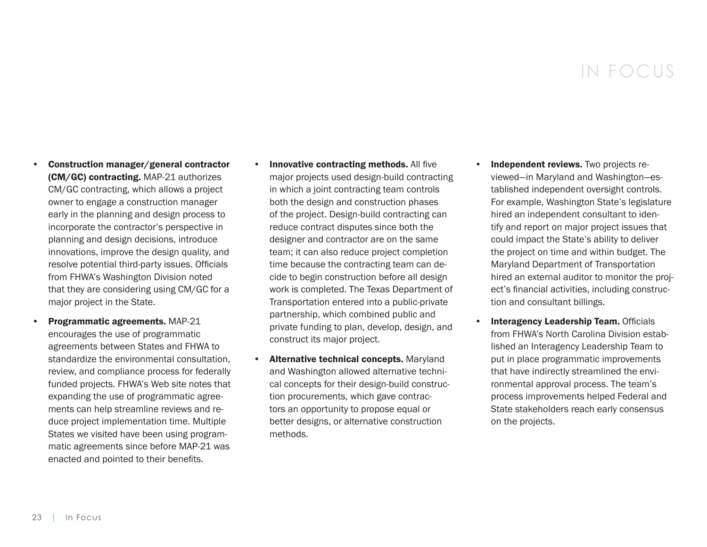# IN FOCUS

- Construction manager/general contractor (CM/GC) contracting. MAP-21 authorizes CM/GC contracting, which allows a project owner to engage a construction manager early in the planning and design process to incorporate the contractor's perspective in planning and design decisions, introduce innovations, improve the design quality, and resolve potential third-party issues. Officials from FHWA's Washington Division noted that they are considering using CM/GC for a major project in the State.
- Programmatic agreements. MAP-21 encourages the use of programmatic agreements between States and FHWA to standardize the environmental consultation, review, and compliance process for federally funded projects. FHWA's Web site notes that expanding the use of programmatic agreements can help streamline reviews and reduce project implementation time. Multiple States we visited have been using programmatic agreements since before MAP-21 was enacted and pointed to their benefits.
- **Innovative contracting methods. All five** major projects used design-build contracting in which a joint contracting team controls both the design and construction phases of the project. Design-build contracting can reduce contract disputes since both the designer and contractor are on the same team; it can also reduce project completion time because the contracting team can decide to begin construction before all design work is completed. The Texas Department of Transportation entered into a public-private partnership, which combined public and private funding to plan, develop, design, and construct its major project.
- Alternative technical concepts. Maryland and Washington allowed alternative technical concepts for their design-build construction procurements, which gave contractors an opportunity to propose equal or better designs, or alternative construction methods.
- Independent reviews. Two projects reviewed—in Maryland and Washington—established independent oversight controls. For example, Washington State's legislature hired an independent consultant to identify and report on major project issues that could impact the State's ability to deliver the project on time and within budget. The Maryland Department of Transportation hired an external auditor to monitor the project's financial activities, including construction and consultant billings.
- Interagency Leadership Team. Officials from FHWA's North Carolina Division established an Interagency Leadership Team to put in place programmatic improvements that have indirectly streamlined the environmental approval process. The team's process improvements helped Federal and State stakeholders reach early consensus on the projects.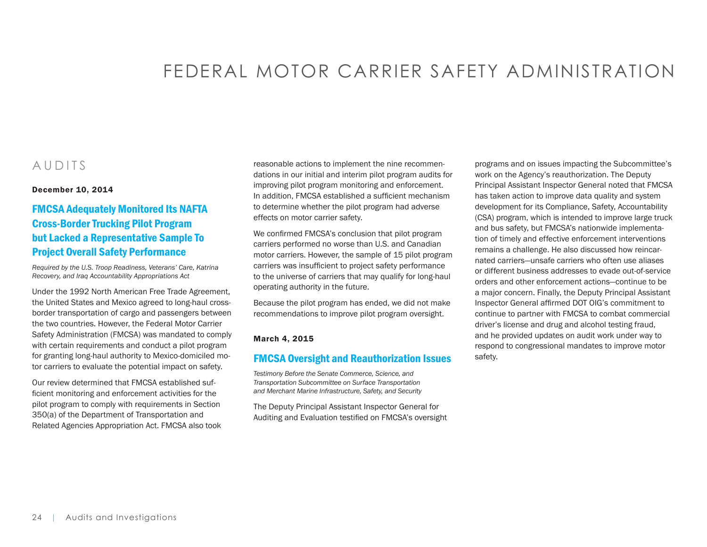# FEDERAL MOTOR CARRIER SAFETY ADMINISTRATION

# <span id="page-23-0"></span>AUDITS

#### December 10, 2014

# [FMCSA Adequately Monitored Its NAFTA](https://www.oig.dot.gov/library-item/32271)  [Cross-Border Trucking Pilot Program](https://www.oig.dot.gov/library-item/32271)  [but Lacked a Representative Sample To](https://www.oig.dot.gov/library-item/32271)  [Project Overall Safety Performance](https://www.oig.dot.gov/library-item/32271)

*Required by the U.S. Troop Readiness, Veterans' Care, Katrina Recovery, and Iraq Accountability Appropriations Act*

Under the 1992 North American Free Trade Agreement, the United States and Mexico agreed to long-haul crossborder transportation of cargo and passengers between the two countries. However, the Federal Motor Carrier Safety Administration (FMCSA) was mandated to comply with certain requirements and conduct a pilot program for granting long-haul authority to Mexico-domiciled motor carriers to evaluate the potential impact on safety.

Our review determined that FMCSA established sufficient monitoring and enforcement activities for the pilot program to comply with requirements in Section 350(a) of the Department of Transportation and Related Agencies Appropriation Act. FMCSA also took reasonable actions to implement the nine recommendations in our initial and interim pilot program audits for improving pilot program monitoring and enforcement. In addition, FMCSA established a sufficient mechanism to determine whether the pilot program had adverse effects on motor carrier safety.

We confirmed FMCSA's conclusion that pilot program carriers performed no worse than U.S. and Canadian motor carriers. However, the sample of 15 pilot program carriers was insufficient to project safety performance to the universe of carriers that may qualify for long-haul operating authority in the future.

Because the pilot program has ended, we did not make recommendations to improve pilot program oversight.

#### March 4, 2015

## [FMCSA Oversight and Reauthorization Issues](https://www.oig.dot.gov/library-item/32374)

*Testimony Before the Senate Commerce, Science, and Transportation Subcommittee on Surface Transportation and Merchant Marine Infrastructure, Safety, and Security*

The Deputy Principal Assistant Inspector General for Auditing and Evaluation testified on FMCSA's oversight

programs and on issues impacting the Subcommittee's work on the Agency's reauthorization. The Deputy Principal Assistant Inspector General noted that FMCSA has taken action to improve data quality and system development for its Compliance, Safety, Accountability (CSA) program, which is intended to improve large truck and bus safety, but FMCSA's nationwide implementation of timely and effective enforcement interventions remains a challenge. He also discussed how reincarnated carriers—unsafe carriers who often use aliases or different business addresses to evade out-of-service orders and other enforcement actions—continue to be a major concern. Finally, the Deputy Principal Assistant Inspector General affirmed DOT OIG's commitment to continue to partner with FMCSA to combat commercial driver's license and drug and alcohol testing fraud, and he provided updates on audit work under way to respond to congressional mandates to improve motor safety.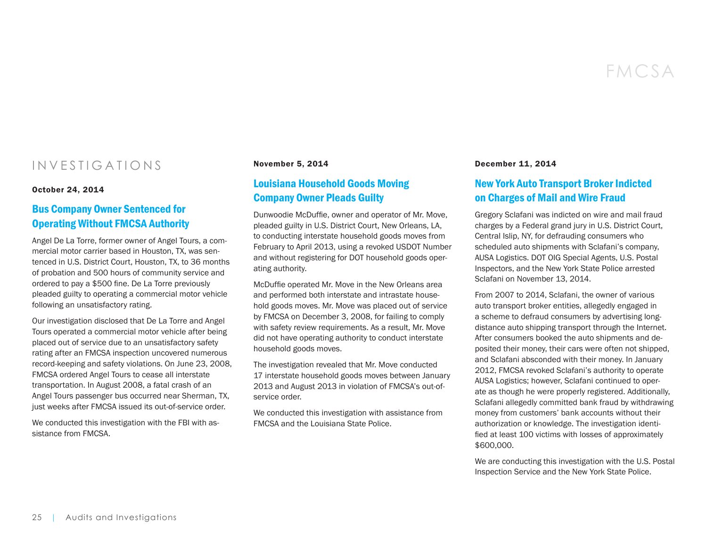# INVESTIGATIONS

#### October 24, 2014

# [Bus Company Owner Sentenced for](https://www.oig.dot.gov/library-item/32244)  [Operating Without FMCSA Authority](https://www.oig.dot.gov/library-item/32244)

Angel De La Torre, former owner of Angel Tours, a commercial motor carrier based in Houston, TX, was sentenced in U.S. District Court, Houston, TX, to 36 months of probation and 500 hours of community service and ordered to pay a \$500 fine. De La Torre previously pleaded guilty to operating a commercial motor vehicle following an unsatisfactory rating.

Our investigation disclosed that De La Torre and Angel Tours operated a commercial motor vehicle after being placed out of service due to an unsatisfactory safety rating after an FMCSA inspection uncovered numerous record-keeping and safety violations. On June 23, 2008, FMCSA ordered Angel Tours to cease all interstate transportation. In August 2008, a fatal crash of an Angel Tours passenger bus occurred near Sherman, TX, just weeks after FMCSA issued its out-of-service order.

We conducted this investigation with the FBI with assistance from FMCSA

#### November 5, 2014

## [Louisiana Household Goods Moving](https://www.oig.dot.gov/library-item/32246)  [Company Owner Pleads Guilty](https://www.oig.dot.gov/library-item/32246)

Dunwoodie McDuffie, owner and operator of Mr. Move, pleaded guilty in U.S. District Court, New Orleans, LA, to conducting interstate household goods moves from February to April 2013, using a revoked USDOT Number and without registering for DOT household goods operating authority.

McDuffie operated Mr. Move in the New Orleans area and performed both interstate and intrastate household goods moves. Mr. Move was placed out of service by FMCSA on December 3, 2008, for failing to comply with safety review requirements. As a result, Mr. Move did not have operating authority to conduct interstate household goods moves.

The investigation revealed that Mr. Move conducted 17 interstate household goods moves between January 2013 and August 2013 in violation of FMCSA's out-ofservice order.

We conducted this investigation with assistance from FMCSA and the Louisiana State Police.

#### December 11, 2014

## [New York Auto Transport Broker Indicted](https://www.oig.dot.gov/library-item/32304)  [on Charges of Mail and Wire Fraud](https://www.oig.dot.gov/library-item/32304)

Gregory Sclafani was indicted on wire and mail fraud charges by a Federal grand jury in U.S. District Court, Central Islip, NY, for defrauding consumers who scheduled auto shipments with Sclafani's company, AUSA Logistics. DOT OIG Special Agents, U.S. Postal Inspectors, and the New York State Police arrested Sclafani on November 13, 2014.

From 2007 to 2014, Sclafani, the owner of various auto transport broker entities, allegedly engaged in a scheme to defraud consumers by advertising longdistance auto shipping transport through the Internet. After consumers booked the auto shipments and deposited their money, their cars were often not shipped, and Sclafani absconded with their money. In January 2012, FMCSA revoked Sclafani's authority to operate AUSA Logistics; however, Sclafani continued to operate as though he were properly registered. Additionally, Sclafani allegedly committed bank fraud by withdrawing money from customers' bank accounts without their authorization or knowledge. The investigation identified at least 100 victims with losses of approximately \$600,000.

We are conducting this investigation with the U.S. Postal Inspection Service and the New York State Police.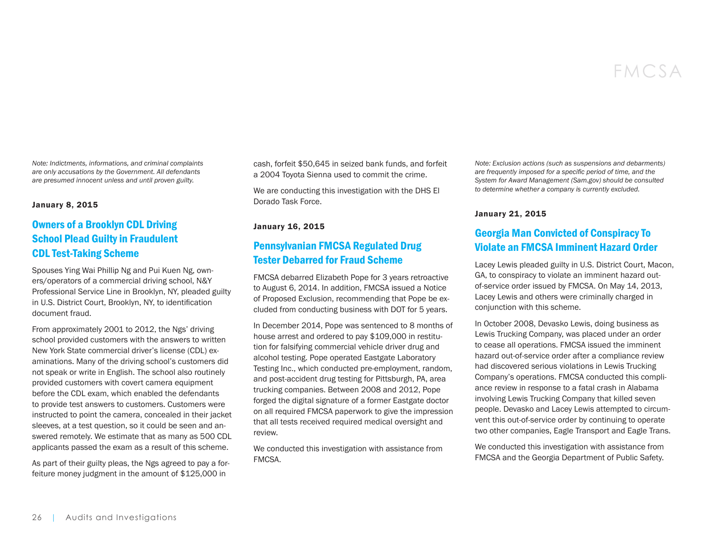*Note: Indictments, informations, and criminal complaints are only accusations by the Government. All defendants are presumed innocent unless and until proven guilty.* 

#### January 8, 2015

# [Owners of a Brooklyn CDL Driving](https://www.oig.dot.gov/library-item/32326)  [School Plead Guilty in Fraudulent](https://www.oig.dot.gov/library-item/32326)  [CDL Test-Taking Scheme](https://www.oig.dot.gov/library-item/32326)

Spouses Ying Wai Phillip Ng and Pui Kuen Ng, owners/operators of a commercial driving school, N&Y Professional Service Line in Brooklyn, NY, pleaded guilty in U.S. District Court, Brooklyn, NY, to identification document fraud.

From approximately 2001 to 2012, the Ngs' driving school provided customers with the answers to written New York State commercial driver's license (CDL) examinations. Many of the driving school's customers did not speak or write in English. The school also routinely provided customers with covert camera equipment before the CDL exam, which enabled the defendants to provide test answers to customers. Customers were instructed to point the camera, concealed in their jacket sleeves, at a test question, so it could be seen and answered remotely. We estimate that as many as 500 CDL applicants passed the exam as a result of this scheme.

As part of their guilty pleas, the Ngs agreed to pay a forfeiture money judgment in the amount of \$125,000 in

cash, forfeit \$50,645 in seized bank funds, and forfeit a 2004 Toyota Sienna used to commit the crime.

We are conducting this investigation with the DHS El Dorado Task Force.

#### January 16, 2015

# [Pennsylvanian FMCSA Regulated Drug](https://www.oig.dot.gov/library-item/32341)  [Tester Debarred for Fraud Scheme](https://www.oig.dot.gov/library-item/32341)

FMCSA debarred Elizabeth Pope for 3 years retroactive to August 6, 2014. In addition, FMCSA issued a Notice of Proposed Exclusion, recommending that Pope be excluded from conducting business with DOT for 5 years.

In December 2014, Pope was sentenced to 8 months of house arrest and ordered to pay \$109,000 in restitution for falsifying commercial vehicle driver drug and alcohol testing. Pope operated Eastgate Laboratory Testing Inc., which conducted pre-employment, random, and post-accident drug testing for Pittsburgh, PA, area trucking companies. Between 2008 and 2012, Pope forged the digital signature of a former Eastgate doctor on all required FMCSA paperwork to give the impression that all tests received required medical oversight and review.

We conducted this investigation with assistance from FMCSA.

*Note: Exclusion actions (such as suspensions and debarments) are frequently imposed for a specific period of time, and the System for Award Management (Sam.gov) should be consulted to determine whether a company is currently excluded.* 

#### January 21, 2015

# [Georgia Man Convicted of Conspiracy To](https://www.oig.dot.gov/library-item/32342)  [Violate an FMCSA Imminent Hazard Order](https://www.oig.dot.gov/library-item/32342)

Lacey Lewis pleaded guilty in U.S. District Court, Macon, GA, to conspiracy to violate an imminent hazard outof-service order issued by FMCSA. On May 14, 2013, Lacey Lewis and others were criminally charged in conjunction with this scheme.

In October 2008, Devasko Lewis, doing business as Lewis Trucking Company, was placed under an order to cease all operations. FMCSA issued the imminent hazard out-of-service order after a compliance review had discovered serious violations in Lewis Trucking Company's operations. FMCSA conducted this compliance review in response to a fatal crash in Alabama involving Lewis Trucking Company that killed seven people. Devasko and Lacey Lewis attempted to circumvent this out-of-service order by continuing to operate two other companies, Eagle Transport and Eagle Trans.

We conducted this investigation with assistance from FMCSA and the Georgia Department of Public Safety.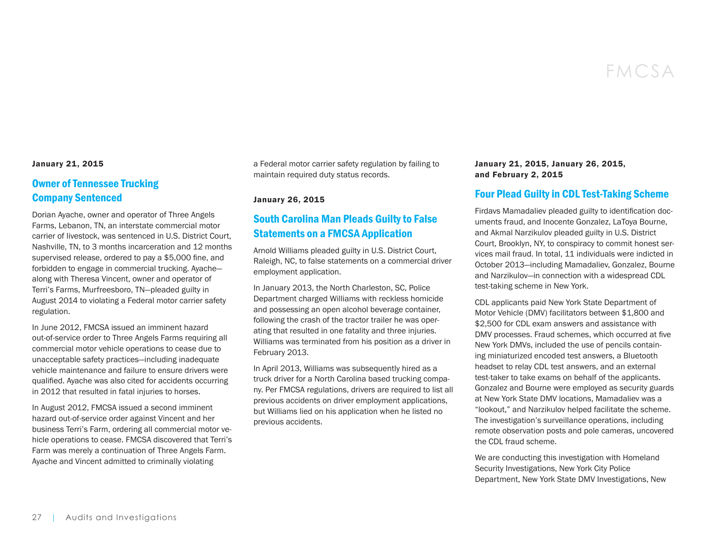#### January 21, 2015

# [Owner of Tennessee Trucking](https://www.oig.dot.gov/library-item/32344)  [Company Sentenced](https://www.oig.dot.gov/library-item/32344)

Dorian Ayache, owner and operator of Three Angels Farms, Lebanon, TN, an interstate commercial motor carrier of livestock, was sentenced in U.S. District Court, Nashville, TN, to 3 months incarceration and 12 months supervised release, ordered to pay a \$5,000 fine, and forbidden to engage in commercial trucking. Ayache along with Theresa Vincent, owner and operator of Terri's Farms, Murfreesboro, TN—pleaded guilty in August 2014 to violating a Federal motor carrier safety regulation.

In June 2012, FMCSA issued an imminent hazard out-of-service order to Three Angels Farms requiring all commercial motor vehicle operations to cease due to unacceptable safety practices—including inadequate vehicle maintenance and failure to ensure drivers were qualified. Ayache was also cited for accidents occurring in 2012 that resulted in fatal injuries to horses.

In August 2012, FMCSA issued a second imminent hazard out-of-service order against Vincent and her business Terri's Farm, ordering all commercial motor vehicle operations to cease. FMCSA discovered that Terri's Farm was merely a continuation of Three Angels Farm. Ayache and Vincent admitted to criminally violating

a Federal motor carrier safety regulation by failing to maintain required duty status records.

January 26, 2015

# [South Carolina Man Pleads Guilty to False](https://www.oig.dot.gov/library-item/32346)  [Statements on a FMCSA Application](https://www.oig.dot.gov/library-item/32346)

Arnold Williams pleaded guilty in U.S. District Court, Raleigh, NC, to false statements on a commercial driver employment application.

In January 2013, the North Charleston, SC, Police Department charged Williams with reckless homicide and possessing an open alcohol beverage container, following the crash of the tractor trailer he was operating that resulted in one fatality and three injuries. Williams was terminated from his position as a driver in February 2013.

In April 2013, Williams was subsequently hired as a truck driver for a North Carolina based trucking company. Per FMCSA regulations, drivers are required to list all previous accidents on driver employment applications, but Williams lied on his application when he listed no previous accidents.

#### January 21, 2015, January 26, 2015, and February 2, 2015

### [Four Plead Guilty in CDL Test-Taking Scheme](https://www.oig.dot.gov/library-item/32351)

Firdavs Mamadaliev pleaded guilty to identification documents fraud, and Inocente Gonzalez, LaToya Bourne, and Akmal Narzikulov pleaded guilty in U.S. District Court, Brooklyn, NY, to conspiracy to commit honest services mail fraud. In total, 11 individuals were indicted in October 2013—including Mamadaliev, Gonzalez, Bourne and Narzikulov—in connection with a widespread CDL test-taking scheme in New York.

CDL applicants paid New York State Department of Motor Vehicle (DMV) facilitators between \$1,800 and \$2,500 for CDL exam answers and assistance with DMV processes. Fraud schemes, which occurred at five New York DMVs, included the use of pencils containing miniaturized encoded test answers, a Bluetooth headset to relay CDL test answers, and an external test-taker to take exams on behalf of the applicants. Gonzalez and Bourne were employed as security guards at New York State DMV locations, Mamadaliev was a "lookout," and Narzikulov helped facilitate the scheme. The investigation's surveillance operations, including remote observation posts and pole cameras, uncovered the CDL fraud scheme.

We are conducting this investigation with Homeland Security Investigations, New York City Police Department, New York State DMV Investigations, New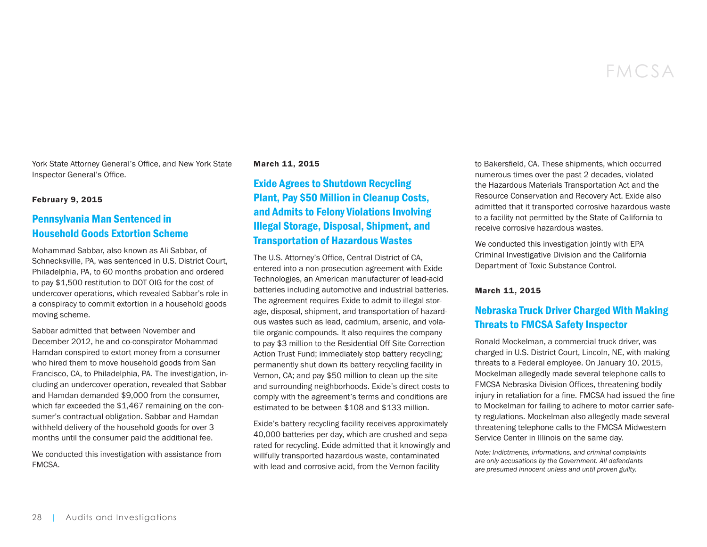York State Attorney General's Office, and New York State Inspector General's Office.

#### February 9, 2015

# [Pennsylvania Man Sentenced in](https://www.oig.dot.gov/library-item/32365)  [Household Goods Extortion Scheme](https://www.oig.dot.gov/library-item/32365)

Mohammad Sabbar, also known as Ali Sabbar, of Schnecksville, PA, was sentenced in U.S. District Court, Philadelphia, PA, to 60 months probation and ordered to pay \$1,500 restitution to DOT OIG for the cost of undercover operations, which revealed Sabbar's role in a conspiracy to commit extortion in a household goods moving scheme.

Sabbar admitted that between November and December 2012, he and co-conspirator Mohammad Hamdan conspired to extort money from a consumer who hired them to move household goods from San Francisco, CA, to Philadelphia, PA. The investigation, including an undercover operation, revealed that Sabbar and Hamdan demanded \$9,000 from the consumer, which far exceeded the \$1,467 remaining on the consumer's contractual obligation. Sabbar and Hamdan withheld delivery of the household goods for over 3 months until the consumer paid the additional fee.

We conducted this investigation with assistance from FMCSA.

#### March 11, 2015

# [Exide Agrees to Shutdown Recycling](https://www.oig.dot.gov/library-item/32407)  [Plant, Pay \\$50 Million in Cleanup Costs,](https://www.oig.dot.gov/library-item/32407)  [and Admits to Felony Violations Involving](https://www.oig.dot.gov/library-item/32407)  [Illegal Storage, Disposal, Shipment, and](https://www.oig.dot.gov/library-item/32407)  [Transportation of Hazardous Wastes](https://www.oig.dot.gov/library-item/32407)

The U.S. Attorney's Office, Central District of CA, entered into a non-prosecution agreement with Exide Technologies, an American manufacturer of lead-acid batteries including automotive and industrial batteries. The agreement requires Exide to admit to illegal storage, disposal, shipment, and transportation of hazardous wastes such as lead, cadmium, arsenic, and volatile organic compounds. It also requires the company to pay \$3 million to the Residential Off-Site Correction Action Trust Fund; immediately stop battery recycling; permanently shut down its battery recycling facility in Vernon, CA; and pay \$50 million to clean up the site and surrounding neighborhoods. Exide's direct costs to comply with the agreement's terms and conditions are estimated to be between \$108 and \$133 million.

Exide's battery recycling facility receives approximately 40,000 batteries per day, which are crushed and separated for recycling. Exide admitted that it knowingly and willfully transported hazardous waste, contaminated with lead and corrosive acid, from the Vernon facility

to Bakersfield, CA. These shipments, which occurred numerous times over the past 2 decades, violated the Hazardous Materials Transportation Act and the Resource Conservation and Recovery Act. Exide also admitted that it transported corrosive hazardous waste to a facility not permitted by the State of California to receive corrosive hazardous wastes.

We conducted this investigation jointly with EPA Criminal Investigative Division and the California Department of Toxic Substance Control.

#### March 11, 2015

# [Nebraska Truck Driver Charged With Making](https://www.oig.dot.gov/library-item/32429)  [Threats to FMCSA Safety Inspector](https://www.oig.dot.gov/library-item/32429)

Ronald Mockelman, a commercial truck driver, was charged in U.S. District Court, Lincoln, NE, with making threats to a Federal employee. On January 10, 2015, Mockelman allegedly made several telephone calls to FMCSA Nebraska Division Offices, threatening bodily injury in retaliation for a fine. FMCSA had issued the fine to Mockelman for failing to adhere to motor carrier safety regulations. Mockelman also allegedly made several threatening telephone calls to the FMCSA Midwestern Service Center in Illinois on the same day.

*Note: Indictments, informations, and criminal complaints are only accusations by the Government. All defendants are presumed innocent unless and until proven guilty.*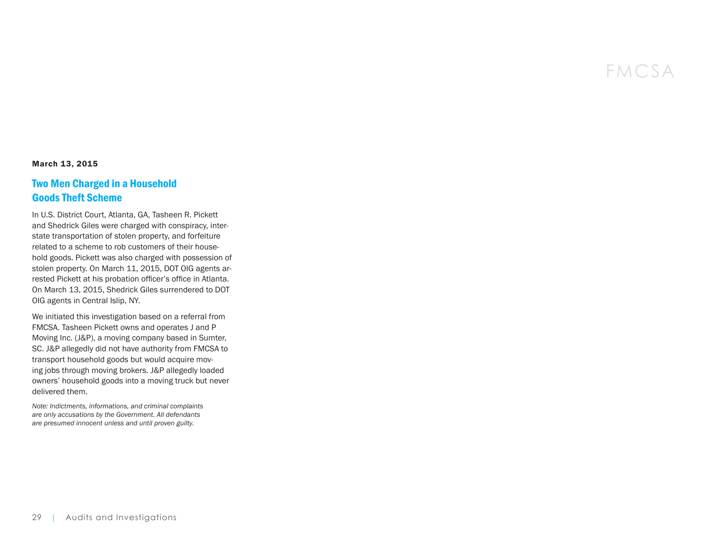#### March 13, 2015

## [Two Men Charged in a Household](https://www.oig.dot.gov/library-item/32425)  [Goods Theft Scheme](https://www.oig.dot.gov/library-item/32425)

In U.S. District Court, Atlanta, GA, Tasheen R. Pickett and Shedrick Giles were charged with conspiracy, interstate transportation of stolen property, and forfeiture related to a scheme to rob customers of their household goods. Pickett was also charged with possession of stolen property. On March 11, 2015, DOT OIG agents arrested Pickett at his probation officer's office in Atlanta. On March 13, 2015, Shedrick Giles surrendered to DOT OIG agents in Central Islip, NY.

We initiated this investigation based on a referral from FMCSA. Tasheen Pickett owns and operates J and P Moving Inc. (J&P), a moving company based in Sumter, SC. J&P allegedly did not have authority from FMCSA to transport household goods but would acquire moving jobs through moving brokers. J&P allegedly loaded owners' household goods into a moving truck but never delivered them.

*Note: Indictments, informations, and criminal complaints are only accusations by the Government. All defendants are presumed innocent unless and until proven guilty.*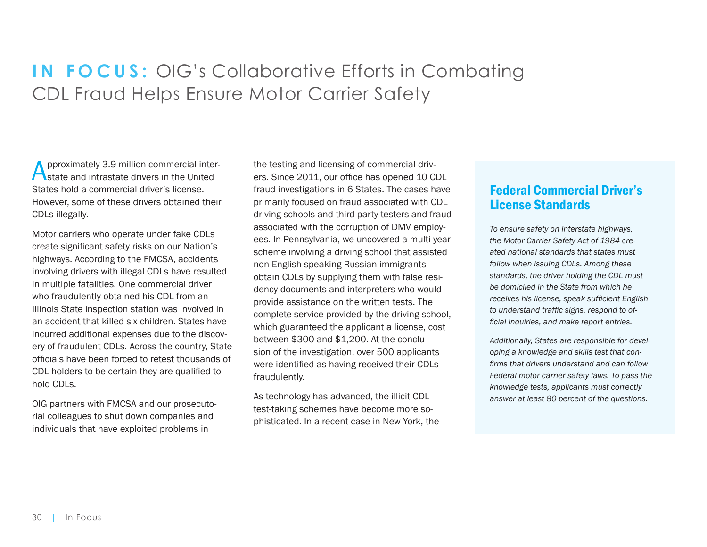# <span id="page-29-0"></span>**IN FOCUS:** OIG's Collaborative Efforts in Combating CDL Fraud Helps Ensure Motor Carrier Safety

pproximately 3.9 million commercial interstate and intrastate drivers in the United States hold a commercial driver's license. However, some of these drivers obtained their CDLs illegally.

Motor carriers who operate under fake CDLs create significant safety risks on our Nation's highways. According to the FMCSA, accidents involving drivers with illegal CDLs have resulted in multiple fatalities. One commercial driver who fraudulently obtained his CDL from an Illinois State inspection station was involved in an accident that killed six children. States have incurred additional expenses due to the discovery of fraudulent CDLs. Across the country, State officials have been forced to retest thousands of CDL holders to be certain they are qualified to hold CDLs.

OIG partners with FMCSA and our prosecutorial colleagues to shut down companies and individuals that have exploited problems in

the testing and licensing of commercial drivers. Since 2011, our office has opened 10 CDL fraud investigations in 6 States. The cases have primarily focused on fraud associated with CDL driving schools and third-party testers and fraud associated with the corruption of DMV employees. In Pennsylvania, we uncovered a multi-year scheme involving a driving school that assisted non-English speaking Russian immigrants obtain CDLs by supplying them with false residency documents and interpreters who would provide assistance on the written tests. The complete service provided by the driving school, which guaranteed the applicant a license, cost between \$300 and \$1,200. At the conclusion of the investigation, over 500 applicants were identified as having received their CDLs fraudulently.

As technology has advanced, the illicit CDL test-taking schemes have become more sophisticated. In a recent case in New York, the

# Federal Commercial Driver's License Standards

*To ensure safety on interstate highways, the Motor Carrier Safety Act of 1984 created national standards that states must follow when issuing CDLs. Among these standards, the driver holding the CDL must be domiciled in the State from which he receives his license, speak sufficient English to understand traffic signs, respond to official inquiries, and make report entries.* 

*Additionally, States are responsible for developing a knowledge and skills test that confirms that drivers understand and can follow Federal motor carrier safety laws. To pass the knowledge tests, applicants must correctly answer at least 80 percent of the questions.*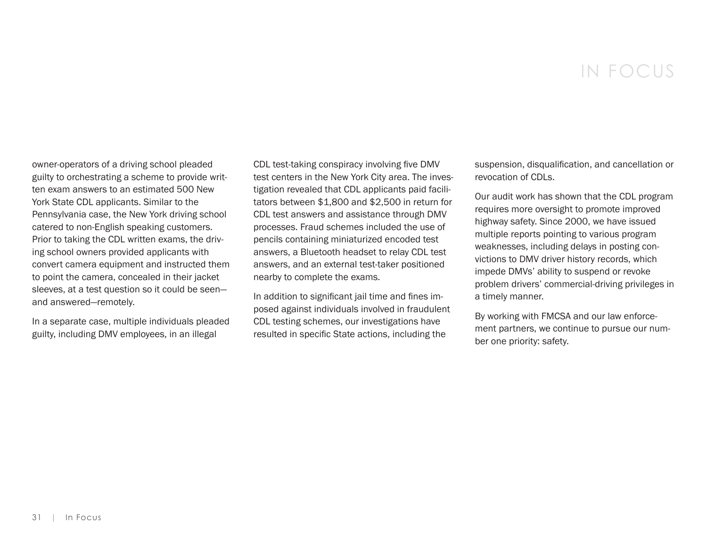# IN FOCUS

owner-operators of a driving school pleaded guilty to orchestrating a scheme to provide written exam answers to an estimated 500 New York State CDL applicants. Similar to the Pennsylvania case, the New York driving school catered to non-English speaking customers. Prior to taking the CDL written exams, the driving school owners provided applicants with convert camera equipment and instructed them to point the camera, concealed in their jacket sleeves, at a test question so it could be seen and answered—remotely.

In a separate case, multiple individuals pleaded guilty, including DMV employees, in an illegal

CDL test-taking conspiracy involving five DMV test centers in the New York City area. The investigation revealed that CDL applicants paid facilitators between \$1,800 and \$2,500 in return for CDL test answers and assistance through DMV processes. Fraud schemes included the use of pencils containing miniaturized encoded test answers, a Bluetooth headset to relay CDL test answers, and an external test-taker positioned nearby to complete the exams.

In addition to significant jail time and fines imposed against individuals involved in fraudulent CDL testing schemes, our investigations have resulted in specific State actions, including the

suspension, disqualification, and cancellation or revocation of CDLs.

Our audit work has shown that the CDL program requires more oversight to promote improved highway safety. Since 2000, we have issued multiple reports pointing to various program weaknesses, including delays in posting convictions to DMV driver history records, which impede DMVs' ability to suspend or revoke problem drivers' commercial-driving privileges in a timely manner.

By working with FMCSA and our law enforcement partners, we continue to pursue our number one priority: safety.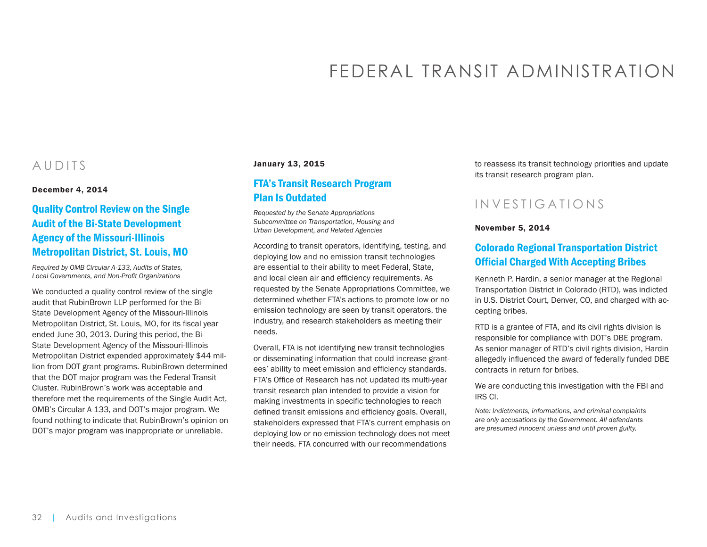# FEDERAL TRANSIT ADMINISTRATION

# <span id="page-31-0"></span>AUDITS

December 4, 2014

# [Quality Control Review on the Single](https://www.oig.dot.gov/library-item/32389)  [Audit of the Bi-State Development](https://www.oig.dot.gov/library-item/32389)  [Agency of the Missouri-Illinois](https://www.oig.dot.gov/library-item/32389)  [Metropolitan District, St. Louis, MO](https://www.oig.dot.gov/library-item/32389)

*Required by OMB Circular A-133, Audits of States, Local Governments, and Non-Profit Organizations*

We conducted a quality control review of the single audit that RubinBrown LLP performed for the Bi-State Development Agency of the Missouri-Illinois Metropolitan District, St. Louis, MO, for its fiscal year ended June 30, 2013. During this period, the Bi-State Development Agency of the Missouri-Illinois Metropolitan District expended approximately \$44 million from DOT grant programs. RubinBrown determined that the DOT major program was the Federal Transit Cluster. RubinBrown's work was acceptable and therefore met the requirements of the Single Audit Act, OMB's Circular A-133, and DOT's major program. We found nothing to indicate that RubinBrown's opinion on DOT's major program was inappropriate or unreliable.

#### January 13, 2015

## [FTA's Transit Research Program](https://www.oig.dot.gov/library-item/32323)  [Plan Is Outdated](https://www.oig.dot.gov/library-item/32323)

*Requested by the Senate Appropriations Subcommittee on Transportation, Housing and Urban Development, and Related Agencies* 

According to transit operators, identifying, testing, and deploying low and no emission transit technologies are essential to their ability to meet Federal, State, and local clean air and efficiency requirements. As requested by the Senate Appropriations Committee, we determined whether FTA's actions to promote low or no emission technology are seen by transit operators, the industry, and research stakeholders as meeting their needs.

Overall, FTA is not identifying new transit technologies or disseminating information that could increase grantees' ability to meet emission and efficiency standards. FTA's Office of Research has not updated its multi-year transit research plan intended to provide a vision for making investments in specific technologies to reach defined transit emissions and efficiency goals. Overall, stakeholders expressed that FTA's current emphasis on deploying low or no emission technology does not meet their needs. FTA concurred with our recommendations

to reassess its transit technology priorities and update its transit research program plan.

# INVESTIGATIONS

#### November 5, 2014

# [Colorado Regional Transportation District](https://www.oig.dot.gov/library-item/32254)  [Official Charged With Accepting Bribes](https://www.oig.dot.gov/library-item/32254)

Kenneth P. Hardin, a senior manager at the Regional Transportation District in Colorado (RTD), was indicted in U.S. District Court, Denver, CO, and charged with accepting bribes.

RTD is a grantee of FTA, and its civil rights division is responsible for compliance with DOT's DBE program. As senior manager of RTD's civil rights division, Hardin allegedly influenced the award of federally funded DBE contracts in return for bribes.

We are conducting this investigation with the FBI and IRS CI.

*Note: Indictments, informations, and criminal complaints are only accusations by the Government. All defendants are presumed innocent unless and until proven guilty.*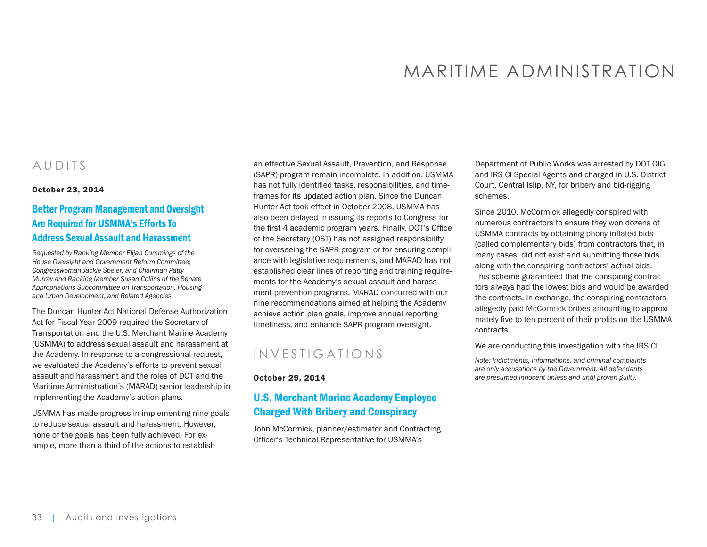# MARITIME ADMINISTRATION

# <span id="page-32-0"></span>AUDITS

#### October 23, 2014

# [Better Program Management and Oversight](https://www.oig.dot.gov/library-item/32214)  [Are Required for USMMA's Efforts To](https://www.oig.dot.gov/library-item/32214)  [Address Sexual Assault and Harassment](https://www.oig.dot.gov/library-item/32214)

*Requested by Ranking Member Elijah Cummings of the House Oversight and Government Reform Committee; Congresswoman Jackie Speier; and Chairman Patty Murray and Ranking Member Susan Collins of the Senate Appropriations Subcommittee on Transportation, Housing and Urban Development, and Related Agencies*

The Duncan Hunter Act National Defense Authorization Act for Fiscal Year 2009 required the Secretary of Transportation and the U.S. Merchant Marine Academy (USMMA) to address sexual assault and harassment at the Academy. In response to a congressional request, we evaluated the Academy's efforts to prevent sexual assault and harassment and the roles of DOT and the Maritime Administration's (MARAD) senior leadership in implementing the Academy's action plans.

USMMA has made progress in implementing nine goals to reduce sexual assault and harassment. However, none of the goals has been fully achieved. For example, more than a third of the actions to establish

an effective Sexual Assault, Prevention, and Response (SAPR) program remain incomplete. In addition, USMMA has not fully identified tasks, responsibilities, and timeframes for its updated action plan. Since the Duncan Hunter Act took effect in October 2008, USMMA has also been delayed in issuing its reports to Congress for the first 4 academic program years. Finally, DOT's Office of the Secretary (OST) has not assigned responsibility for overseeing the SAPR program or for ensuring compliance with legislative requirements, and MARAD has not established clear lines of reporting and training requirements for the Academy's sexual assault and harassment prevention programs. MARAD concurred with our nine recommendations aimed at helping the Academy achieve action plan goals, improve annual reporting timeliness, and enhance SAPR program oversight.

# INVESTIGATIONS

October 29, 2014

# [U.S. Merchant Marine Academy Employee](https://www.oig.dot.gov/library-item/32241)  [Charged With Bribery and Conspiracy](https://www.oig.dot.gov/library-item/32241)

John McCormick, planner/estimator and Contracting Officer's Technical Representative for USMMA's

Department of Public Works was arrested by DOT OIG and IRS CI Special Agents and charged in U.S. District Court, Central Islip, NY, for bribery and bid-rigging schemes.

Since 2010, McCormick allegedly conspired with numerous contractors to ensure they won dozens of USMMA contracts by obtaining phony inflated bids (called complementary bids) from contractors that, in many cases, did not exist and submitting those bids along with the conspiring contractors' actual bids. This scheme guaranteed that the conspiring contractors always had the lowest bids and would be awarded the contracts. In exchange, the conspiring contractors allegedly paid McCormick bribes amounting to approximately five to ten percent of their profits on the USMMA contracts.

We are conducting this investigation with the IRS CI.

*Note: Indictments, informations, and criminal complaints are only accusations by the Government. All defendants are presumed innocent unless and until proven guilty.*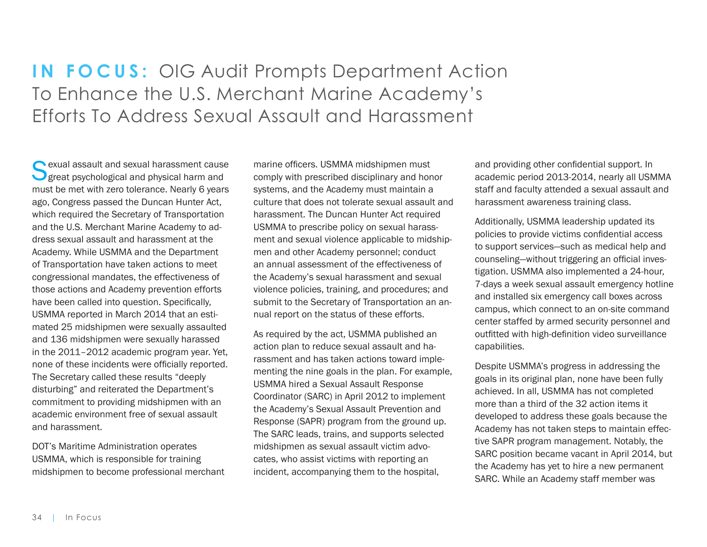# <span id="page-33-0"></span>**IN FOCUS:** OIG Audit Prompts Department Action To Enhance the U.S. Merchant Marine Academy's Efforts To Address Sexual Assault and Harassment

Sexual assault and sexual harassment cause<br>Sexual psychological and physical harm and must be met with zero tolerance. Nearly 6 years ago, Congress passed the Duncan Hunter Act, which required the Secretary of Transportation and the U.S. Merchant Marine Academy to address sexual assault and harassment at the Academy. While USMMA and the Department of Transportation have taken actions to meet congressional mandates, the effectiveness of those actions and Academy prevention efforts have been called into question. Specifically, USMMA reported in March 2014 that an estimated 25 midshipmen were sexually assaulted and 136 midshipmen were sexually harassed in the 2011–2012 academic program year. Yet, none of these incidents were officially reported. The Secretary called these results "deeply disturbing" and reiterated the Department's commitment to providing midshipmen with an academic environment free of sexual assault and harassment.

DOT's Maritime Administration operates USMMA, which is responsible for training midshipmen to become professional merchant

marine officers. USMMA midshipmen must comply with prescribed disciplinary and honor systems, and the Academy must maintain a culture that does not tolerate sexual assault and harassment. The Duncan Hunter Act required USMMA to prescribe policy on sexual harassment and sexual violence applicable to midshipmen and other Academy personnel; conduct an annual assessment of the effectiveness of the Academy's sexual harassment and sexual violence policies, training, and procedures; and submit to the Secretary of Transportation an annual report on the status of these efforts.

As required by the act, USMMA published an action plan to reduce sexual assault and harassment and has taken actions toward implementing the nine goals in the plan. For example, USMMA hired a Sexual Assault Response Coordinator (SARC) in April 2012 to implement the Academy's Sexual Assault Prevention and Response (SAPR) program from the ground up. The SARC leads, trains, and supports selected midshipmen as sexual assault victim advocates, who assist victims with reporting an incident, accompanying them to the hospital,

and providing other confidential support. In academic period 2013-2014, nearly all USMMA staff and faculty attended a sexual assault and harassment awareness training class.

Additionally, USMMA leadership updated its policies to provide victims confidential access to support services—such as medical help and counseling—without triggering an official investigation. USMMA also implemented a 24-hour, 7-days a week sexual assault emergency hotline and installed six emergency call boxes across campus, which connect to an on-site command center staffed by armed security personnel and outfitted with high-definition video surveillance capabilities.

Despite USMMA's progress in addressing the goals in its original plan, none have been fully achieved. In all, USMMA has not completed more than a third of the 32 action items it developed to address these goals because the Academy has not taken steps to maintain effective SAPR program management. Notably, the SARC position became vacant in April 2014, but the Academy has yet to hire a new permanent SARC. While an Academy staff member was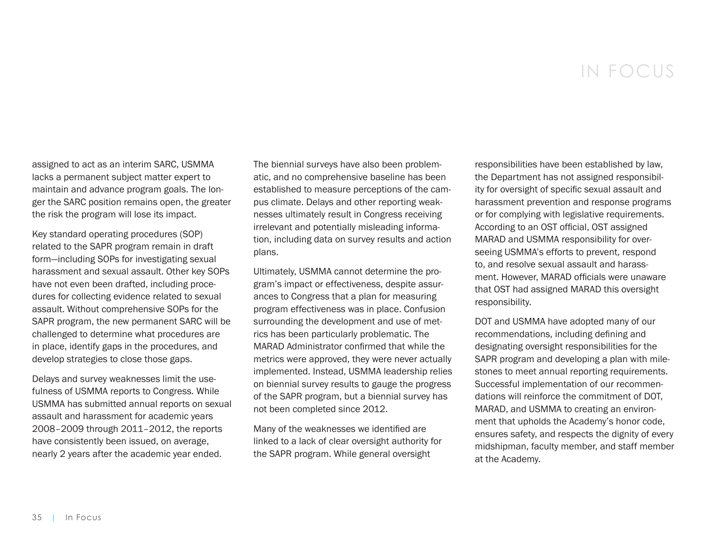# IN FOCUS

assigned to act as an interim SARC, USMMA lacks a permanent subject matter expert to maintain and advance program goals. The longer the SARC position remains open, the greater the risk the program will lose its impact.

Key standard operating procedures (SOP) related to the SAPR program remain in draft form—including SOPs for investigating sexual harassment and sexual assault. Other key SOPs have not even been drafted, including procedures for collecting evidence related to sexual assault. Without comprehensive SOPs for the SAPR program, the new permanent SARC will be challenged to determine what procedures are in place, identify gaps in the procedures, and develop strategies to close those gaps.

Delays and survey weaknesses limit the usefulness of USMMA reports to Congress. While USMMA has submitted annual reports on sexual assault and harassment for academic years 2008–2009 through 2011–2012, the reports have consistently been issued, on average, nearly 2 years after the academic year ended.

The biennial surveys have also been problematic, and no comprehensive baseline has been established to measure perceptions of the campus climate. Delays and other reporting weaknesses ultimately result in Congress receiving irrelevant and potentially misleading information, including data on survey results and action plans.

Ultimately, USMMA cannot determine the program's impact or effectiveness, despite assurances to Congress that a plan for measuring program effectiveness was in place. Confusion surrounding the development and use of metrics has been particularly problematic. The MARAD Administrator confirmed that while the metrics were approved, they were never actually implemented. Instead, USMMA leadership relies on biennial survey results to gauge the progress of the SAPR program, but a biennial survey has not been completed since 2012.

Many of the weaknesses we identified are linked to a lack of clear oversight authority for the SAPR program. While general oversight

responsibilities have been established by law, the Department has not assigned responsibility for oversight of specific sexual assault and harassment prevention and response programs or for complying with legislative requirements. According to an OST official, OST assigned MARAD and USMMA responsibility for overseeing USMMA's efforts to prevent, respond to, and resolve sexual assault and harassment. However, MARAD officials were unaware that OST had assigned MARAD this oversight responsibility.

DOT and USMMA have adopted many of our recommendations, including defining and designating oversight responsibilities for the SAPR program and developing a plan with milestones to meet annual reporting requirements. Successful implementation of our recommendations will reinforce the commitment of DOT, MARAD, and USMMA to creating an environment that upholds the Academy's honor code, ensures safety, and respects the dignity of every midshipman, faculty member, and staff member at the Academy.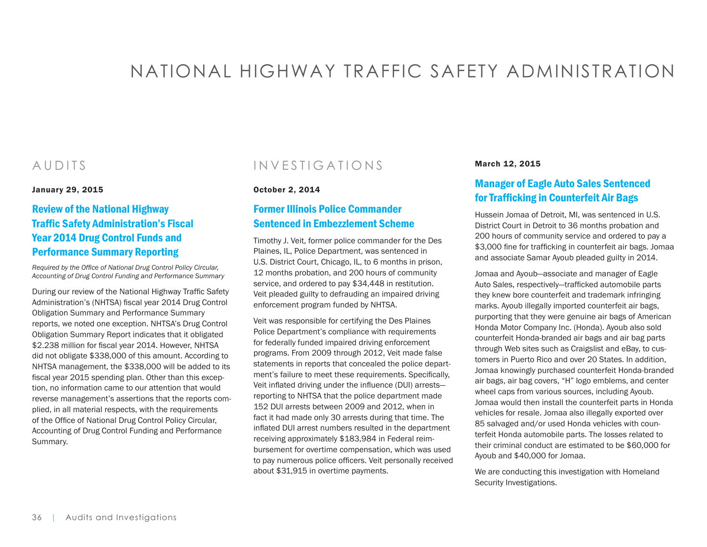# <span id="page-35-0"></span>NATIONAL HIGHWAY TRAFFIC SAFETY ADMINISTRATION

# AUDITS

January 29, 2015

# [Review of the National Highway](https://www.oig.dot.gov/library-item/32392)  [Traffic Safety Administration's Fiscal](https://www.oig.dot.gov/library-item/32392)  [Year 2014 Drug Control Funds and](https://www.oig.dot.gov/library-item/32392)  [Performance Summary Reporting](https://www.oig.dot.gov/library-item/32392)

*Required by the Office of National Drug Control Policy Circular, Accounting of Drug Control Funding and Performance Summary*

During our review of the National Highway Traffic Safety Administration's (NHTSA) fiscal year 2014 Drug Control Obligation Summary and Performance Summary reports, we noted one exception. NHTSA's Drug Control Obligation Summary Report indicates that it obligated \$2.238 million for fiscal year 2014. However, NHTSA did not obligate \$338,000 of this amount. According to NHTSA management, the \$338,000 will be added to its fiscal year 2015 spending plan. Other than this exception, no information came to our attention that would reverse management's assertions that the reports complied, in all material respects, with the requirements of the Office of National Drug Control Policy Circular, Accounting of Drug Control Funding and Performance Summary.

# INVESTIGATIONS

#### October 2, 2014

# [Former Illinois Police Commander](https://www.oig.dot.gov/library-item/32190)  [Sentenced in Embezzlement Scheme](https://www.oig.dot.gov/library-item/32190)

Timothy J. Veit, former police commander for the Des Plaines, IL, Police Department, was sentenced in U.S. District Court, Chicago, IL, to 6 months in prison, 12 months probation, and 200 hours of community service, and ordered to pay \$34,448 in restitution. Veit pleaded guilty to defrauding an impaired driving enforcement program funded by NHTSA.

Veit was responsible for certifying the Des Plaines Police Department's compliance with requirements for federally funded impaired driving enforcement programs. From 2009 through 2012, Veit made false statements in reports that concealed the police department's failure to meet these requirements. Specifically, Veit inflated driving under the influence (DUI) arrests reporting to NHTSA that the police department made 152 DUI arrests between 2009 and 2012, when in fact it had made only 30 arrests during that time. The inflated DUI arrest numbers resulted in the department receiving approximately \$183,984 in Federal reimbursement for overtime compensation, which was used to pay numerous police officers. Veit personally received about \$31,915 in overtime payments.

#### March 12, 2015

# [Manager of Eagle Auto Sales Sentenced](https://www.oig.dot.gov/library-item/32427)  [for Trafficking in Counterfeit Air Bags](https://www.oig.dot.gov/library-item/32427)

Hussein Jomaa of Detroit, MI, was sentenced in U.S. District Court in Detroit to 36 months probation and 200 hours of community service and ordered to pay a \$3,000 fine for trafficking in counterfeit air bags. Jomaa and associate Samar Ayoub pleaded guilty in 2014.

Jomaa and Ayoub—associate and manager of Eagle Auto Sales, respectively—trafficked automobile parts they knew bore counterfeit and trademark infringing marks. Ayoub illegally imported counterfeit air bags, purporting that they were genuine air bags of American Honda Motor Company Inc. (Honda). Ayoub also sold counterfeit Honda-branded air bags and air bag parts through Web sites such as Craigslist and eBay, to customers in Puerto Rico and over 20 States. In addition, Jomaa knowingly purchased counterfeit Honda-branded air bags, air bag covers, "H" logo emblems, and center wheel caps from various sources, including Ayoub. Jomaa would then install the counterfeit parts in Honda vehicles for resale. Jomaa also illegally exported over 85 salvaged and/or used Honda vehicles with counterfeit Honda automobile parts. The losses related to their criminal conduct are estimated to be \$60,000 for Ayoub and \$40,000 for Jomaa.

We are conducting this investigation with Homeland Security Investigations.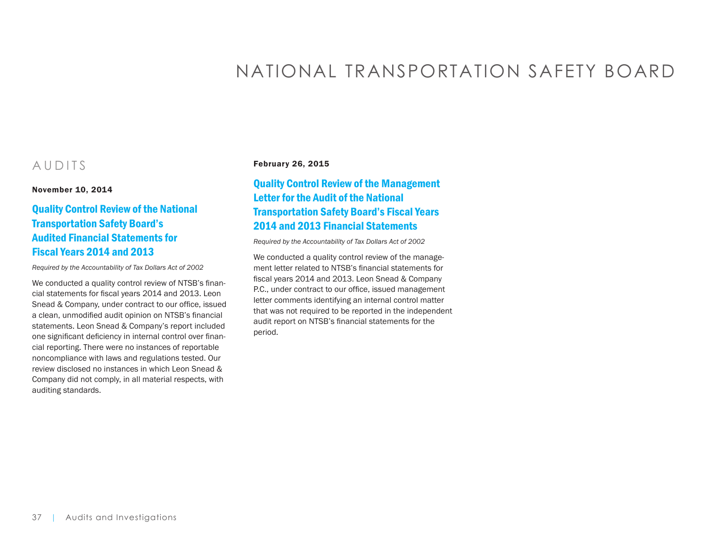# NATIONAL TRANSPORTATION SAFETY BOARD

## AUDITS

November 10, 2014

## [Quality Control Review of the National](https://www.oig.dot.gov/library-item/32397)  [Transportation Safety Board's](https://www.oig.dot.gov/library-item/32397)  [Audited Financial Statements for](https://www.oig.dot.gov/library-item/32397)  [Fiscal Years 2014 and 2013](https://www.oig.dot.gov/library-item/32397)

*Required by the Accountability of Tax Dollars Act of 2002*

We conducted a quality control review of NTSB's financial statements for fiscal years 2014 and 2013. Leon Snead & Company, under contract to our office, issued a clean, unmodified audit opinion on NTSB's financial statements. Leon Snead & Company's report included one significant deficiency in internal control over financial reporting. There were no instances of reportable noncompliance with laws and regulations tested. Our review disclosed no instances in which Leon Snead & Company did not comply, in all material respects, with auditing standards.

#### February 26, 2015

## [Quality Control Review of the Management](https://www.oig.dot.gov/library-item/32370)  [Letter for the Audit of the National](https://www.oig.dot.gov/library-item/32370)  [Transportation Safety Board's Fiscal Years](https://www.oig.dot.gov/library-item/32370)  [2014 and 2013 Financial Statements](https://www.oig.dot.gov/library-item/32370)

*Required by the Accountability of Tax Dollars Act of 2002*

We conducted a quality control review of the management letter related to NTSB's financial statements for fiscal years 2014 and 2013. Leon Snead & Company P.C., under contract to our office, issued management letter comments identifying an internal control matter that was not required to be reported in the independent audit report on NTSB's financial statements for the period.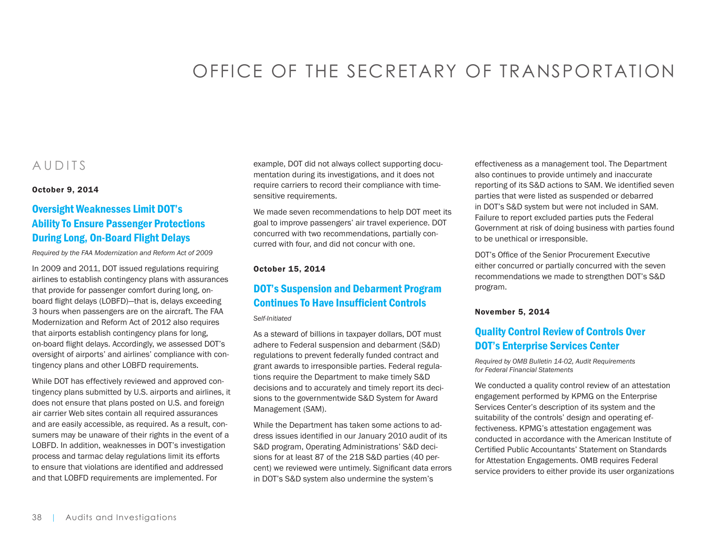# OFFICE OF THE SECRETARY OF TRANSPORTATION

## AUDITS

#### October 9, 2014

## [Oversight Weaknesses Limit DOT's](https://www.oig.dot.gov/library-item/32185)  [Ability To Ensure Passenger Protections](https://www.oig.dot.gov/library-item/32185)  [During Long, On-Board Flight Delays](https://www.oig.dot.gov/library-item/32185)

*Required by the FAA Modernization and Reform Act of 2009*

In 2009 and 2011, DOT issued regulations requiring airlines to establish contingency plans with assurances that provide for passenger comfort during long, onboard flight delays (LOBFD)—that is, delays exceeding 3 hours when passengers are on the aircraft. The FAA Modernization and Reform Act of 2012 also requires that airports establish contingency plans for long, on-board flight delays. Accordingly, we assessed DOT's oversight of airports' and airlines' compliance with contingency plans and other LOBFD requirements.

While DOT has effectively reviewed and approved contingency plans submitted by U.S. airports and airlines, it does not ensure that plans posted on U.S. and foreign air carrier Web sites contain all required assurances and are easily accessible, as required. As a result, consumers may be unaware of their rights in the event of a LOBFD. In addition, weaknesses in DOT's investigation process and tarmac delay regulations limit its efforts to ensure that violations are identified and addressed and that LOBFD requirements are implemented. For

example, DOT did not always collect supporting documentation during its investigations, and it does not require carriers to record their compliance with timesensitive requirements.

We made seven recommendations to help DOT meet its goal to improve passengers' air travel experience. DOT concurred with two recommendations, partially concurred with four, and did not concur with one.

#### October 15, 2014

#### [DOT's Suspension and Debarment Program](https://www.oig.dot.gov/library-item/32201)  [Continues To Have Insufficient Controls](https://www.oig.dot.gov/library-item/32201)

*Self-Initiated*

As a steward of billions in taxpayer dollars, DOT must adhere to Federal suspension and debarment (S&D) regulations to prevent federally funded contract and grant awards to irresponsible parties. Federal regulations require the Department to make timely S&D decisions and to accurately and timely report its decisions to the governmentwide S&D System for Award Management (SAM).

While the Department has taken some actions to address issues identified in our January 2010 audit of its S&D program, Operating Administrations' S&D decisions for at least 87 of the 218 S&D parties (40 percent) we reviewed were untimely. Significant data errors in DOT's S&D system also undermine the system's

effectiveness as a management tool. The Department also continues to provide untimely and inaccurate reporting of its S&D actions to SAM. We identified seven parties that were listed as suspended or debarred in DOT's S&D system but were not included in SAM. Failure to report excluded parties puts the Federal Government at risk of doing business with parties found to be unethical or irresponsible.

DOT's Office of the Senior Procurement Executive either concurred or partially concurred with the seven recommendations we made to strengthen DOT's S&D program.

#### November 5, 2014

#### [Quality Control Review of Controls Over](https://www.oig.dot.gov/library-item/28944)  [DOT's Enterprise Services Center](https://www.oig.dot.gov/library-item/28944)

*Required by OMB Bulletin 14-02, Audit Requirements for Federal Financial Statements*

We conducted a quality control review of an attestation engagement performed by KPMG on the Enterprise Services Center's description of its system and the suitability of the controls' design and operating effectiveness. KPMG's attestation engagement was conducted in accordance with the American Institute of Certified Public Accountants' Statement on Standards for Attestation Engagements. OMB requires Federal service providers to either provide its user organizations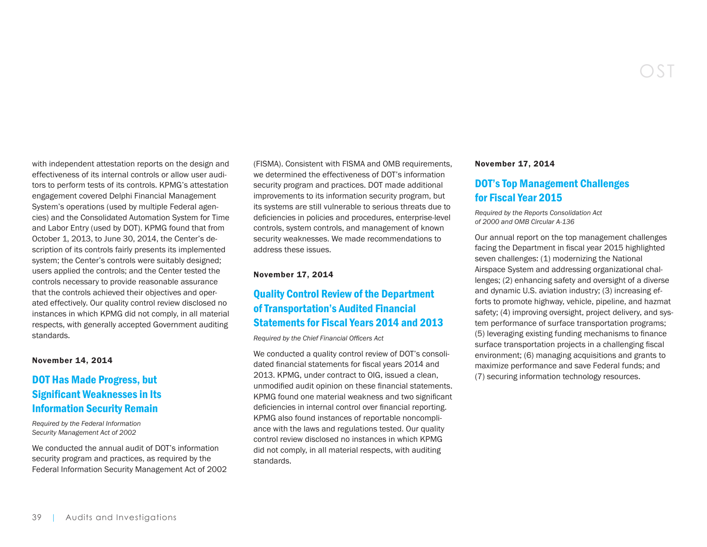with independent attestation reports on the design and effectiveness of its internal controls or allow user auditors to perform tests of its controls. KPMG's attestation engagement covered Delphi Financial Management System's operations (used by multiple Federal agencies) and the Consolidated Automation System for Time and Labor Entry (used by DOT). KPMG found that from

October 1, 2013, to June 30, 2014, the Center's description of its controls fairly presents its implemented system; the Center's controls were suitably designed; users applied the controls; and the Center tested the controls necessary to provide reasonable assurance that the controls achieved their objectives and operated effectively. Our quality control review disclosed no instances in which KPMG did not comply, in all material respects, with generally accepted Government auditing standards.

#### November 14, 2014

### [DOT Has Made Progress, but](https://www.oig.dot.gov/library-item/28785)  [Significant Weaknesses in Its](https://www.oig.dot.gov/library-item/28785)  [Information Security Remain](https://www.oig.dot.gov/library-item/28785)

*Required by the Federal Information Security Management Act of 2002*

We conducted the annual audit of DOT's information security program and practices, as required by the Federal Information Security Management Act of 2002 (FISMA). Consistent with FISMA and OMB requirements, we determined the effectiveness of DOT's information security program and practices. DOT made additional improvements to its information security program, but its systems are still vulnerable to serious threats due to deficiencies in policies and procedures, enterprise-level controls, system controls, and management of known security weaknesses. We made recommendations to address these issues.

#### November 17, 2014

## [Quality Control Review of the Department](https://www.oig.dot.gov/library-item/32270)  [of Transportation's Audited Financial](https://www.oig.dot.gov/library-item/32270)  [Statements for Fiscal Years 2014 and 2013](https://www.oig.dot.gov/library-item/32270)

*Required by the Chief Financial Officers Act*

We conducted a quality control review of DOT's consolidated financial statements for fiscal years 2014 and 2013. KPMG, under contract to OIG, issued a clean, unmodified audit opinion on these financial statements. KPMG found one material weakness and two significant deficiencies in internal control over financial reporting. KPMG also found instances of reportable noncompliance with the laws and regulations tested. Our quality control review disclosed no instances in which KPMG did not comply, in all material respects, with auditing standards.

#### November 17, 2014

#### [DOT's Top Management Challenges](https://www.oig.dot.gov/library-item/32250)  [for Fiscal Year 2015](https://www.oig.dot.gov/library-item/32250)

OST

*Required by the Reports Consolidation Act of 2000 and OMB Circular A-136*

Our annual report on the top management challenges facing the Department in fiscal year 2015 highlighted seven challenges: (1) modernizing the National Airspace System and addressing organizational challenges; (2) enhancing safety and oversight of a diverse and dynamic U.S. aviation industry; (3) increasing efforts to promote highway, vehicle, pipeline, and hazmat safety; (4) improving oversight, project delivery, and system performance of surface transportation programs; (5) leveraging existing funding mechanisms to finance surface transportation projects in a challenging fiscal environment; (6) managing acquisitions and grants to maximize performance and save Federal funds; and (7) securing information technology resources.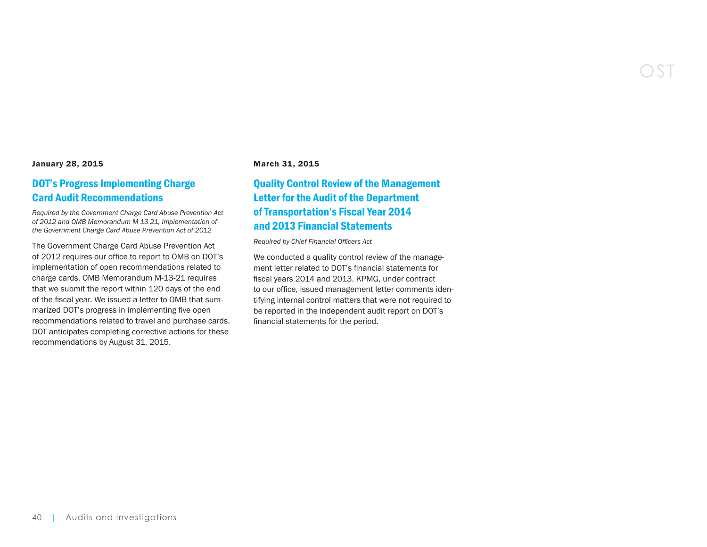#### January 28, 2015

#### [DOT's Progress Implementing Charge](https://www.oig.dot.gov/library-item/32440)  [Card Audit Recommendations](https://www.oig.dot.gov/library-item/32440)

*Required by the Government Charge Card Abuse Prevention Act of 2012 and OMB Memorandum M 13 21, Implementation of the Government Charge Card Abuse Prevention Act of 2012*

The Government Charge Card Abuse Prevention Act of 2012 requires our office to report to OMB on DOT's implementation of open recommendations related to charge cards. OMB Memorandum M-13-21 requires that we submit the report within 120 days of the end of the fiscal year. We issued a letter to OMB that summarized DOT's progress in implementing five open recommendations related to travel and purchase cards. DOT anticipates completing corrective actions for these recommendations by August 31, 2015.

#### March 31, 2015

## [Quality Control Review of the Management](https://www.oig.dot.gov/library-item/32443)  [Letter for the Audit of the Department](https://www.oig.dot.gov/library-item/32443)  [of Transportation's Fiscal Year 2014](https://www.oig.dot.gov/library-item/32443)  [and 2013 Financial Statements](https://www.oig.dot.gov/library-item/32443)

*Required by Chief Financial Officers Act* 

We conducted a quality control review of the management letter related to DOT's financial statements for fiscal years 2014 and 2013. KPMG, under contract to our office, issued management letter comments identifying internal control matters that were not required to be reported in the independent audit report on DOT's financial statements for the period.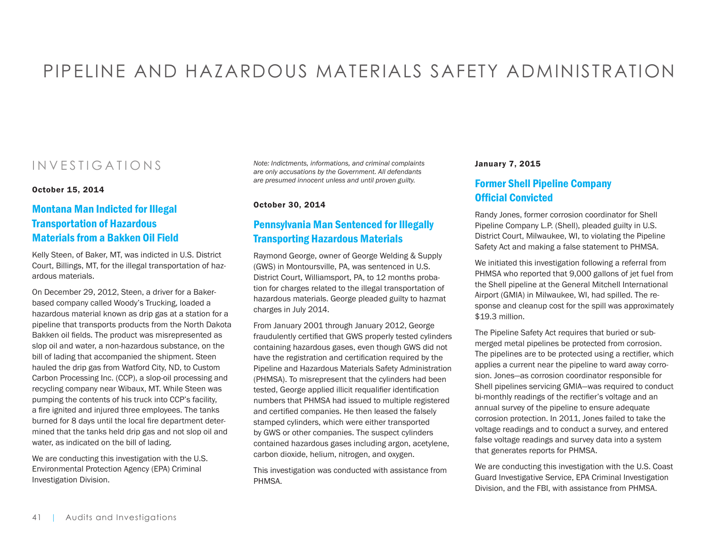# PIPELINE AND HAZARDOUS MATERIALS SAFETY ADMINISTRATION

## INVESTIGATIONS

October 15, 2014

## [Montana Man Indicted for Illegal](https://www.oig.dot.gov/library-item/32253)  [Transportation of Hazardous](https://www.oig.dot.gov/library-item/32253)  [Materials from a Bakken Oil Field](https://www.oig.dot.gov/library-item/32253)

Kelly Steen, of Baker, MT, was indicted in U.S. District Court, Billings, MT, for the illegal transportation of hazardous materials.

On December 29, 2012, Steen, a driver for a Bakerbased company called Woody's Trucking, loaded a hazardous material known as drip gas at a station for a pipeline that transports products from the North Dakota Bakken oil fields. The product was misrepresented as slop oil and water, a non-hazardous substance, on the bill of lading that accompanied the shipment. Steen hauled the drip gas from Watford City, ND, to Custom Carbon Processing Inc. (CCP), a slop-oil processing and recycling company near Wibaux, MT. While Steen was pumping the contents of his truck into CCP's facility, a fire ignited and injured three employees. The tanks burned for 8 days until the local fire department determined that the tanks held drip gas and not slop oil and water, as indicated on the bill of lading.

We are conducting this investigation with the U.S. Environmental Protection Agency (EPA) Criminal Investigation Division.

*Note: Indictments, informations, and criminal complaints are only accusations by the Government. All defendants are presumed innocent unless and until proven guilty.* 

October 30, 2014

#### [Pennsylvania Man Sentenced for Illegally](https://www.oig.dot.gov/library-item/32238)  [Transporting Hazardous Materials](https://www.oig.dot.gov/library-item/32238)

Raymond George, owner of George Welding & Supply (GWS) in Montoursville, PA, was sentenced in U.S. District Court, Williamsport, PA, to 12 months probation for charges related to the illegal transportation of hazardous materials. George pleaded guilty to hazmat charges in July 2014.

From January 2001 through January 2012, George fraudulently certified that GWS properly tested cylinders containing hazardous gases, even though GWS did not have the registration and certification required by the Pipeline and Hazardous Materials Safety Administration (PHMSA). To misrepresent that the cylinders had been tested, George applied illicit requalifier identification numbers that PHMSA had issued to multiple registered and certified companies. He then leased the falsely stamped cylinders, which were either transported by GWS or other companies. The suspect cylinders contained hazardous gases including argon, acetylene, carbon dioxide, helium, nitrogen, and oxygen.

This investigation was conducted with assistance from PHMSA.

#### January 7, 2015

#### [Former Shell Pipeline Company](https://www.oig.dot.gov/library-item/32322)  [Official Convicted](https://www.oig.dot.gov/library-item/32322)

Randy Jones, former corrosion coordinator for Shell Pipeline Company L.P. (Shell), pleaded guilty in U.S. District Court, Milwaukee, WI, to violating the Pipeline Safety Act and making a false statement to PHMSA.

We initiated this investigation following a referral from PHMSA who reported that 9,000 gallons of jet fuel from the Shell pipeline at the General Mitchell International Airport (GMIA) in Milwaukee, WI, had spilled. The response and cleanup cost for the spill was approximately \$19.3 million.

The Pipeline Safety Act requires that buried or submerged metal pipelines be protected from corrosion. The pipelines are to be protected using a rectifier, which applies a current near the pipeline to ward away corrosion. Jones—as corrosion coordinator responsible for Shell pipelines servicing GMIA—was required to conduct bi-monthly readings of the rectifier's voltage and an annual survey of the pipeline to ensure adequate corrosion protection. In 2011, Jones failed to take the voltage readings and to conduct a survey, and entered false voltage readings and survey data into a system that generates reports for PHMSA.

We are conducting this investigation with the U.S. Coast Guard Investigative Service, EPA Criminal Investigation Division, and the FBI, with assistance from PHMSA.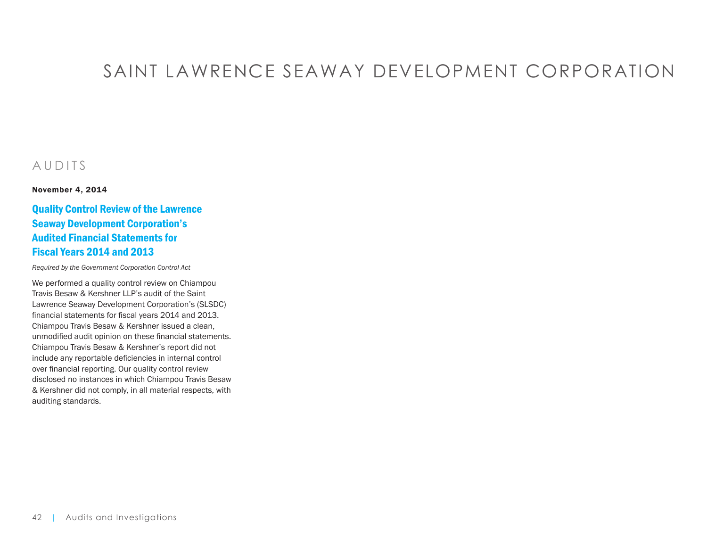# SAINT LAWRENCE SEAWAY DEVELOPMENT CORPORATION

## AUDITS

November 4, 2014

## [Quality Control Review of the Lawrence](https://www.oig.dot.gov/library-item/32235)  [Seaway Development Corporation's](https://www.oig.dot.gov/library-item/32235)  [Audited Financial Statements for](https://www.oig.dot.gov/library-item/32235)  [Fiscal Years 2014 and 2013](https://www.oig.dot.gov/library-item/32235)

*Required by the Government Corporation Control Act*

We performed a quality control review on Chiampou Travis Besaw & Kershner LLP's audit of the Saint Lawrence Seaway Development Corporation's (SLSDC) financial statements for fiscal years 2014 and 2013. Chiampou Travis Besaw & Kershner issued a clean, unmodified audit opinion on these financial statements. Chiampou Travis Besaw & Kershner's report did not include any reportable deficiencies in internal control over financial reporting. Our quality control review disclosed no instances in which Chiampou Travis Besaw & Kershner did not comply, in all material respects, with auditing standards.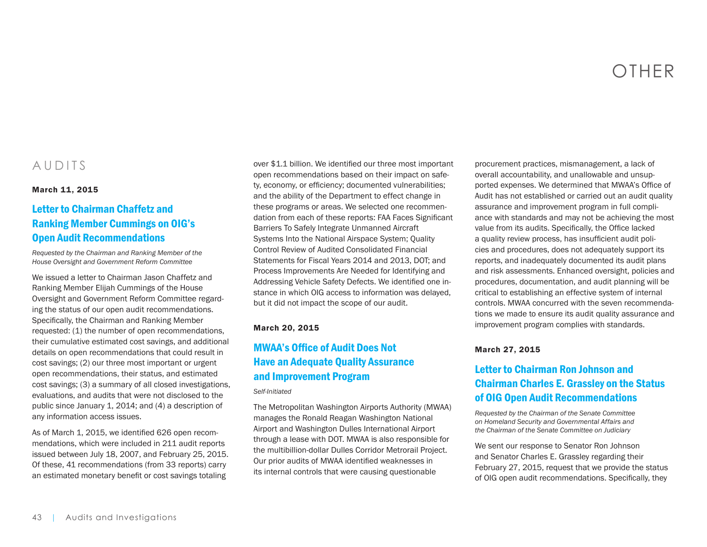# OTHER

## AUDITS

#### March 11, 2015

## [Letter to Chairman Chaffetz and](https://www.oig.dot.gov/library-item/32398)  [Ranking Member Cummings on OIG's](https://www.oig.dot.gov/library-item/32398)  [Open Audit Recommendations](https://www.oig.dot.gov/library-item/32398)

*Requested by the Chairman and Ranking Member of the House Oversight and Government Reform Committee*

We issued a letter to Chairman Jason Chaffetz and Ranking Member Elijah Cummings of the House Oversight and Government Reform Committee regarding the status of our open audit recommendations. Specifically, the Chairman and Ranking Member requested: (1) the number of open recommendations, their cumulative estimated cost savings, and additional details on open recommendations that could result in cost savings; (2) our three most important or urgent open recommendations, their status, and estimated cost savings; (3) a summary of all closed investigations, evaluations, and audits that were not disclosed to the public since January 1, 2014; and (4) a description of any information access issues.

As of March 1, 2015, we identified 626 open recommendations, which were included in 211 audit reports issued between July 18, 2007, and February 25, 2015. Of these, 41 recommendations (from 33 reports) carry an estimated monetary benefit or cost savings totaling

over \$1.1 billion. We identified our three most important open recommendations based on their impact on safety, economy, or efficiency; documented vulnerabilities; and the ability of the Department to effect change in these programs or areas. We selected one recommendation from each of these reports: FAA Faces Significant Barriers To Safely Integrate Unmanned Aircraft Systems Into the National Airspace System; Quality Control Review of Audited Consolidated Financial Statements for Fiscal Years 2014 and 2013, DOT; and Process Improvements Are Needed for Identifying and Addressing Vehicle Safety Defects. We identified one instance in which OIG access to information was delayed, but it did not impact the scope of our audit.

#### March 20, 2015

## [MWAA's Office of Audit Does Not](https://www.oig.dot.gov/library-item/32424)  [Have an Adequate Quality Assurance](https://www.oig.dot.gov/library-item/32424)  [and Improvement Program](https://www.oig.dot.gov/library-item/32424)

#### *Self-Initiated*

The Metropolitan Washington Airports Authority (MWAA) manages the Ronald Reagan Washington National Airport and Washington Dulles International Airport through a lease with DOT. MWAA is also responsible for the multibillion-dollar Dulles Corridor Metrorail Project. Our prior audits of MWAA identified weaknesses in its internal controls that were causing questionable

procurement practices, mismanagement, a lack of overall accountability, and unallowable and unsupported expenses. We determined that MWAA's Office of Audit has not established or carried out an audit quality assurance and improvement program in full compliance with standards and may not be achieving the most value from its audits. Specifically, the Office lacked a quality review process, has insufficient audit policies and procedures, does not adequately support its reports, and inadequately documented its audit plans and risk assessments. Enhanced oversight, policies and procedures, documentation, and audit planning will be critical to establishing an effective system of internal controls. MWAA concurred with the seven recommendations we made to ensure its audit quality assurance and improvement program complies with standards.

#### March 27, 2015

## [Letter to Chairman Ron Johnson and](https://www.oig.dot.gov/library-item/32439)  [Chairman Charles E. Grassley on the Status](https://www.oig.dot.gov/library-item/32439)  [of OIG Open Audit Recommendations](https://www.oig.dot.gov/library-item/32439)

*Requested by the Chairman of the Senate Committee on Homeland Security and Governmental Affairs and the Chairman of the Senate Committee on Judiciary*

We sent our response to Senator Ron Johnson and Senator Charles E. Grassley regarding their February 27, 2015, request that we provide the status of OIG open audit recommendations. Specifically, they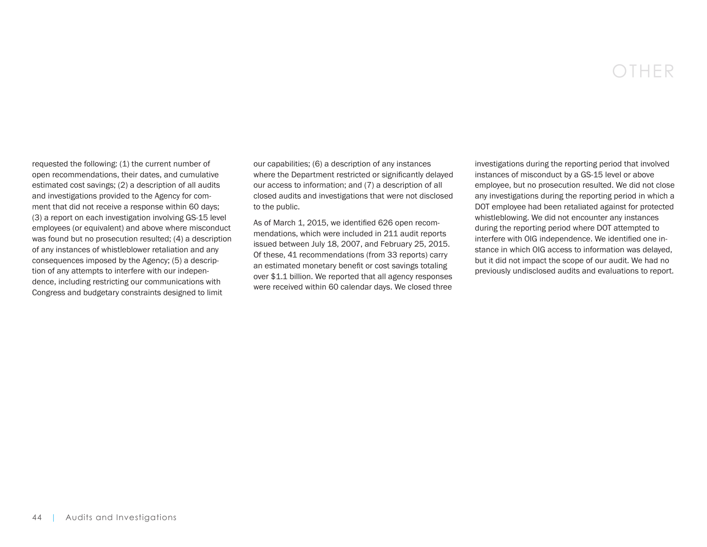# OTHER

requested the following: (1) the current number of open recommendations, their dates, and cumulative estimated cost savings; (2) a description of all audits and investigations provided to the Agency for comment that did not receive a response within 60 days; (3) a report on each investigation involving GS-15 level employees (or equivalent) and above where misconduct was found but no prosecution resulted; (4) a description of any instances of whistleblower retaliation and any consequences imposed by the Agency; (5) a description of any attempts to interfere with our independence, including restricting our communications with Congress and budgetary constraints designed to limit

our capabilities; (6) a description of any instances where the Department restricted or significantly delayed our access to information; and (7) a description of all closed audits and investigations that were not disclosed to the public.

As of March 1, 2015, we identified 626 open recommendations, which were included in 211 audit reports issued between July 18, 2007, and February 25, 2015. Of these, 41 recommendations (from 33 reports) carry an estimated monetary benefit or cost savings totaling over \$1.1 billion. We reported that all agency responses were received within 60 calendar days. We closed three

investigations during the reporting period that involved instances of misconduct by a GS-15 level or above employee, but no prosecution resulted. We did not close any investigations during the reporting period in which a DOT employee had been retaliated against for protected whistleblowing. We did not encounter any instances during the reporting period where DOT attempted to interfere with OIG independence. We identified one instance in which OIG access to information was delayed, but it did not impact the scope of our audit. We had no previously undisclosed audits and evaluations to report.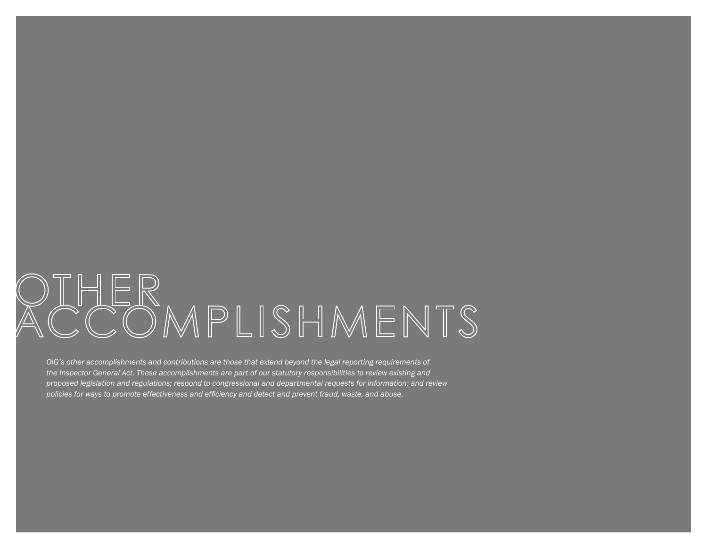# COMPLISHMENTS

*OIG's other accomplishments and contributions are those that extend beyond the legal reporting requirements of the Inspector General Act. These accomplishments are part of our statutory responsibilities to review existing and proposed legislation and regulations; respond to congressional and departmental requests for information; and review policies for ways to promote effectiveness and efficiency and detect and prevent fraud, waste, and abuse.*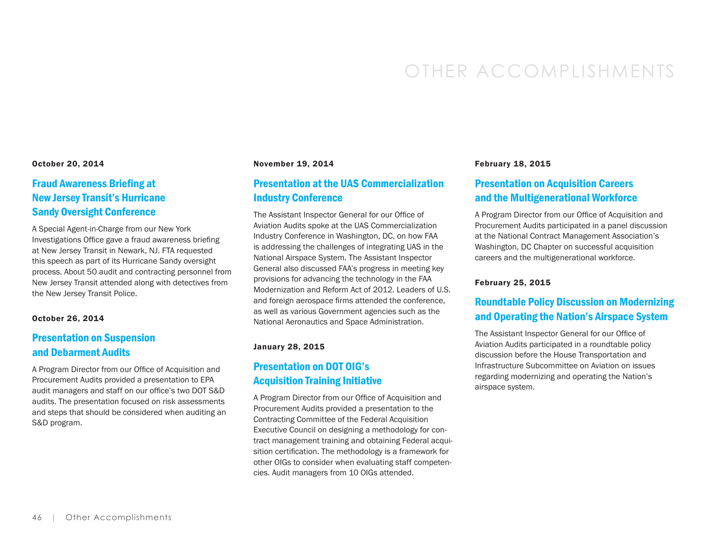# OTHER ACCOMPLISHMENTS

#### October 20, 2014

#### Fraud Awareness Briefing at New Jersey Transit's Hurricane Sandy Oversight Conference

A Special Agent-in-Charge from our New York Investigations Office gave a fraud awareness briefing at New Jersey Transit in Newark, NJ. FTA requested this speech as part of its Hurricane Sandy oversight process. About 50 audit and contracting personnel from New Jersey Transit attended along with detectives from the New Jersey Transit Police.

#### October 26, 2014

## Presentation on Suspension and Debarment Audits

A Program Director from our Office of Acquisition and Procurement Audits provided a presentation to EPA audit managers and staff on our office's two DOT S&D audits. The presentation focused on risk assessments and steps that should be considered when auditing an S&D program.

#### November 19, 2014

#### Presentation at the UAS Commercialization Industry Conference

The Assistant Inspector General for our Office of Aviation Audits spoke at the UAS Commercialization Industry Conference in Washington, DC, on how FAA is addressing the challenges of integrating UAS in the National Airspace System. The Assistant Inspector General also discussed FAA's progress in meeting key provisions for advancing the technology in the FAA Modernization and Reform Act of 2012. Leaders of U.S. and foreign aerospace firms attended the conference, as well as various Government agencies such as the National Aeronautics and Space Administration.

#### January 28, 2015

#### Presentation on DOT OIG's Acquisition Training Initiative

A Program Director from our Office of Acquisition and Procurement Audits provided a presentation to the Contracting Committee of the Federal Acquisition Executive Council on designing a methodology for contract management training and obtaining Federal acquisition certification. The methodology is a framework for other OIGs to consider when evaluating staff competencies. Audit managers from 10 OIGs attended.

#### February 18, 2015

#### Presentation on Acquisition Careers and the Multigenerational Workforce

A Program Director from our Office of Acquisition and Procurement Audits participated in a panel discussion at the National Contract Management Association's Washington, DC Chapter on successful acquisition careers and the multigenerational workforce.

#### February 25, 2015

#### Roundtable Policy Discussion on Modernizing and Operating the Nation's Airspace System

The Assistant Inspector General for our Office of Aviation Audits participated in a roundtable policy discussion before the House Transportation and Infrastructure Subcommittee on Aviation on issues regarding modernizing and operating the Nation's airspace system.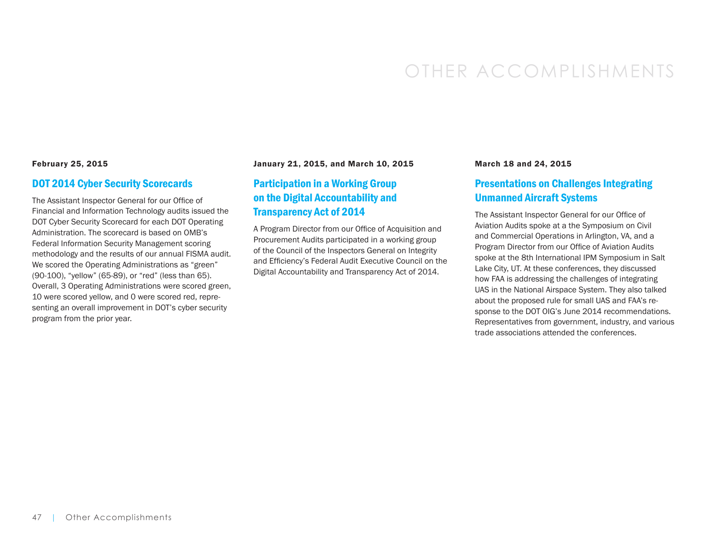# OTHER ACCOMPLISHMENTS

#### February 25, 2015

#### DOT 2014 Cyber Security Scorecards

The Assistant Inspector General for our Office of Financial and Information Technology audits issued the DOT Cyber Security Scorecard for each DOT Operating Administration. The scorecard is based on OMB's Federal Information Security Management scoring methodology and the results of our annual FISMA audit. We scored the Operating Administrations as "green" (90-100), "yellow" (65-89), or "red" (less than 65). Overall, 3 Operating Administrations were scored green, 10 were scored yellow, and 0 were scored red, representing an overall improvement in DOT's cyber security program from the prior year.

#### January 21, 2015, and March 10, 2015

#### Participation in a Working Group on the Digital Accountability and Transparency Act of 2014

A Program Director from our Office of Acquisition and Procurement Audits participated in a working group of the Council of the Inspectors General on Integrity and Efficiency's Federal Audit Executive Council on the Digital Accountability and Transparency Act of 2014.

#### March 18 and 24, 2015

#### Presentations on Challenges Integrating Unmanned Aircraft Systems

The Assistant Inspector General for our Office of Aviation Audits spoke at a the Symposium on Civil and Commercial Operations in Arlington, VA, and a Program Director from our Office of Aviation Audits spoke at the 8th International IPM Symposium in Salt Lake City, UT. At these conferences, they discussed how FAA is addressing the challenges of integrating UAS in the National Airspace System. They also talked about the proposed rule for small UAS and FAA's response to the DOT OIG's June 2014 recommendations. Representatives from government, industry, and various trade associations attended the conferences.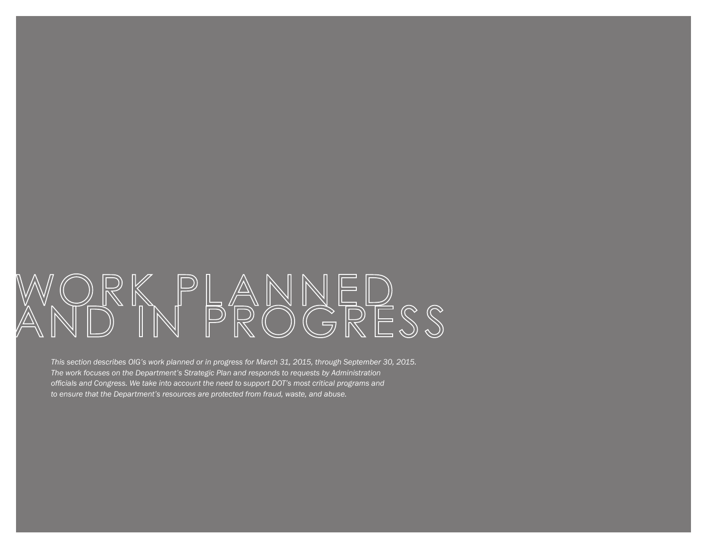# ANNEL<br>ROGRI ESS

*This section describes OIG's work planned or in progress for March 31, 2015, through September 30, 2015. The work focuses on the Department's Strategic Plan and responds to requests by Administration officials and Congress. We take into account the need to support DOT's most critical programs and to ensure that the Department's resources are protected from fraud, waste, and abuse.*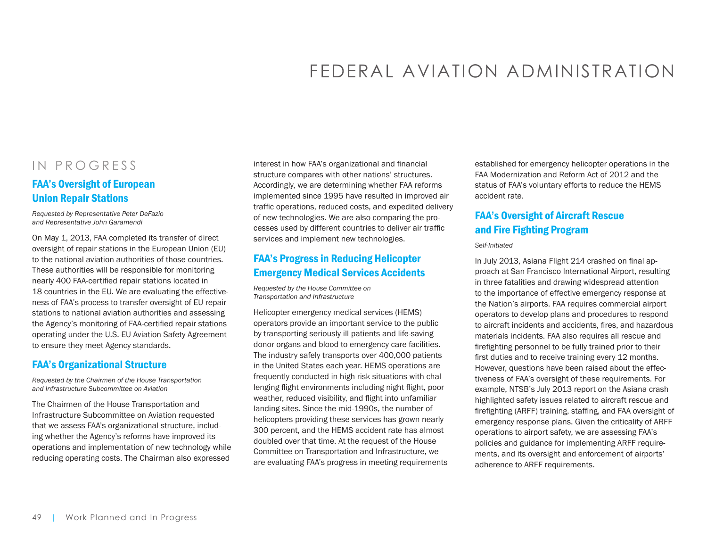# FEDERAL AVIATION ADMINISTRATION

## IN PROGRESS

#### FAA's Oversight of European Union Repair Stations

*Requested by Representative Peter DeFazio and Representative John Garamendi*

On May 1, 2013, FAA completed its transfer of direct oversight of repair stations in the European Union (EU) to the national aviation authorities of those countries. These authorities will be responsible for monitoring nearly 400 FAA-certified repair stations located in 18 countries in the EU. We are evaluating the effectiveness of FAA's process to transfer oversight of EU repair stations to national aviation authorities and assessing the Agency's monitoring of FAA-certified repair stations operating under the U.S.-EU Aviation Safety Agreement to ensure they meet Agency standards.

#### FAA's Organizational Structure

*Requested by the Chairmen of the House Transportation and Infrastructure Subcommittee on Aviation*

The Chairmen of the House Transportation and Infrastructure Subcommittee on Aviation requested that we assess FAA's organizational structure, including whether the Agency's reforms have improved its operations and implementation of new technology while reducing operating costs. The Chairman also expressed

interest in how FAA's organizational and financial structure compares with other nations' structures. Accordingly, we are determining whether FAA reforms implemented since 1995 have resulted in improved air traffic operations, reduced costs, and expedited delivery of new technologies. We are also comparing the processes used by different countries to deliver air traffic services and implement new technologies.

#### FAA's Progress in Reducing Helicopter Emergency Medical Services Accidents

*Requested by the House Committee on Transportation and Infrastructure* 

Helicopter emergency medical services (HEMS) operators provide an important service to the public by transporting seriously ill patients and life-saving donor organs and blood to emergency care facilities. The industry safely transports over 400,000 patients in the United States each year. HEMS operations are frequently conducted in high-risk situations with challenging flight environments including night flight, poor weather, reduced visibility, and flight into unfamiliar landing sites. Since the mid-1990s, the number of helicopters providing these services has grown nearly 300 percent, and the HEMS accident rate has almost doubled over that time. At the request of the House Committee on Transportation and Infrastructure, we are evaluating FAA's progress in meeting requirements established for emergency helicopter operations in the FAA Modernization and Reform Act of 2012 and the status of FAA's voluntary efforts to reduce the HEMS accident rate.

## FAA's Oversight of Aircraft Rescue and Fire Fighting Program

#### *Self-Initiated*

In July 2013, Asiana Flight 214 crashed on final approach at San Francisco International Airport, resulting in three fatalities and drawing widespread attention to the importance of effective emergency response at the Nation's airports. FAA requires commercial airport operators to develop plans and procedures to respond to aircraft incidents and accidents, fires, and hazardous materials incidents. FAA also requires all rescue and firefighting personnel to be fully trained prior to their first duties and to receive training every 12 months. However, questions have been raised about the effectiveness of FAA's oversight of these requirements. For example, NTSB's July 2013 report on the Asiana crash highlighted safety issues related to aircraft rescue and firefighting (ARFF) training, staffing, and FAA oversight of emergency response plans. Given the criticality of ARFF operations to airport safety, we are assessing FAA's policies and guidance for implementing ARFF requirements, and its oversight and enforcement of airports' adherence to ARFF requirements.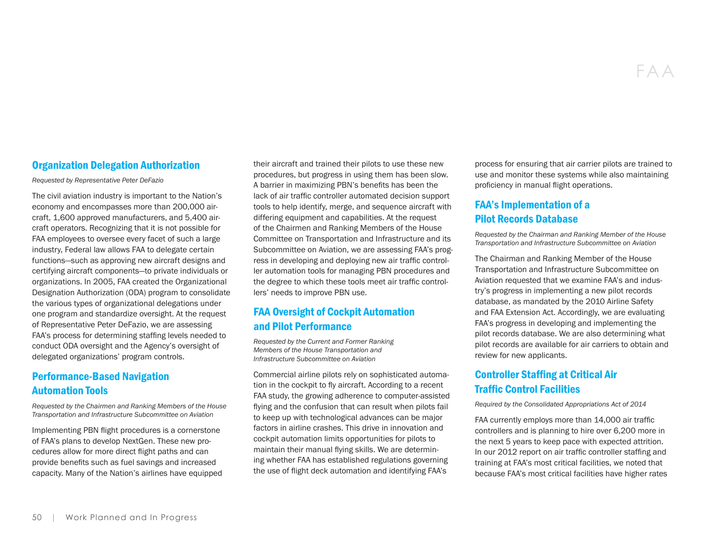#### Organization Delegation Authorization

*Requested by Representative Peter DeFazio*

The civil aviation industry is important to the Nation's economy and encompasses more than 200,000 aircraft, 1,600 approved manufacturers, and 5,400 aircraft operators. Recognizing that it is not possible for FAA employees to oversee every facet of such a large industry, Federal law allows FAA to delegate certain functions—such as approving new aircraft designs and certifying aircraft components—to private individuals or organizations. In 2005, FAA created the Organizational Designation Authorization (ODA) program to consolidate the various types of organizational delegations under one program and standardize oversight. At the request of Representative Peter DeFazio, we are assessing FAA's process for determining staffing levels needed to conduct ODA oversight and the Agency's oversight of delegated organizations' program controls.

#### Performance-Based Navigation Automation Tools

*Requested by the Chairmen and Ranking Members of the House Transportation and Infrastructure Subcommittee on Aviation*

Implementing PBN flight procedures is a cornerstone of FAA's plans to develop NextGen. These new procedures allow for more direct flight paths and can provide benefits such as fuel savings and increased capacity. Many of the Nation's airlines have equipped their aircraft and trained their pilots to use these new procedures, but progress in using them has been slow. A barrier in maximizing PBN's benefits has been the lack of air traffic controller automated decision support tools to help identify, merge, and sequence aircraft with differing equipment and capabilities. At the request of the Chairmen and Ranking Members of the House Committee on Transportation and Infrastructure and its Subcommittee on Aviation, we are assessing FAA's progress in developing and deploying new air traffic controller automation tools for managing PBN procedures and the degree to which these tools meet air traffic controllers' needs to improve PBN use.

## FAA Oversight of Cockpit Automation and Pilot Performance

*Requested by the Current and Former Ranking Members of the House Transportation and Infrastructure Subcommittee on Aviation*

Commercial airline pilots rely on sophisticated automation in the cockpit to fly aircraft. According to a recent FAA study, the growing adherence to computer-assisted flying and the confusion that can result when pilots fail to keep up with technological advances can be major factors in airline crashes. This drive in innovation and cockpit automation limits opportunities for pilots to maintain their manual flying skills. We are determining whether FAA has established regulations governing the use of flight deck automation and identifying FAA's

process for ensuring that air carrier pilots are trained to use and monitor these systems while also maintaining proficiency in manual flight operations.

#### FAA's Implementation of a Pilot Records Database

*Requested by the Chairman and Ranking Member of the House Transportation and Infrastructure Subcommittee on Aviation*

The Chairman and Ranking Member of the House Transportation and Infrastructure Subcommittee on Aviation requested that we examine FAA's and industry's progress in implementing a new pilot records database, as mandated by the 2010 Airline Safety and FAA Extension Act. Accordingly, we are evaluating FAA's progress in developing and implementing the pilot records database. We are also determining what pilot records are available for air carriers to obtain and review for new applicants.

### Controller Staffing at Critical Air Traffic Control Facilities

*Required by the Consolidated Appropriations Act of 2014*

FAA currently employs more than 14,000 air traffic controllers and is planning to hire over 6,200 more in the next 5 years to keep pace with expected attrition. In our 2012 report on air traffic controller staffing and training at FAA's most critical facilities, we noted that because FAA's most critical facilities have higher rates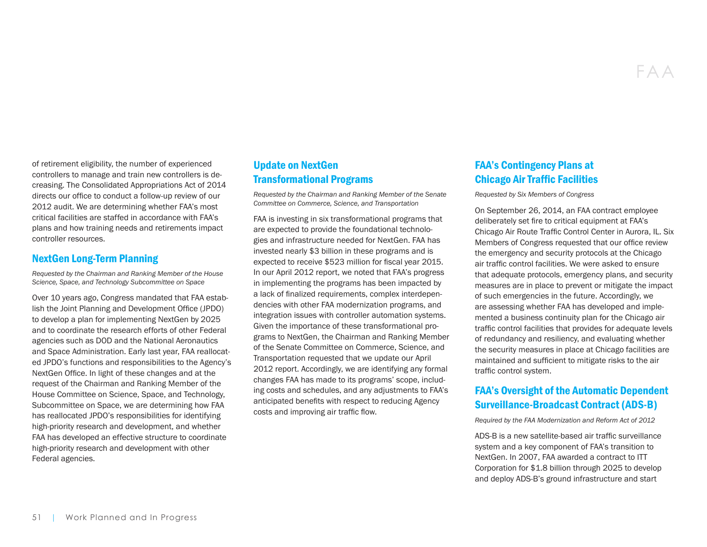of retirement eligibility, the number of experienced controllers to manage and train new controllers is decreasing. The Consolidated Appropriations Act of 2014 directs our office to conduct a follow-up review of our 2012 audit. We are determining whether FAA's most critical facilities are staffed in accordance with FAA's plans and how training needs and retirements impact controller resources.

#### NextGen Long-Term Planning

*Requested by the Chairman and Ranking Member of the House Science, Space, and Technology Subcommittee on Space* 

Over 10 years ago, Congress mandated that FAA establish the Joint Planning and Development Office (JPDO) to develop a plan for implementing NextGen by 2025 and to coordinate the research efforts of other Federal agencies such as DOD and the National Aeronautics and Space Administration. Early last year, FAA reallocated JPDO's functions and responsibilities to the Agency's NextGen Office. In light of these changes and at the request of the Chairman and Ranking Member of the House Committee on Science, Space, and Technology, Subcommittee on Space, we are determining how FAA has reallocated JPDO's responsibilities for identifying high-priority research and development, and whether FAA has developed an effective structure to coordinate high-priority research and development with other Federal agencies.

#### Update on NextGen Transformational Programs

*Requested by the Chairman and Ranking Member of the Senate Committee on Commerce, Science, and Transportation* 

FAA is investing in six transformational programs that are expected to provide the foundational technologies and infrastructure needed for NextGen. FAA has invested nearly \$3 billion in these programs and is expected to receive \$523 million for fiscal year 2015. In our April 2012 report, we noted that FAA's progress in implementing the programs has been impacted by a lack of finalized requirements, complex interdependencies with other FAA modernization programs, and integration issues with controller automation systems. Given the importance of these transformational programs to NextGen, the Chairman and Ranking Member of the Senate Committee on Commerce, Science, and Transportation requested that we update our April 2012 report. Accordingly, we are identifying any formal changes FAA has made to its programs' scope, including costs and schedules, and any adjustments to FAA's anticipated benefits with respect to reducing Agency costs and improving air traffic flow.

## FAA's Contingency Plans at Chicago Air Traffic Facilities

*Requested by Six Members of Congress*

On September 26, 2014, an FAA contract employee deliberately set fire to critical equipment at FAA's Chicago Air Route Traffic Control Center in Aurora, IL. Six Members of Congress requested that our office review the emergency and security protocols at the Chicago air traffic control facilities. We were asked to ensure that adequate protocols, emergency plans, and security measures are in place to prevent or mitigate the impact of such emergencies in the future. Accordingly, we are assessing whether FAA has developed and implemented a business continuity plan for the Chicago air traffic control facilities that provides for adequate levels of redundancy and resiliency, and evaluating whether the security measures in place at Chicago facilities are maintained and sufficient to mitigate risks to the air traffic control system.

#### FAA's Oversight of the Automatic Dependent Surveillance-Broadcast Contract (ADS-B)

*Required by the FAA Modernization and Reform Act of 2012*

ADS-B is a new satellite-based air traffic surveillance system and a key component of FAA's transition to NextGen. In 2007, FAA awarded a contract to ITT Corporation for \$1.8 billion through 2025 to develop and deploy ADS-B's ground infrastructure and start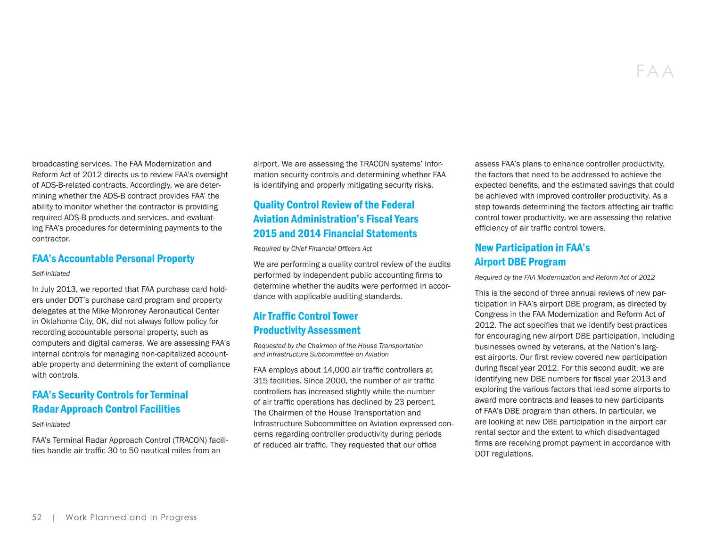broadcasting services. The FAA Modernization and Reform Act of 2012 directs us to review FAA's oversight of ADS-B-related contracts. Accordingly, we are determining whether the ADS-B contract provides FAA' the ability to monitor whether the contractor is providing required ADS-B products and services, and evaluating FAA's procedures for determining payments to the contractor.

#### FAA's Accountable Personal Property

#### *Self-Initiated*

In July 2013, we reported that FAA purchase card holders under DOT's purchase card program and property delegates at the Mike Monroney Aeronautical Center in Oklahoma City, OK, did not always follow policy for recording accountable personal property, such as computers and digital cameras. We are assessing FAA's internal controls for managing non-capitalized accountable property and determining the extent of compliance with controls.

#### FAA's Security Controls for Terminal Radar Approach Control Facilities

#### *Self-Initiated*

FAA's Terminal Radar Approach Control (TRACON) facilities handle air traffic 30 to 50 nautical miles from an

airport. We are assessing the TRACON systems' information security controls and determining whether FAA is identifying and properly mitigating security risks.

#### Quality Control Review of the Federal Aviation Administration's Fiscal Years 2015 and 2014 Financial Statements

*Required by Chief Financial Officers Act* 

We are performing a quality control review of the audits performed by independent public accounting firms to determine whether the audits were performed in accordance with applicable auditing standards.

## Air Traffic Control Tower Productivity Assessment

*Requested by the Chairmen of the House Transportation and Infrastructure Subcommittee on Aviation*

FAA employs about 14,000 air traffic controllers at 315 facilities. Since 2000, the number of air traffic controllers has increased slightly while the number of air traffic operations has declined by 23 percent. The Chairmen of the House Transportation and Infrastructure Subcommittee on Aviation expressed concerns regarding controller productivity during periods of reduced air traffic. They requested that our office

assess FAA's plans to enhance controller productivity, the factors that need to be addressed to achieve the expected benefits, and the estimated savings that could be achieved with improved controller productivity. As a step towards determining the factors affecting air traffic control tower productivity, we are assessing the relative efficiency of air traffic control towers.

#### New Participation in FAA's Airport DBE Program

*Required by the FAA Modernization and Reform Act of 2012*

This is the second of three annual reviews of new participation in FAA's airport DBE program, as directed by Congress in the FAA Modernization and Reform Act of 2012. The act specifies that we identify best practices for encouraging new airport DBE participation, including businesses owned by veterans, at the Nation's largest airports. Our first review covered new participation during fiscal year 2012. For this second audit, we are identifying new DBE numbers for fiscal year 2013 and exploring the various factors that lead some airports to award more contracts and leases to new participants of FAA's DBE program than others. In particular, we are looking at new DBE participation in the airport car rental sector and the extent to which disadvantaged firms are receiving prompt payment in accordance with DOT regulations.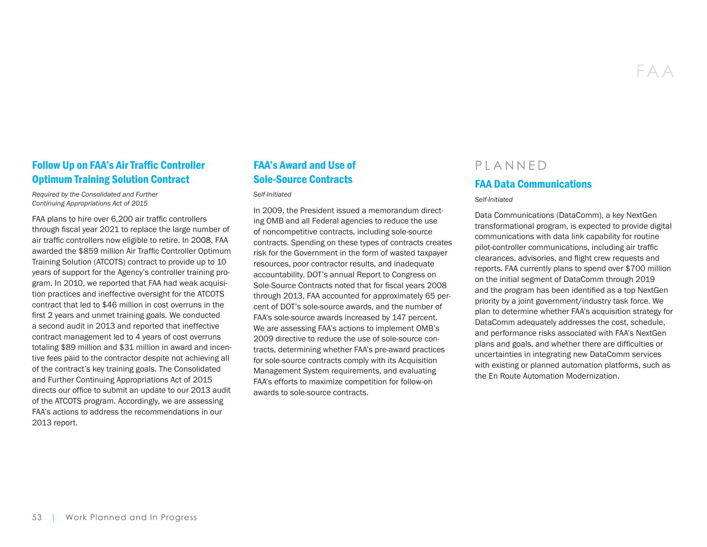#### Follow Up on FAA's Air Traffic Controller Optimum Training Solution Contract

*Required by the Consolidated and Further Continuing Appropriations Act of 2015*

FAA plans to hire over 6,200 air traffic controllers through fiscal year 2021 to replace the large number of air traffic controllers now eligible to retire. In 2008, FAA awarded the \$859 million Air Traffic Controller Optimum Training Solution (ATCOTS) contract to provide up to 10 years of support for the Agency's controller training program. In 2010, we reported that FAA had weak acquisition practices and ineffective oversight for the ATCOTS contract that led to \$46 million in cost overruns in the first 2 years and unmet training goals. We conducted a second audit in 2013 and reported that ineffective contract management led to 4 years of cost overruns totaling \$89 million and \$31 million in award and incentive fees paid to the contractor despite not achieving all of the contract's key training goals. The Consolidated and Further Continuing Appropriations Act of 2015 directs our office to submit an update to our 2013 audit of the ATCOTS program. Accordingly, we are assessing FAA's actions to address the recommendations in our 2013 report.

## FAA's Award and Use of Sole-Source Contracts

*Self-Initiated*

In 2009, the President issued a memorandum directing OMB and all Federal agencies to reduce the use of noncompetitive contracts, including sole-source contracts. Spending on these types of contracts creates risk for the Government in the form of wasted taxpayer resources, poor contractor results, and inadequate accountability. DOT's annual Report to Congress on Sole-Source Contracts noted that for fiscal years 2008 through 2013, FAA accounted for approximately 65 percent of DOT's sole-source awards, and the number of FAA's sole-source awards increased by 147 percent. We are assessing FAA's actions to implement OMB's 2009 directive to reduce the use of sole-source contracts, determining whether FAA's pre-award practices for sole-source contracts comply with its Acquisition Management System requirements, and evaluating FAA's efforts to maximize competition for follow-on awards to sole-source contracts.

## PLANNED FAA Data Communications

#### *Self-Initiated*

Data Communications (DataComm), a key NextGen transformational program, is expected to provide digital communications with data link capability for routine pilot-controller communications, including air traffic clearances, advisories, and flight crew requests and reports. FAA currently plans to spend over \$700 million on the initial segment of DataComm through 2019 and the program has been identified as a top NextGen priority by a joint government/industry task force. We plan to determine whether FAA's acquisition strategy for DataComm adequately addresses the cost, schedule, and performance risks associated with FAA's NextGen plans and goals, and whether there are difficulties or uncertainties in integrating new DataComm services with existing or planned automation platforms, such as the En Route Automation Modernization.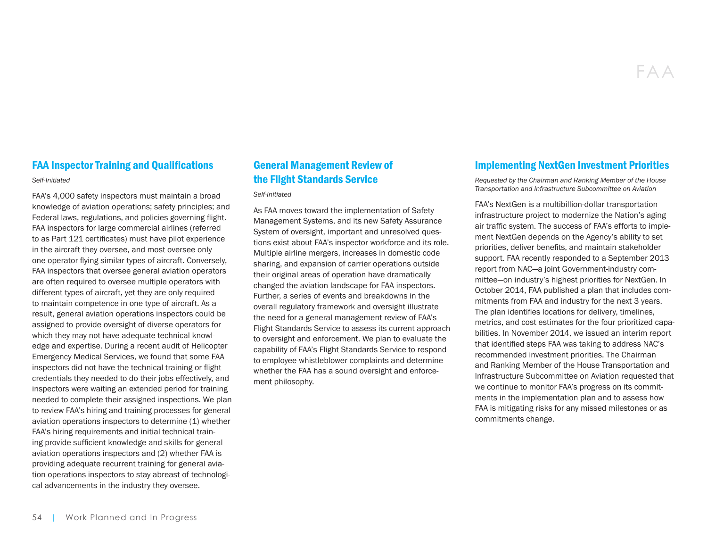#### FAA Inspector Training and Qualifications

*Self-Initiated*

FAA's 4,000 safety inspectors must maintain a broad knowledge of aviation operations; safety principles; and Federal laws, regulations, and policies governing flight. FAA inspectors for large commercial airlines (referred to as Part 121 certificates) must have pilot experience in the aircraft they oversee, and most oversee only one operator flying similar types of aircraft. Conversely, FAA inspectors that oversee general aviation operators are often required to oversee multiple operators with different types of aircraft, yet they are only required to maintain competence in one type of aircraft. As a result, general aviation operations inspectors could be assigned to provide oversight of diverse operators for which they may not have adequate technical knowledge and expertise. During a recent audit of Helicopter Emergency Medical Services, we found that some FAA inspectors did not have the technical training or flight credentials they needed to do their jobs effectively, and inspectors were waiting an extended period for training needed to complete their assigned inspections. We plan to review FAA's hiring and training processes for general aviation operations inspectors to determine (1) whether FAA's hiring requirements and initial technical training provide sufficient knowledge and skills for general aviation operations inspectors and (2) whether FAA is providing adequate recurrent training for general aviation operations inspectors to stay abreast of technological advancements in the industry they oversee.

## General Management Review of the Flight Standards Service

*Self-Initiated*

As FAA moves toward the implementation of Safety Management Systems, and its new Safety Assurance System of oversight, important and unresolved questions exist about FAA's inspector workforce and its role. Multiple airline mergers, increases in domestic code sharing, and expansion of carrier operations outside their original areas of operation have dramatically changed the aviation landscape for FAA inspectors. Further, a series of events and breakdowns in the overall regulatory framework and oversight illustrate the need for a general management review of FAA's Flight Standards Service to assess its current approach to oversight and enforcement. We plan to evaluate the capability of FAA's Flight Standards Service to respond to employee whistleblower complaints and determine whether the FAA has a sound oversight and enforcement philosophy.

#### Implementing NextGen Investment Priorities

*Requested by the Chairman and Ranking Member of the House Transportation and Infrastructure Subcommittee on Aviation*

FAA's NextGen is a multibillion-dollar transportation infrastructure project to modernize the Nation's aging air traffic system. The success of FAA's efforts to implement NextGen depends on the Agency's ability to set priorities, deliver benefits, and maintain stakeholder support. FAA recently responded to a September 2013 report from NAC—a joint Government-industry committee—on industry's highest priorities for NextGen. In October 2014, FAA published a plan that includes commitments from FAA and industry for the next 3 years. The plan identifies locations for delivery, timelines, metrics, and cost estimates for the four prioritized capabilities. In November 2014, we issued an interim report that identified steps FAA was taking to address NAC's recommended investment priorities. The Chairman and Ranking Member of the House Transportation and Infrastructure Subcommittee on Aviation requested that we continue to monitor FAA's progress on its commitments in the implementation plan and to assess how FAA is mitigating risks for any missed milestones or as commitments change.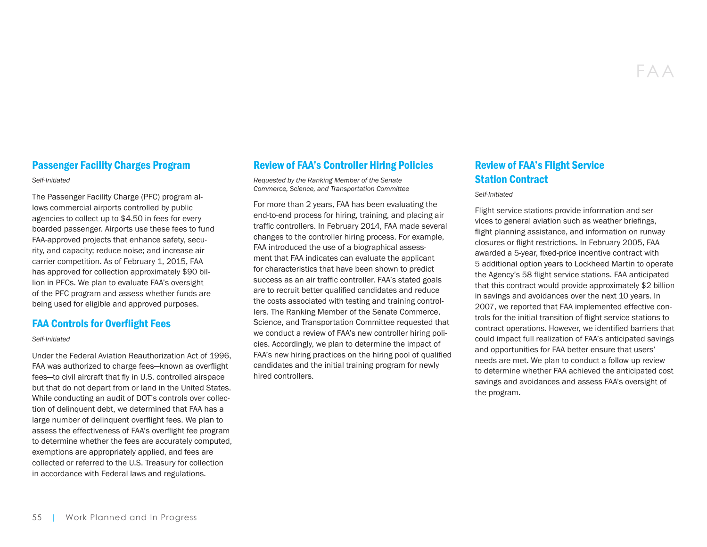#### Passenger Facility Charges Program

#### *Self-Initiated*

The Passenger Facility Charge (PFC) program allows commercial airports controlled by public agencies to collect up to \$4.50 in fees for every boarded passenger. Airports use these fees to fund FAA-approved projects that enhance safety, security, and capacity; reduce noise; and increase air carrier competition. As of February 1, 2015, FAA has approved for collection approximately \$90 billion in PFCs. We plan to evaluate FAA's oversight of the PFC program and assess whether funds are being used for eligible and approved purposes.

#### FAA Controls for Overflight Fees

#### *Self-Initiated*

Under the Federal Aviation Reauthorization Act of 1996, FAA was authorized to charge fees—known as overflight fees—to civil aircraft that fly in U.S. controlled airspace but that do not depart from or land in the United States. While conducting an audit of DOT's controls over collection of delinquent debt, we determined that FAA has a large number of delinquent overflight fees. We plan to assess the effectiveness of FAA's overflight fee program to determine whether the fees are accurately computed, exemptions are appropriately applied, and fees are collected or referred to the U.S. Treasury for collection in accordance with Federal laws and regulations.

#### Review of FAA's Controller Hiring Policies

*Requested by the Ranking Member of the Senate Commerce, Science, and Transportation Committee*

For more than 2 years, FAA has been evaluating the end-to-end process for hiring, training, and placing air traffic controllers. In February 2014, FAA made several changes to the controller hiring process. For example, FAA introduced the use of a biographical assessment that FAA indicates can evaluate the applicant for characteristics that have been shown to predict success as an air traffic controller. FAA's stated goals are to recruit better qualified candidates and reduce the costs associated with testing and training controllers. The Ranking Member of the Senate Commerce, Science, and Transportation Committee requested that we conduct a review of FAA's new controller hiring policies. Accordingly, we plan to determine the impact of FAA's new hiring practices on the hiring pool of qualified candidates and the initial training program for newly hired controllers.

## Review of FAA's Flight Service Station Contract

#### *Self-Initiated*

Flight service stations provide information and services to general aviation such as weather briefings, flight planning assistance, and information on runway closures or flight restrictions. In February 2005, FAA awarded a 5-year, fixed-price incentive contract with 5 additional option years to Lockheed Martin to operate the Agency's 58 flight service stations. FAA anticipated that this contract would provide approximately \$2 billion in savings and avoidances over the next 10 years. In 2007, we reported that FAA implemented effective controls for the initial transition of flight service stations to contract operations. However, we identified barriers that could impact full realization of FAA's anticipated savings and opportunities for FAA better ensure that users' needs are met. We plan to conduct a follow-up review to determine whether FAA achieved the anticipated cost savings and avoidances and assess FAA's oversight of the program.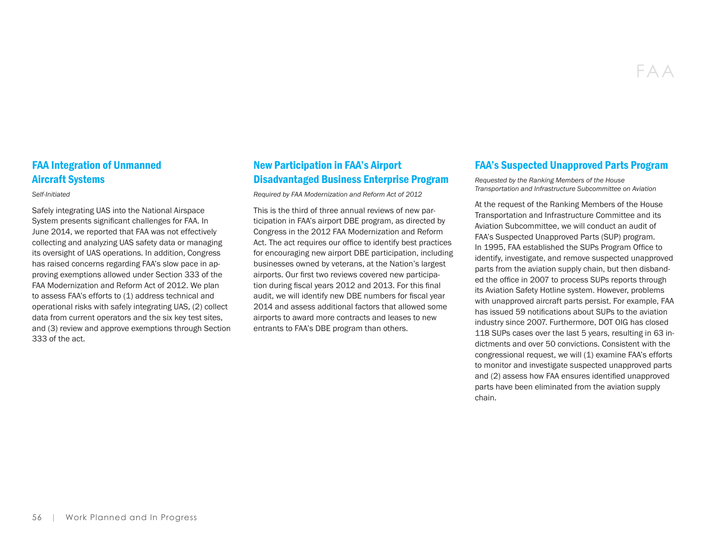#### FAA Integration of Unmanned Aircraft Systems

*Self-Initiated*

Safely integrating UAS into the National Airspace System presents significant challenges for FAA. In June 2014, we reported that FAA was not effectively collecting and analyzing UAS safety data or managing its oversight of UAS operations. In addition, Congress has raised concerns regarding FAA's slow pace in approving exemptions allowed under Section 333 of the FAA Modernization and Reform Act of 2012. We plan to assess FAA's efforts to (1) address technical and operational risks with safely integrating UAS, (2) collect data from current operators and the six key test sites, and (3) review and approve exemptions through Section 333 of the act.

## New Participation in FAA's Airport Disadvantaged Business Enterprise Program

*Required by FAA Modernization and Reform Act of 2012*

This is the third of three annual reviews of new participation in FAA's airport DBE program, as directed by Congress in the 2012 FAA Modernization and Reform Act. The act requires our office to identify best practices for encouraging new airport DBE participation, including businesses owned by veterans, at the Nation's largest airports. Our first two reviews covered new participation during fiscal years 2012 and 2013. For this final audit, we will identify new DBE numbers for fiscal year 2014 and assess additional factors that allowed some airports to award more contracts and leases to new entrants to FAA's DBE program than others.

#### FAA's Suspected Unapproved Parts Program

*Requested by the Ranking Members of the House Transportation and Infrastructure Subcommittee on Aviation*

At the request of the Ranking Members of the House Transportation and Infrastructure Committee and its Aviation Subcommittee, we will conduct an audit of FAA's Suspected Unapproved Parts (SUP) program. In 1995, FAA established the SUPs Program Office to identify, investigate, and remove suspected unapproved parts from the aviation supply chain, but then disbanded the office in 2007 to process SUPs reports through its Aviation Safety Hotline system. However, problems with unapproved aircraft parts persist. For example, FAA has issued 59 notifications about SUPs to the aviation industry since 2007. Furthermore, DOT OIG has closed 118 SUPs cases over the last 5 years, resulting in 63 indictments and over 50 convictions. Consistent with the congressional request, we will (1) examine FAA's efforts to monitor and investigate suspected unapproved parts and (2) assess how FAA ensures identified unapproved parts have been eliminated from the aviation supply chain.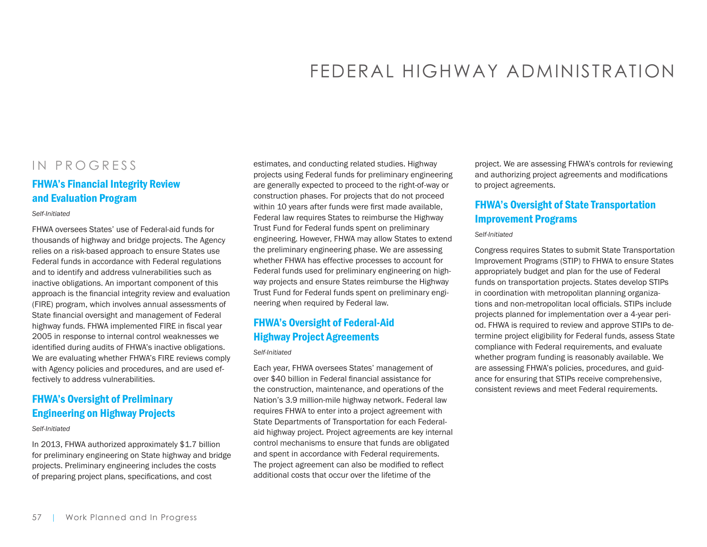# FEDERAL HIGHWAY ADMINISTRATION

## IN PROGRESS

#### FHWA's Financial Integrity Review and Evaluation Program

#### *Self-Initiated*

FHWA oversees States' use of Federal-aid funds for thousands of highway and bridge projects. The Agency relies on a risk-based approach to ensure States use Federal funds in accordance with Federal regulations and to identify and address vulnerabilities such as inactive obligations. An important component of this approach is the financial integrity review and evaluation (FIRE) program, which involves annual assessments of State financial oversight and management of Federal highway funds. FHWA implemented FIRE in fiscal year 2005 in response to internal control weaknesses we identified during audits of FHWA's inactive obligations. We are evaluating whether FHWA's FIRE reviews comply with Agency policies and procedures, and are used effectively to address vulnerabilities.

#### FHWA's Oversight of Preliminary Engineering on Highway Projects

#### *Self-Initiated*

In 2013, FHWA authorized approximately \$1.7 billion for preliminary engineering on State highway and bridge projects. Preliminary engineering includes the costs of preparing project plans, specifications, and cost

estimates, and conducting related studies. Highway projects using Federal funds for preliminary engineering are generally expected to proceed to the right-of-way or construction phases. For projects that do not proceed within 10 years after funds were first made available, Federal law requires States to reimburse the Highway Trust Fund for Federal funds spent on preliminary engineering. However, FHWA may allow States to extend the preliminary engineering phase. We are assessing whether FHWA has effective processes to account for Federal funds used for preliminary engineering on highway projects and ensure States reimburse the Highway Trust Fund for Federal funds spent on preliminary engineering when required by Federal law.

#### FHWA's Oversight of Federal-Aid Highway Project Agreements

#### *Self-Initiated*

Each year, FHWA oversees States' management of over \$40 billion in Federal financial assistance for the construction, maintenance, and operations of the Nation's 3.9 million-mile highway network. Federal law requires FHWA to enter into a project agreement with State Departments of Transportation for each Federalaid highway project. Project agreements are key internal control mechanisms to ensure that funds are obligated and spent in accordance with Federal requirements. The project agreement can also be modified to reflect additional costs that occur over the lifetime of the

project. We are assessing FHWA's controls for reviewing and authorizing project agreements and modifications to project agreements.

#### FHWA's Oversight of State Transportation Improvement Programs

#### *Self-Initiated*

Congress requires States to submit State Transportation Improvement Programs (STIP) to FHWA to ensure States appropriately budget and plan for the use of Federal funds on transportation projects. States develop STIPs in coordination with metropolitan planning organizations and non-metropolitan local officials. STIPs include projects planned for implementation over a 4-year period. FHWA is required to review and approve STIPs to determine project eligibility for Federal funds, assess State compliance with Federal requirements, and evaluate whether program funding is reasonably available. We are assessing FHWA's policies, procedures, and guidance for ensuring that STIPs receive comprehensive, consistent reviews and meet Federal requirements.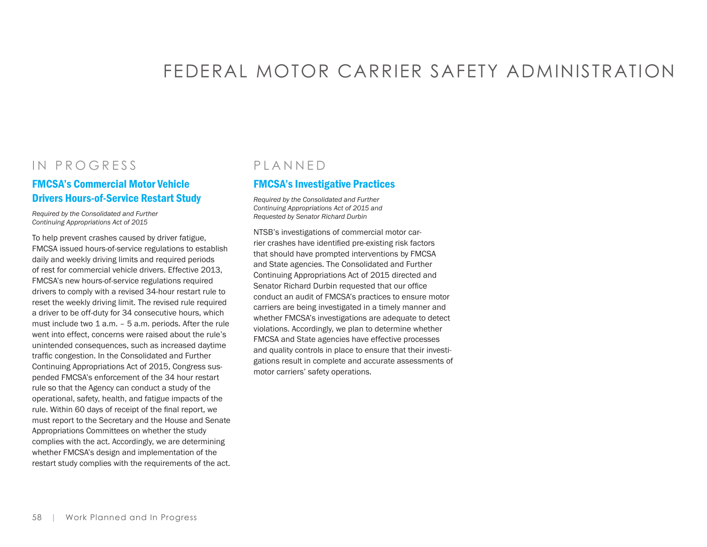# FEDERAL MOTOR CARRIER SAFETY ADMINISTRATION

## IN PROGRESS

#### FMCSA's Commercial Motor Vehicle Drivers Hours-of-Service Restart Study

*Required by the Consolidated and Further Continuing Appropriations Act of 2015*

To help prevent crashes caused by driver fatigue, FMCSA issued hours-of-service regulations to establish daily and weekly driving limits and required periods of rest for commercial vehicle drivers. Effective 2013, FMCSA's new hours-of-service regulations required drivers to comply with a revised 34-hour restart rule to reset the weekly driving limit. The revised rule required a driver to be off-duty for 34 consecutive hours, which must include two 1 a.m. – 5 a.m. periods. After the rule went into effect, concerns were raised about the rule's unintended consequences, such as increased daytime traffic congestion. In the Consolidated and Further Continuing Appropriations Act of 2015, Congress suspended FMCSA's enforcement of the 34 hour restart rule so that the Agency can conduct a study of the operational, safety, health, and fatigue impacts of the rule. Within 60 days of receipt of the final report, we must report to the Secretary and the House and Senate Appropriations Committees on whether the study complies with the act. Accordingly, we are determining whether FMCSA's design and implementation of the restart study complies with the requirements of the act.

## PLANNED

#### FMCSA's Investigative Practices

*Required by the Consolidated and Further Continuing Appropriations Act of 2015 and Requested by Senator Richard Durbin*

NTSB's investigations of commercial motor carrier crashes have identified pre-existing risk factors that should have prompted interventions by FMCSA and State agencies. The Consolidated and Further Continuing Appropriations Act of 2015 directed and Senator Richard Durbin requested that our office conduct an audit of FMCSA's practices to ensure motor carriers are being investigated in a timely manner and whether FMCSA's investigations are adequate to detect violations. Accordingly, we plan to determine whether FMCSA and State agencies have effective processes and quality controls in place to ensure that their investigations result in complete and accurate assessments of motor carriers' safety operations.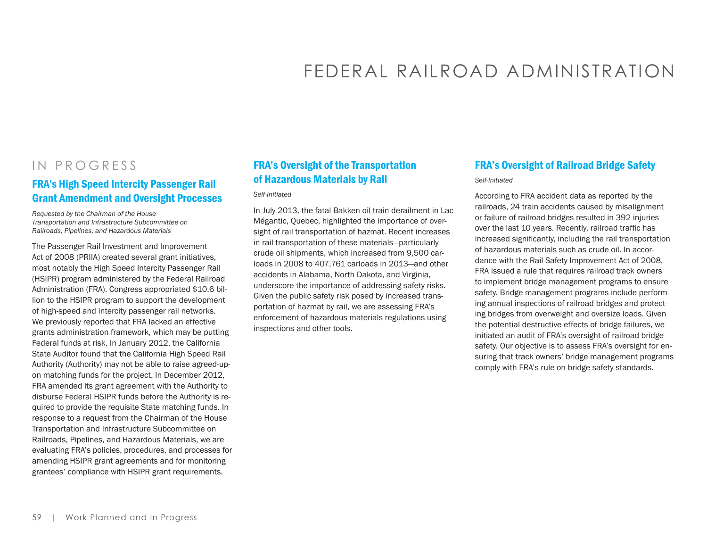# FEDERAL RAILROAD ADMINISTRATION

## IN PROGRESS

#### FRA's High Speed Intercity Passenger Rail Grant Amendment and Oversight Processes

*Requested by the Chairman of the House Transportation and Infrastructure Subcommittee on Railroads, Pipelines, and Hazardous Materials* 

The Passenger Rail Investment and Improvement Act of 2008 (PRIIA) created several grant initiatives, most notably the High Speed Intercity Passenger Rail (HSIPR) program administered by the Federal Railroad Administration (FRA). Congress appropriated \$10.6 billion to the HSIPR program to support the development of high-speed and intercity passenger rail networks. We previously reported that FRA lacked an effective grants administration framework, which may be putting Federal funds at risk. In January 2012, the California State Auditor found that the California High Speed Rail Authority (Authority) may not be able to raise agreed-upon matching funds for the project. In December 2012, FRA amended its grant agreement with the Authority to disburse Federal HSIPR funds before the Authority is required to provide the requisite State matching funds. In response to a request from the Chairman of the House Transportation and Infrastructure Subcommittee on Railroads, Pipelines, and Hazardous Materials, we are evaluating FRA's policies, procedures, and processes for amending HSIPR grant agreements and for monitoring grantees' compliance with HSIPR grant requirements.

#### FRA's Oversight of the Transportation of Hazardous Materials by Rail

#### *Self-Initiated*

In July 2013, the fatal Bakken oil train derailment in Lac Mégantic, Quebec, highlighted the importance of oversight of rail transportation of hazmat. Recent increases in rail transportation of these materials—particularly crude oil shipments, which increased from 9,500 carloads in 2008 to 407,761 carloads in 2013—and other accidents in Alabama, North Dakota, and Virginia, underscore the importance of addressing safety risks. Given the public safety risk posed by increased transportation of hazmat by rail, we are assessing FRA's enforcement of hazardous materials regulations using inspections and other tools.

#### FRA's Oversight of Railroad Bridge Safety

#### *Self-Initiated*

According to FRA accident data as reported by the railroads, 24 train accidents caused by misalignment or failure of railroad bridges resulted in 392 injuries over the last 10 years. Recently, railroad traffic has increased significantly, including the rail transportation of hazardous materials such as crude oil. In accordance with the Rail Safety Improvement Act of 2008, FRA issued a rule that requires railroad track owners to implement bridge management programs to ensure safety. Bridge management programs include performing annual inspections of railroad bridges and protecting bridges from overweight and oversize loads. Given the potential destructive effects of bridge failures, we initiated an audit of FRA's oversight of railroad bridge safety. Our objective is to assess FRA's oversight for ensuring that track owners' bridge management programs comply with FRA's rule on bridge safety standards.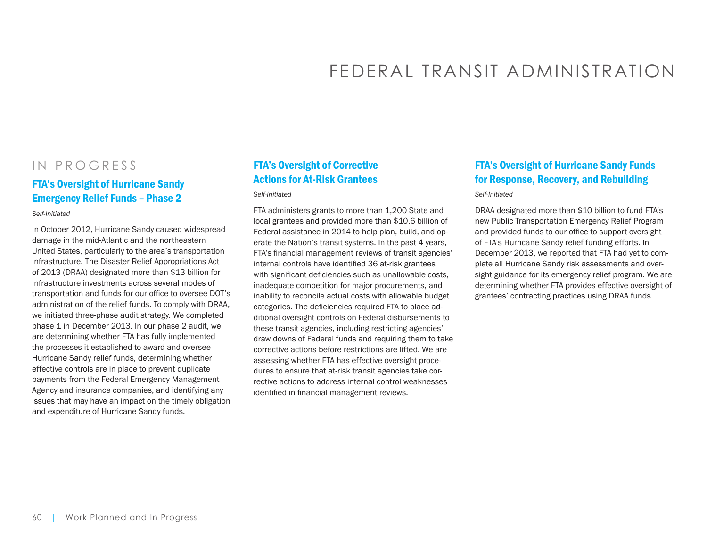# FEDERAL TRANSIT ADMINISTRATION

## IN PROGRESS

#### FTA's Oversight of Hurricane Sandy Emergency Relief Funds – Phase 2

*Self-Initiated*

In October 2012, Hurricane Sandy caused widespread damage in the mid-Atlantic and the northeastern United States, particularly to the area's transportation infrastructure. The Disaster Relief Appropriations Act of 2013 (DRAA) designated more than \$13 billion for infrastructure investments across several modes of transportation and funds for our office to oversee DOT's administration of the relief funds. To comply with DRAA, we initiated three-phase audit strategy. We completed phase 1 in December 2013. In our phase 2 audit, we are determining whether FTA has fully implemented the processes it established to award and oversee Hurricane Sandy relief funds, determining whether effective controls are in place to prevent duplicate payments from the Federal Emergency Management Agency and insurance companies, and identifying any issues that may have an impact on the timely obligation and expenditure of Hurricane Sandy funds.

## FTA's Oversight of Corrective Actions for At-Risk Grantees

*Self-Initiated*

FTA administers grants to more than 1,200 State and local grantees and provided more than \$10.6 billion of Federal assistance in 2014 to help plan, build, and operate the Nation's transit systems. In the past 4 years, FTA's financial management reviews of transit agencies' internal controls have identified 36 at-risk grantees with significant deficiencies such as unallowable costs, inadequate competition for major procurements, and inability to reconcile actual costs with allowable budget categories. The deficiencies required FTA to place additional oversight controls on Federal disbursements to these transit agencies, including restricting agencies' draw downs of Federal funds and requiring them to take corrective actions before restrictions are lifted. We are assessing whether FTA has effective oversight procedures to ensure that at-risk transit agencies take corrective actions to address internal control weaknesses identified in financial management reviews.

## FTA's Oversight of Hurricane Sandy Funds for Response, Recovery, and Rebuilding

*Self-Initiated*

DRAA designated more than \$10 billion to fund FTA's new Public Transportation Emergency Relief Program and provided funds to our office to support oversight of FTA's Hurricane Sandy relief funding efforts. In December 2013, we reported that FTA had yet to complete all Hurricane Sandy risk assessments and oversight guidance for its emergency relief program. We are determining whether FTA provides effective oversight of grantees' contracting practices using DRAA funds.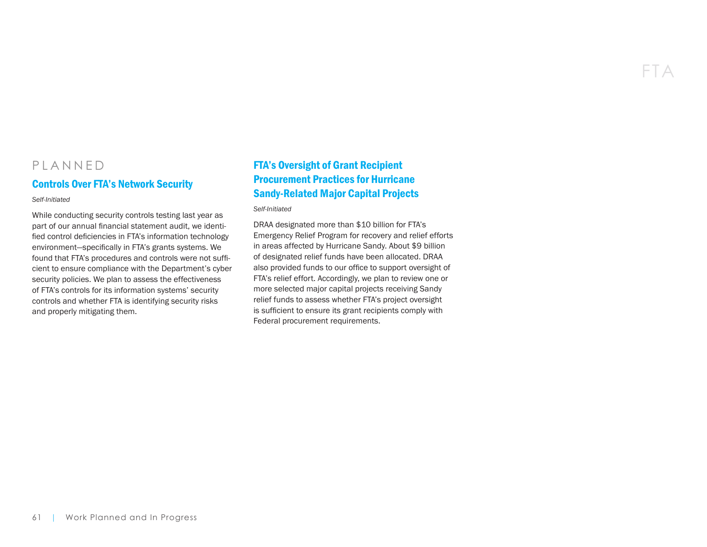## FTA

## PLANNED

#### Controls Over FTA's Network Security

*Self-Initiated*

While conducting security controls testing last year as part of our annual financial statement audit, we identified control deficiencies in FTA's information technology environment—specifically in FTA's grants systems. We found that FTA's procedures and controls were not sufficient to ensure compliance with the Department's cyber security policies. We plan to assess the effectiveness of FTA's controls for its information systems' security controls and whether FTA is identifying security risks and properly mitigating them.

## FTA's Oversight of Grant Recipient Procurement Practices for Hurricane Sandy-Related Major Capital Projects

*Self-Initiated*

DRAA designated more than \$10 billion for FTA's Emergency Relief Program for recovery and relief efforts in areas affected by Hurricane Sandy. About \$9 billion of designated relief funds have been allocated. DRAA also provided funds to our office to support oversight of FTA's relief effort. Accordingly, we plan to review one or more selected major capital projects receiving Sandy relief funds to assess whether FTA's project oversight is sufficient to ensure its grant recipients comply with Federal procurement requirements.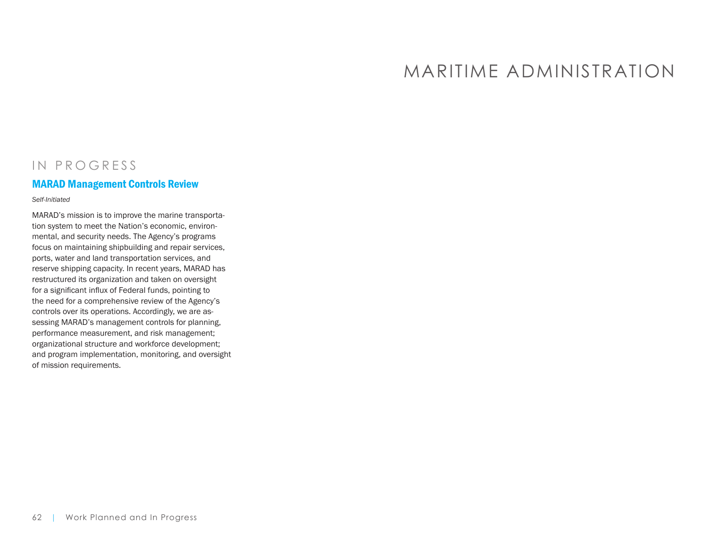## MARITIME ADMINISTRATION

## IN PROGRESS

#### MARAD Management Controls Review

*Self-Initiated*

MARAD's mission is to improve the marine transportation system to meet the Nation's economic, environmental, and security needs. The Agency's programs focus on maintaining shipbuilding and repair services, ports, water and land transportation services, and reserve shipping capacity. In recent years, MARAD has restructured its organization and taken on oversight for a significant influx of Federal funds, pointing to the need for a comprehensive review of the Agency's controls over its operations. Accordingly, we are assessing MARAD's management controls for planning, performance measurement, and risk management; organizational structure and workforce development; and program implementation, monitoring, and oversight of mission requirements.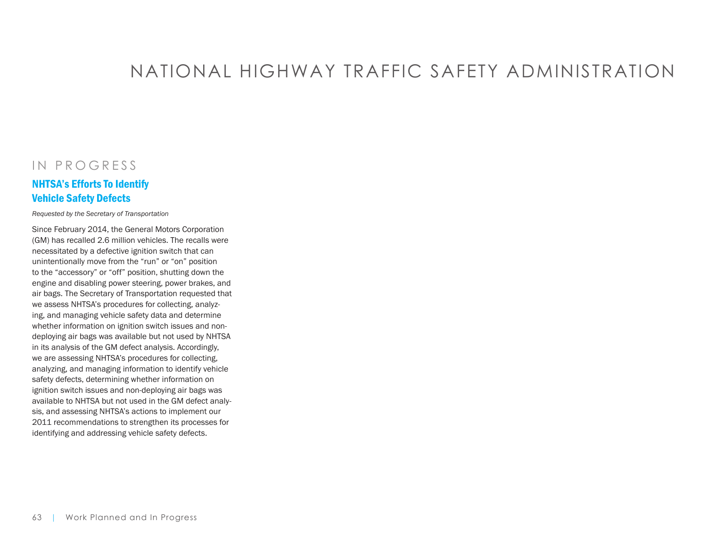# NATIONAL HIGHWAY TRAFFIC SAFETY ADMINISTRATION

## IN PROGRESS

#### NHTSA's Efforts To Identify Vehicle Safety Defects

*Requested by the Secretary of Transportation*

Since February 2014, the General Motors Corporation (GM) has recalled 2.6 million vehicles. The recalls were necessitated by a defective ignition switch that can unintentionally move from the "run" or "on" position to the "accessory" or "off" position, shutting down the engine and disabling power steering, power brakes, and air bags. The Secretary of Transportation requested that we assess NHTSA's procedures for collecting, analyzing, and managing vehicle safety data and determine whether information on ignition switch issues and nondeploying air bags was available but not used by NHTSA in its analysis of the GM defect analysis. Accordingly, we are assessing NHTSA's procedures for collecting, analyzing, and managing information to identify vehicle safety defects, determining whether information on ignition switch issues and non-deploying air bags was available to NHTSA but not used in the GM defect analysis, and assessing NHTSA's actions to implement our 2011 recommendations to strengthen its processes for identifying and addressing vehicle safety defects.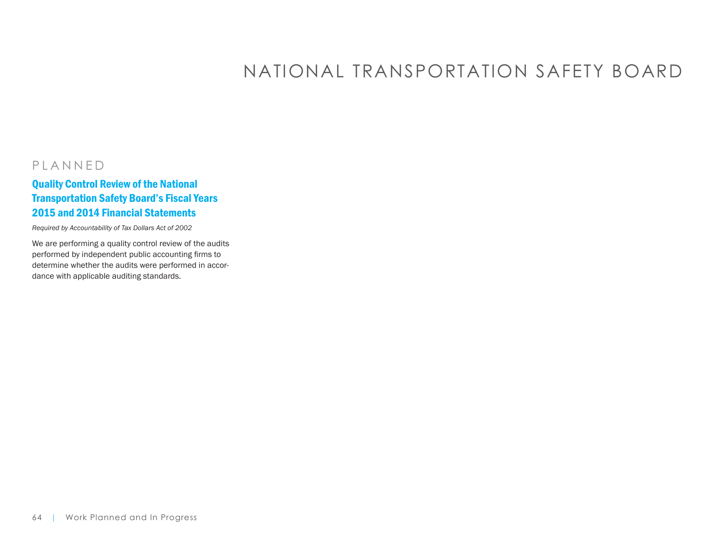# NATIONAL TRANSPORTATION SAFETY BOARD

## PLANNED

## Quality Control Review of the National Transportation Safety Board's Fiscal Years 2015 and 2014 Financial Statements

*Required by Accountability of Tax Dollars Act of 2002*

We are performing a quality control review of the audits performed by independent public accounting firms to determine whether the audits were performed in accordance with applicable auditing standards.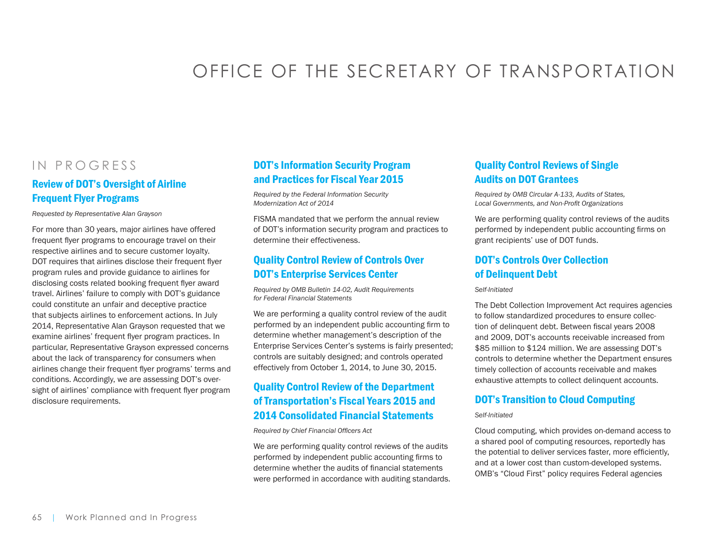# OFFICE OF THE SECRETARY OF TRANSPORTATION

## IN PROGRESS

#### Review of DOT's Oversight of Airline Frequent Flyer Programs

*Requested by Representative Alan Grayson*

For more than 30 years, major airlines have offered frequent flyer programs to encourage travel on their respective airlines and to secure customer loyalty. DOT requires that airlines disclose their frequent flyer program rules and provide guidance to airlines for disclosing costs related booking frequent flyer award travel. Airlines' failure to comply with DOT's guidance could constitute an unfair and deceptive practice that subjects airlines to enforcement actions. In July 2014, Representative Alan Grayson requested that we examine airlines' frequent flyer program practices. In particular, Representative Grayson expressed concerns about the lack of transparency for consumers when airlines change their frequent flyer programs' terms and conditions. Accordingly, we are assessing DOT's oversight of airlines' compliance with frequent flyer program disclosure requirements.

#### DOT's Information Security Program and Practices for Fiscal Year 2015

*Required by the Federal Information Security Modernization Act of 2014*

FISMA mandated that we perform the annual review of DOT's information security program and practices to determine their effectiveness.

#### Quality Control Review of Controls Over DOT's Enterprise Services Center

*Required by OMB Bulletin 14-02, Audit Requirements for Federal Financial Statements* 

We are performing a quality control review of the audit performed by an independent public accounting firm to determine whether management's description of the Enterprise Services Center's systems is fairly presented; controls are suitably designed; and controls operated effectively from October 1, 2014, to June 30, 2015.

## Quality Control Review of the Department of Transportation's Fiscal Years 2015 and 2014 Consolidated Financial Statements

*Required by Chief Financial Officers Act*

We are performing quality control reviews of the audits performed by independent public accounting firms to determine whether the audits of financial statements were performed in accordance with auditing standards.

#### Quality Control Reviews of Single Audits on DOT Grantees

*Required by OMB Circular A-133, Audits of States, Local Governments, and Non-Profit Organizations*

We are performing quality control reviews of the audits performed by independent public accounting firms on grant recipients' use of DOT funds.

## DOT's Controls Over Collection of Delinquent Debt

*Self-Initiated*

The Debt Collection Improvement Act requires agencies to follow standardized procedures to ensure collection of delinquent debt. Between fiscal years 2008 and 2009, DOT's accounts receivable increased from \$85 million to \$124 million. We are assessing DOT's controls to determine whether the Department ensures timely collection of accounts receivable and makes exhaustive attempts to collect delinquent accounts.

#### DOT's Transition to Cloud Computing

#### *Self-Initiated*

Cloud computing, which provides on-demand access to a shared pool of computing resources, reportedly has the potential to deliver services faster, more efficiently, and at a lower cost than custom-developed systems. OMB's "Cloud First" policy requires Federal agencies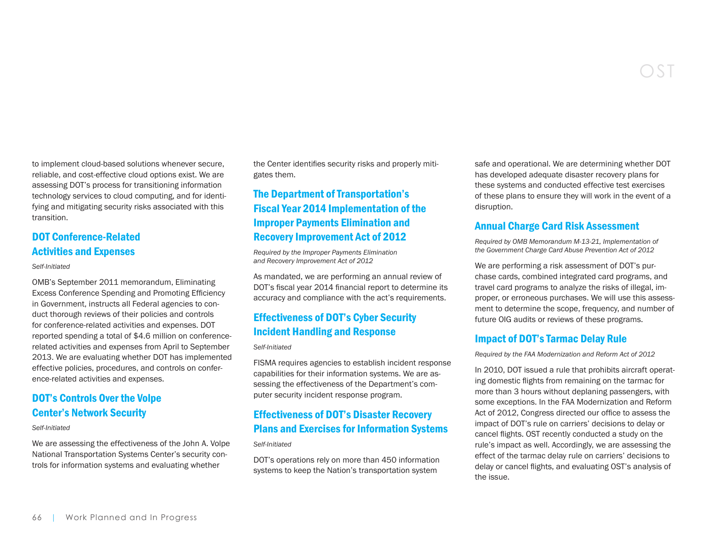to implement cloud-based solutions whenever secure, reliable, and cost-effective cloud options exist. We are assessing DOT's process for transitioning information technology services to cloud computing, and for identifying and mitigating security risks associated with this transition.

#### DOT Conference-Related Activities and Expenses

#### *Self-Initiated*

OMB's September 2011 memorandum, Eliminating Excess Conference Spending and Promoting Efficiency in Government, instructs all Federal agencies to conduct thorough reviews of their policies and controls for conference-related activities and expenses. DOT reported spending a total of \$4.6 million on conferencerelated activities and expenses from April to September 2013. We are evaluating whether DOT has implemented effective policies, procedures, and controls on conference-related activities and expenses.

#### DOT's Controls Over the Volpe Center's Network Security

#### *Self-Initiated*

We are assessing the effectiveness of the John A. Volpe National Transportation Systems Center's security controls for information systems and evaluating whether

the Center identifies security risks and properly mitigates them.

## The Department of Transportation's Fiscal Year 2014 Implementation of the Improper Payments Elimination and Recovery Improvement Act of 2012

*Required by the Improper Payments Elimination and Recovery Improvement Act of 2012*

As mandated, we are performing an annual review of DOT's fiscal year 2014 financial report to determine its accuracy and compliance with the act's requirements.

#### Effectiveness of DOT's Cyber Security Incident Handling and Response

#### *Self-Initiated*

FISMA requires agencies to establish incident response capabilities for their information systems. We are assessing the effectiveness of the Department's computer security incident response program.

#### Effectiveness of DOT's Disaster Recovery Plans and Exercises for Information Systems

#### *Self-Initiated*

DOT's operations rely on more than 450 information systems to keep the Nation's transportation system

safe and operational. We are determining whether DOT has developed adequate disaster recovery plans for these systems and conducted effective test exercises of these plans to ensure they will work in the event of a disruption.

#### Annual Charge Card Risk Assessment

*Required by OMB Memorandum M-13-21, Implementation of the Government Charge Card Abuse Prevention Act of 2012*

We are performing a risk assessment of DOT's purchase cards, combined integrated card programs, and travel card programs to analyze the risks of illegal, improper, or erroneous purchases. We will use this assessment to determine the scope, frequency, and number of future OIG audits or reviews of these programs.

#### Impact of DOT's Tarmac Delay Rule

*Required by the FAA Modernization and Reform Act of 2012*

In 2010, DOT issued a rule that prohibits aircraft operating domestic flights from remaining on the tarmac for more than 3 hours without deplaning passengers, with some exceptions. In the FAA Modernization and Reform Act of 2012, Congress directed our office to assess the impact of DOT's rule on carriers' decisions to delay or cancel flights. OST recently conducted a study on the rule's impact as well. Accordingly, we are assessing the effect of the tarmac delay rule on carriers' decisions to delay or cancel flights, and evaluating OST's analysis of the issue.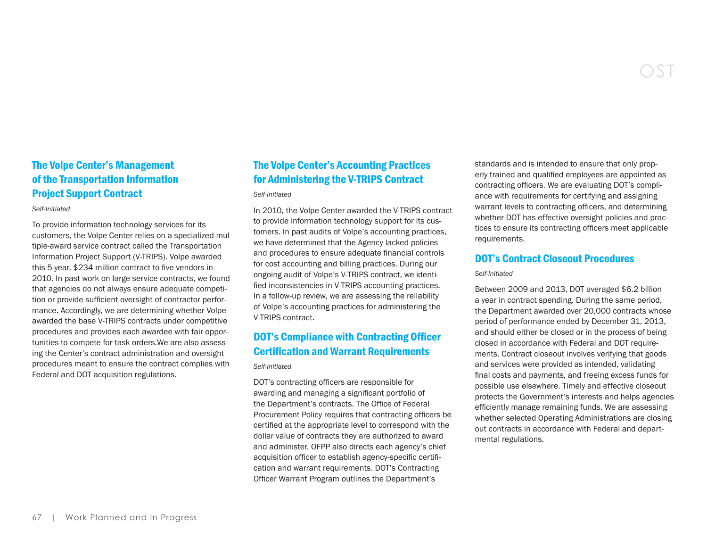### The Volpe Center's Management of the Transportation Information Project Support Contract

#### *Self-Initiated*

To provide information technology services for its customers, the Volpe Center relies on a specialized multiple-award service contract called the Transportation Information Project Support (V-TRIPS). Volpe awarded this 5-year, \$234 million contract to five vendors in 2010. In past work on large service contracts, we found that agencies do not always ensure adequate competition or provide sufficient oversight of contractor performance. Accordingly, we are determining whether Volpe awarded the base V-TRIPS contracts under competitive procedures and provides each awardee with fair opportunities to compete for task orders.We are also assessing the Center's contract administration and oversight procedures meant to ensure the contract complies with Federal and DOT acquisition regulations.

#### The Volpe Center's Accounting Practices for Administering the V-TRIPS Contract

#### *Self-Initiated*

In 2010, the Volpe Center awarded the V-TRIPS contract to provide information technology support for its customers. In past audits of Volpe's accounting practices, we have determined that the Agency lacked policies and procedures to ensure adequate financial controls for cost accounting and billing practices. During our ongoing audit of Volpe's V-TRIPS contract, we identified inconsistencies in V-TRIPS accounting practices. In a follow-up review, we are assessing the reliability of Volpe's accounting practices for administering the V-TRIPS contract.

### DOT's Compliance with Contracting Officer Certification and Warrant Requirements

*Self-Initiated*

DOT's contracting officers are responsible for awarding and managing a significant portfolio of the Department's contracts. The Office of Federal Procurement Policy requires that contracting officers be certified at the appropriate level to correspond with the dollar value of contracts they are authorized to award and administer. OFPP also directs each agency's chief acquisition officer to establish agency-specific certification and warrant requirements. DOT's Contracting Officer Warrant Program outlines the Department's

standards and is intended to ensure that only properly trained and qualified employees are appointed as contracting officers. We are evaluating DOT's compliance with requirements for certifying and assigning warrant levels to contracting officers, and determining whether DOT has effective oversight policies and practices to ensure its contracting officers meet applicable requirements.

#### DOT's Contract Closeout Procedures

#### *Self-Initiated*

Between 2009 and 2013, DOT averaged \$6.2 billion a year in contract spending. During the same period, the Department awarded over 20,000 contracts whose period of performance ended by December 31, 2013, and should either be closed or in the process of being closed in accordance with Federal and DOT requirements. Contract closeout involves verifying that goods and services were provided as intended, validating final costs and payments, and freeing excess funds for possible use elsewhere. Timely and effective closeout protects the Government's interests and helps agencies efficiently manage remaining funds. We are assessing whether selected Operating Administrations are closing out contracts in accordance with Federal and departmental regulations.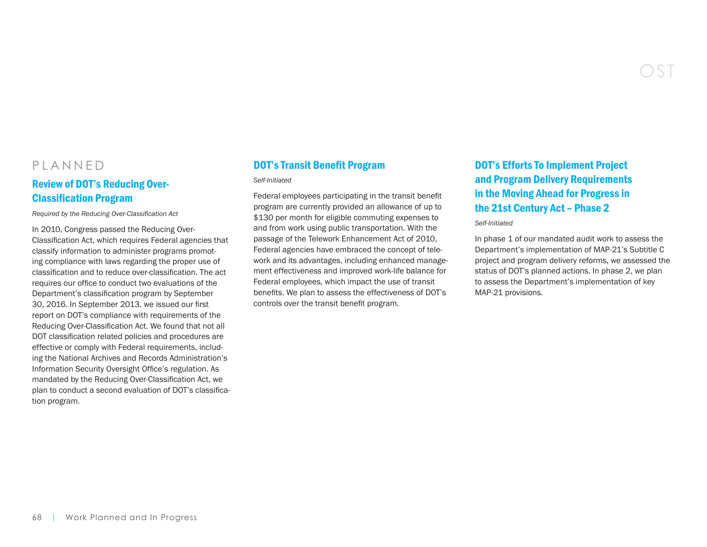## PLANNED

#### Review of DOT's Reducing Over-Classification Program

*Required by the Reducing Over-Classification Act*

In 2010, Congress passed the Reducing Over-Classification Act, which requires Federal agencies that classify information to administer programs promoting compliance with laws regarding the proper use of classification and to reduce over-classification. The act requires our office to conduct two evaluations of the Department's classification program by September 30, 2016. In September 2013, we issued our first report on DOT's compliance with requirements of the Reducing Over-Classification Act. We found that not all DOT classification related policies and procedures are effective or comply with Federal requirements, including the National Archives and Records Administration's Information Security Oversight Office's regulation. As mandated by the Reducing Over-Classification Act, we plan to conduct a second evaluation of DOT's classification program.

#### DOT's Transit Benefit Program

*Self-Initiated*

Federal employees participating in the transit benefit program are currently provided an allowance of up to \$130 per month for eligible commuting expenses to and from work using public transportation. With the passage of the Telework Enhancement Act of 2010, Federal agencies have embraced the concept of telework and its advantages, including enhanced management effectiveness and improved work-life balance for Federal employees, which impact the use of transit benefits. We plan to assess the effectiveness of DOT's controls over the transit benefit program.

## DOT's Efforts To Implement Project and Program Delivery Requirements in the Moving Ahead for Progress in the 21st Century Act – Phase 2

*Self-Initiated*

In phase 1 of our mandated audit work to assess the Department's implementation of MAP-21's Subtitle C project and program delivery reforms, we assessed the status of DOT's planned actions. In phase 2, we plan to assess the Department's implementation of key MAP-21 provisions.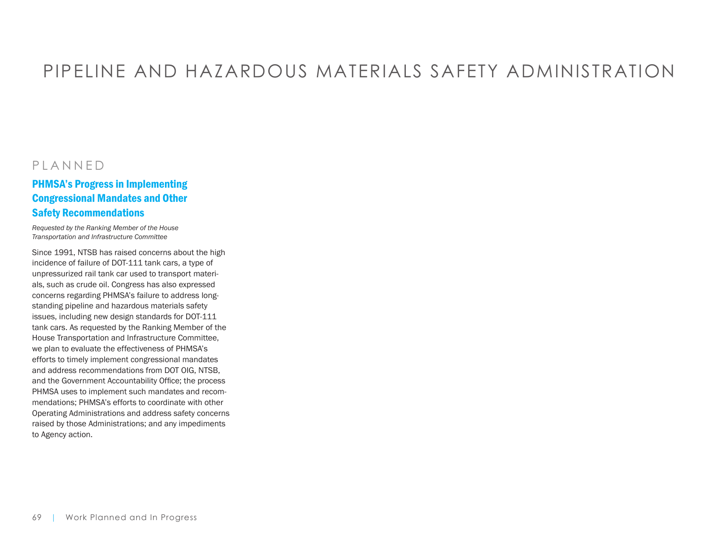# PIPELINE AND HAZARDOUS MATERIALS SAFETY ADMINISTRATION

## PLANNED

#### PHMSA's Progress in Implementing Congressional Mandates and Other Safety Recommendations

*Requested by the Ranking Member of the House Transportation and Infrastructure Committee*

Since 1991, NTSB has raised concerns about the high incidence of failure of DOT-111 tank cars, a type of unpressurized rail tank car used to transport materials, such as crude oil. Congress has also expressed concerns regarding PHMSA's failure to address longstanding pipeline and hazardous materials safety issues, including new design standards for DOT-111 tank cars. As requested by the Ranking Member of the House Transportation and Infrastructure Committee, we plan to evaluate the effectiveness of PHMSA's efforts to timely implement congressional mandates and address recommendations from DOT OIG, NTSB, and the Government Accountability Office; the process PHMSA uses to implement such mandates and recommendations; PHMSA's efforts to coordinate with other Operating Administrations and address safety concerns raised by those Administrations; and any impediments to Agency action.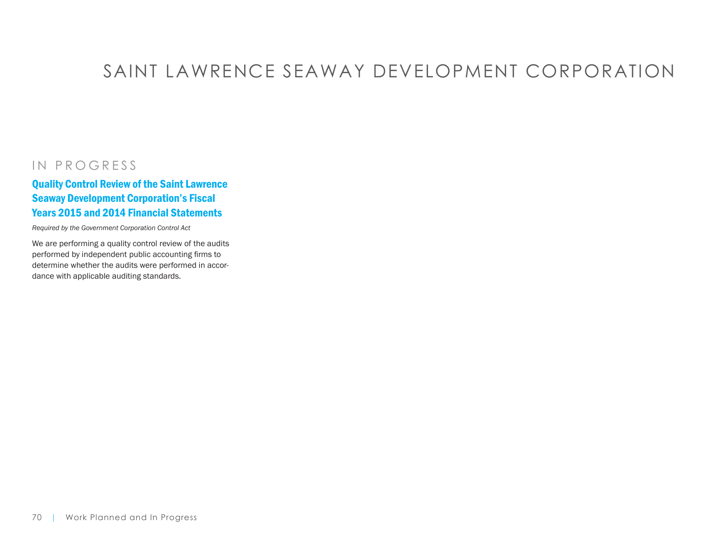# SAINT LAWRENCE SEAWAY DEVELOPMENT CORPORATION

## IN PROGRESS

### Quality Control Review of the Saint Lawrence Seaway Development Corporation's Fiscal Years 2015 and 2014 Financial Statements

*Required by the Government Corporation Control Act*

We are performing a quality control review of the audits performed by independent public accounting firms to determine whether the audits were performed in accordance with applicable auditing standards.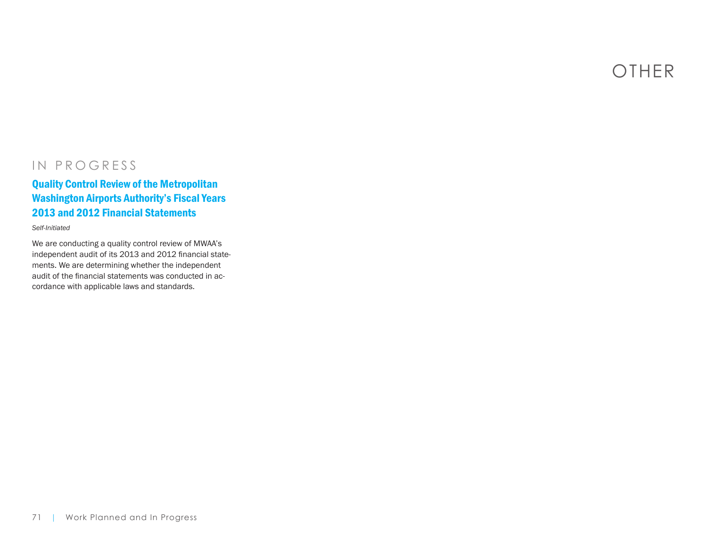OTHER

## IN PROGRESS

#### Quality Control Review of the Metropolitan Washington Airports Authority's Fiscal Years 2013 and 2012 Financial Statements

#### *Self-Initiated*

We are conducting a quality control review of MWAA's independent audit of its 2013 and 2012 financial statements. We are determining whether the independent audit of the financial statements was conducted in accordance with applicable laws and standards.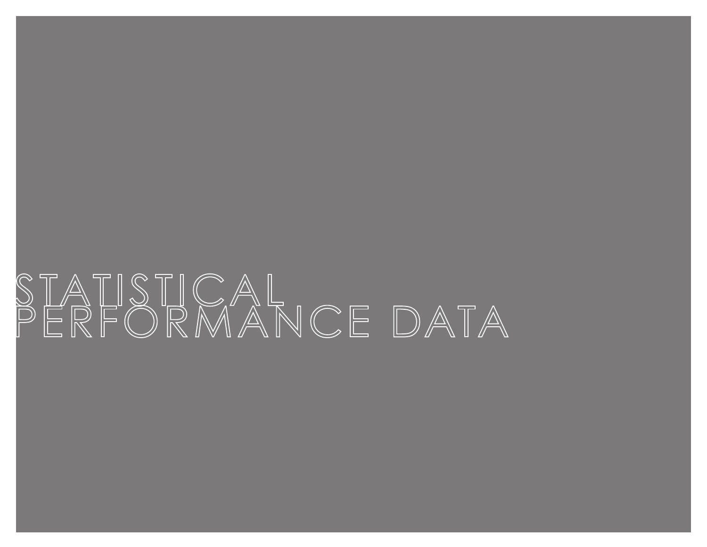# STATISTICAL<br>PERFORMANCE DATAI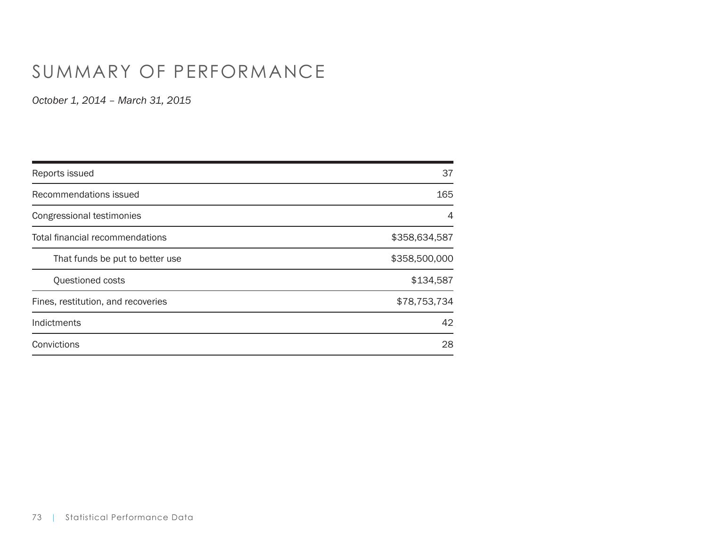# SUMMARY OF PERFORMANCE

| Reports issued                     | 37            |
|------------------------------------|---------------|
| Recommendations issued             | 165           |
| Congressional testimonies          | 4             |
| Total financial recommendations    | \$358,634,587 |
| That funds be put to better use    | \$358,500,000 |
| Questioned costs                   | \$134,587     |
| Fines, restitution, and recoveries | \$78,753,734  |
| Indictments                        | 42            |
| Convictions                        | 28            |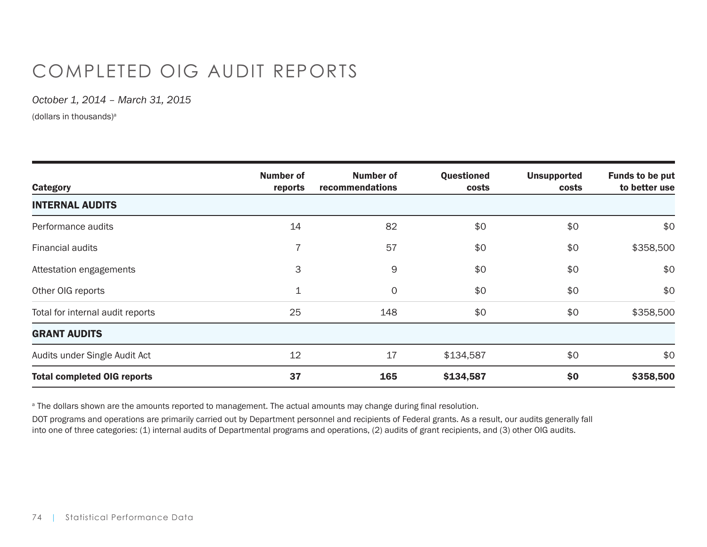# COMPLETED OIG AUDIT REPORTS

*October 1, 2014 – March 31, 2015*

(dollars in thousands)<sup>a</sup>

| <b>Category</b>                    | Number of<br>reports | Number of<br>recommendations | Questioned<br>costs | <b>Unsupported</b><br>costs | <b>Funds to be put</b><br>to better use |
|------------------------------------|----------------------|------------------------------|---------------------|-----------------------------|-----------------------------------------|
| <b>INTERNAL AUDITS</b>             |                      |                              |                     |                             |                                         |
| Performance audits                 | 14                   | 82                           | \$0                 | \$0                         | \$0                                     |
| Financial audits                   |                      | 57                           | \$0                 | \$0                         | \$358,500                               |
| Attestation engagements            | 3                    | 9                            | \$0                 | \$0                         | \$0                                     |
| Other OIG reports                  | $\mathbf 1$          | 0                            | \$0                 | \$0                         | \$0                                     |
| Total for internal audit reports   | 25                   | 148                          | \$0                 | \$0                         | \$358,500                               |
| <b>GRANT AUDITS</b>                |                      |                              |                     |                             |                                         |
| Audits under Single Audit Act      | 12                   | 17                           | \$134,587           | \$0                         | \$0                                     |
| <b>Total completed OIG reports</b> | 37                   | 165                          | \$134,587           | \$0                         | \$358,500                               |

 $\,^{\rm a}$  The dollars shown are the amounts reported to management. The actual amounts may change during final resolution.

DOT programs and operations are primarily carried out by Department personnel and recipients of Federal grants. As a result, our audits generally fall into one of three categories: (1) internal audits of Departmental programs and operations, (2) audits of grant recipients, and (3) other OIG audits.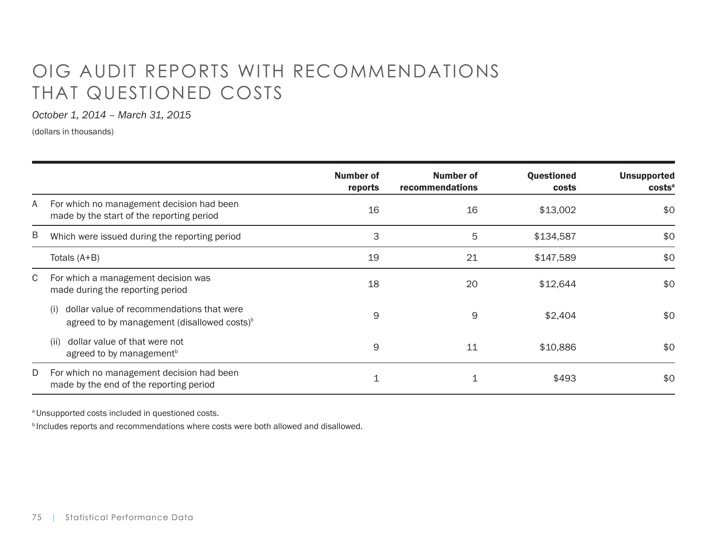# OIG AUDIT REPORTS WITH RECOMMENDATIONS THAT QUESTIONED COSTS

*October 1, 2014 – March 31, 2015*

(dollars in thousands)

|   |                                                                                                         | <b>Number of</b><br>reports | <b>Number of</b><br>recommendations | Questioned<br>costs | <b>Unsupported</b><br>costs <sup>a</sup> |
|---|---------------------------------------------------------------------------------------------------------|-----------------------------|-------------------------------------|---------------------|------------------------------------------|
| A | For which no management decision had been<br>made by the start of the reporting period                  | 16                          | 16                                  | \$13,002            | \$0                                      |
| B | Which were issued during the reporting period                                                           | 3                           | 5                                   | \$134,587           | \$0                                      |
|   | Totals (A+B)                                                                                            | 19                          | 21                                  | \$147,589           | \$0                                      |
| C | For which a management decision was<br>made during the reporting period                                 | 18                          | 20                                  | \$12,644            | \$0                                      |
|   | dollar value of recommendations that were<br>(i)<br>agreed to by management (disallowed costs) $\delta$ | 9                           | 9                                   | \$2,404             | \$0                                      |
|   | dollar value of that were not<br>(ii)<br>agreed to by management <sup>b</sup>                           | 9                           | 11                                  | \$10,886            | \$0                                      |
| D | For which no management decision had been<br>made by the end of the reporting period                    |                             |                                     | \$493               | \$0                                      |

a Unsupported costs included in questioned costs.

**b** Includes reports and recommendations where costs were both allowed and disallowed.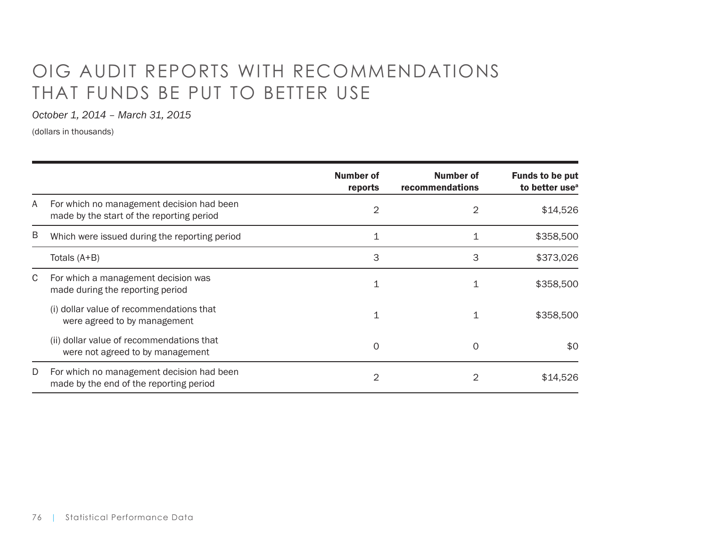# OIG AUDIT REPORTS WITH RECOMMENDATIONS THAT FUNDS BE PUT TO BETTER USE

*October 1, 2014 – March 31, 2015*

(dollars in thousands)

|   |                                                                                        | <b>Number of</b><br>reports | <b>Number of</b><br>recommendations | <b>Funds to be put</b><br>to better use <sup>a</sup> |
|---|----------------------------------------------------------------------------------------|-----------------------------|-------------------------------------|------------------------------------------------------|
| A | For which no management decision had been<br>made by the start of the reporting period | 2                           | $\overline{2}$                      | \$14,526                                             |
| Β | Which were issued during the reporting period                                          | 1                           | 1                                   | \$358,500                                            |
|   | Totals (A+B)                                                                           | 3                           | 3                                   | \$373,026                                            |
| C | For which a management decision was<br>made during the reporting period                |                             |                                     | \$358,500                                            |
|   | (i) dollar value of recommendations that<br>were agreed to by management               | 1                           | 1                                   | \$358,500                                            |
|   | (ii) dollar value of recommendations that<br>were not agreed to by management          | $\Omega$                    | 0                                   | \$0                                                  |
| D | For which no management decision had been<br>made by the end of the reporting period   | 2                           |                                     | \$14,526                                             |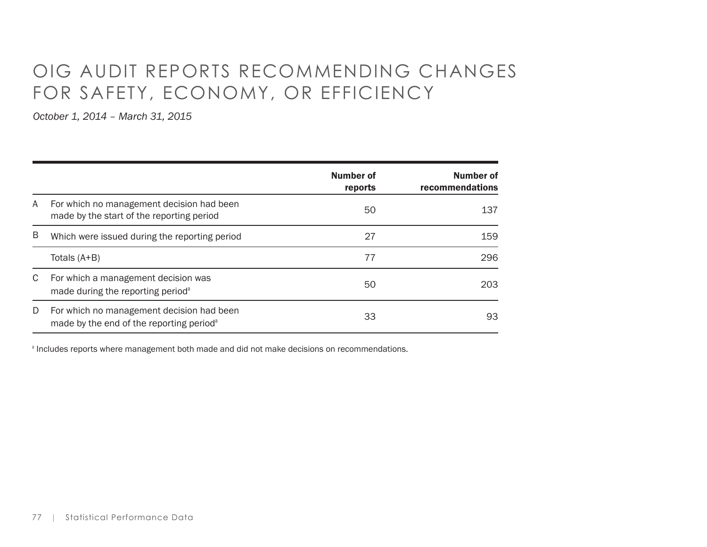# OIG AUDIT REPORTS RECOMMENDING CHANGES FOR SAFETY, ECONOMY, OR EFFICIENCY

*October 1, 2014 – March 31, 2015*

|    |                                                                                                   | <b>Number of</b><br>reports | Number of<br>recommendations |
|----|---------------------------------------------------------------------------------------------------|-----------------------------|------------------------------|
| A  | For which no management decision had been<br>made by the start of the reporting period            | 50                          | 137                          |
| B  | Which were issued during the reporting period                                                     | 27                          | 159                          |
|    | Totals (A+B)                                                                                      | 77                          | 296                          |
| C. | For which a management decision was<br>made during the reporting period <sup>a</sup>              | 50                          | 203                          |
| D  | For which no management decision had been<br>made by the end of the reporting period <sup>a</sup> | 33                          | 93                           |

**Includes reports where management both made and did not make decisions on recommendations.**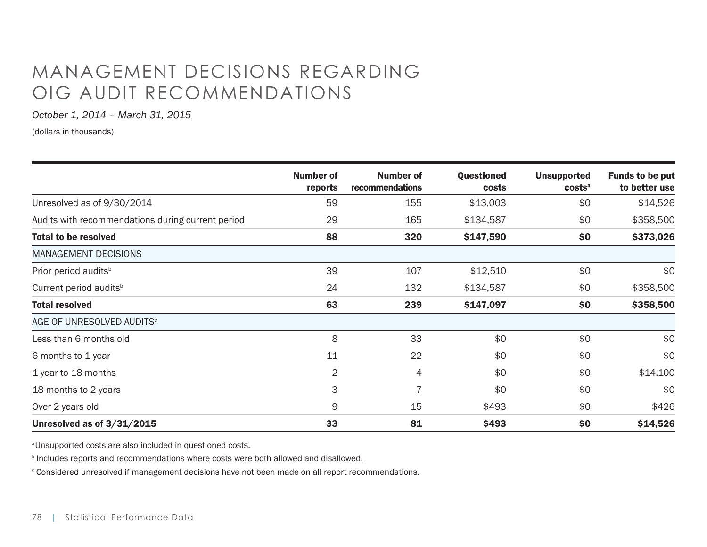# MANAGEMENT DECISIONS REGARDING OIG AUDIT RECOMMENDATIONS

*October 1, 2014 – March 31, 2015*

(dollars in thousands)

|                                                   | <b>Number of</b><br>reports | <b>Number of</b><br>recommendations | <b>Questioned</b><br>costs | <b>Unsupported</b><br>costs <sup>a</sup> | <b>Funds to be put</b><br>to better use |
|---------------------------------------------------|-----------------------------|-------------------------------------|----------------------------|------------------------------------------|-----------------------------------------|
| Unresolved as of 9/30/2014                        | 59                          | 155                                 | \$13,003                   | \$0                                      | \$14,526                                |
| Audits with recommendations during current period | 29                          | 165                                 | \$134,587                  | \$0                                      | \$358,500                               |
| <b>Total to be resolved</b>                       | 88                          | 320                                 | \$147,590                  | \$0                                      | \$373,026                               |
| <b>MANAGEMENT DECISIONS</b>                       |                             |                                     |                            |                                          |                                         |
| Prior period audits <sup>b</sup>                  | 39                          | 107                                 | \$12,510                   | \$0                                      | \$0                                     |
| Current period audits <sup>b</sup>                | 24                          | 132                                 | \$134,587                  | \$0                                      | \$358,500                               |
| <b>Total resolved</b>                             | 63                          | 239                                 | \$147,097                  | \$0                                      | \$358,500                               |
| AGE OF UNRESOLVED AUDITS <sup>c</sup>             |                             |                                     |                            |                                          |                                         |
| Less than 6 months old                            | 8                           | 33                                  | \$0                        | \$0                                      | \$0                                     |
| 6 months to 1 year                                | 11                          | 22                                  | \$0                        | \$0                                      | \$0                                     |
| 1 year to 18 months                               | $\overline{2}$              | 4                                   | \$0                        | \$0                                      | \$14,100                                |
| 18 months to 2 years                              | 3                           | $\overline{7}$                      | \$0                        | \$0                                      | \$0                                     |
| Over 2 years old                                  | 9                           | 15                                  | \$493                      | \$0                                      | \$426                                   |
| Unresolved as of 3/31/2015                        | 33                          | 81                                  | \$493                      | \$0                                      | \$14,526                                |

a Unsupported costs are also included in questioned costs.

**Includes reports and recommendations where costs were both allowed and disallowed.** 

 $^\circ$  Considered unresolved if management decisions have not been made on all report recommendations.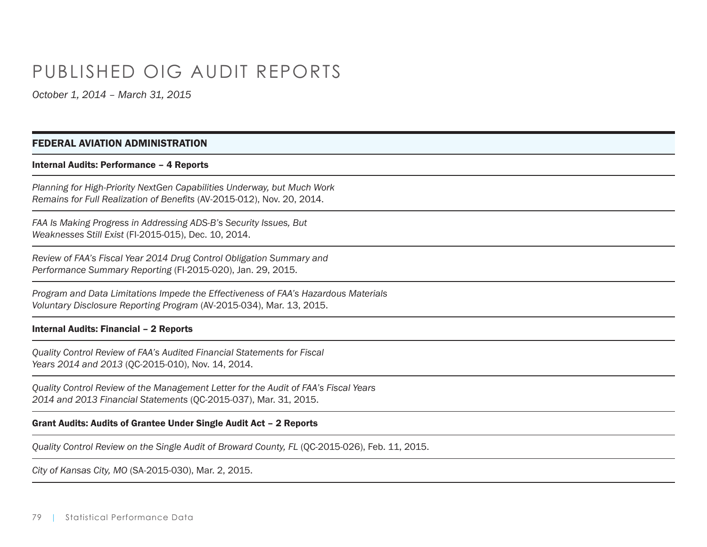## PUBLISHED OIG AUDIT REPORTS

*October 1, 2014 – March 31, 2015*

## FEDERAL AVIATION ADMINISTRATION

#### Internal Audits: Performance – 4 Reports

*Planning for High-Priority NextGen Capabilities Underway, but Much Work Remains for Full Realization of Benefits* (AV-2015-012), Nov. 20, 2014.

*FAA Is Making Progress in Addressing ADS-B's Security Issues, But Weaknesses Still Exist* (FI-2015-015), Dec. 10, 2014.

*Review of FAA's Fiscal Year 2014 Drug Control Obligation Summary and Performance Summary Reporting* (FI-2015-020), Jan. 29, 2015.

*Program and Data Limitations Impede the Effectiveness of FAA's Hazardous Materials Voluntary Disclosure Reporting Program* (AV-2015-034), Mar. 13, 2015.

## Internal Audits: Financial – 2 Reports

*Quality Control Review of FAA's Audited Financial Statements for Fiscal Years 2014 and 2013* (QC-2015-010), Nov. 14, 2014.

*Quality Control Review of the Management Letter for the Audit of FAA's Fiscal Years 2014 and 2013 Financial Statements* (QC-2015-037), Mar. 31, 2015.

## Grant Audits: Audits of Grantee Under Single Audit Act – 2 Reports

*Quality Control Review on the Single Audit of Broward County, FL* (QC-2015-026), Feb. 11, 2015.

*City of Kansas City, MO* (SA-2015-030), Mar. 2, 2015.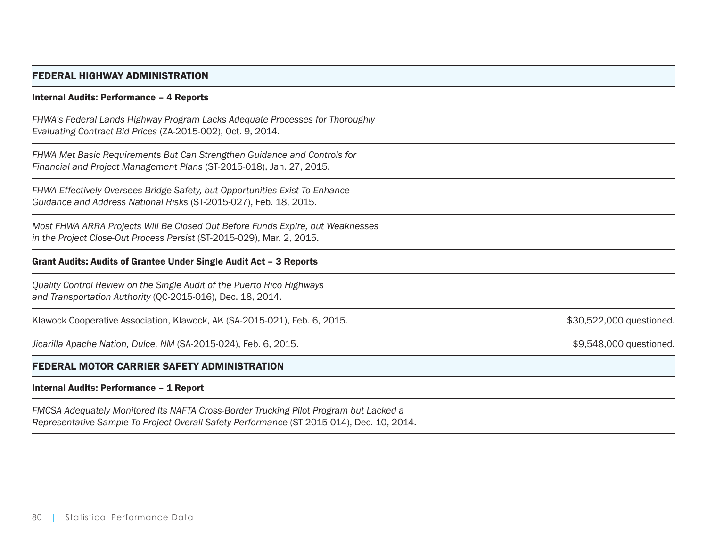## FEDERAL HIGHWAY ADMINISTRATION

#### Internal Audits: Performance – 4 Reports

*FHWA's Federal Lands Highway Program Lacks Adequate Processes for Thoroughly Evaluating Contract Bid Prices* (ZA-2015-002), Oct. 9, 2014.

*FHWA Met Basic Requirements But Can Strengthen Guidance and Controls for Financial and Project Management Plans* (ST-2015-018), Jan. 27, 2015.

*FHWA Effectively Oversees Bridge Safety, but Opportunities Exist To Enhance Guidance and Address National Risks* (ST-2015-027), Feb. 18, 2015.

*Most FHWA ARRA Projects Will Be Closed Out Before Funds Expire, but Weaknesses in the Project Close-Out Process Persist* (ST-2015-029), Mar. 2, 2015.

## Grant Audits: Audits of Grantee Under Single Audit Act – 3 Reports

*Quality Control Review on the Single Audit of the Puerto Rico Highways and Transportation Authority* (QC-2015-016), Dec. 18, 2014.

Klawock Cooperative Association, Klawock, AK (SA-2015-021), Feb. 6, 2015. \$30,522,000 \$30,522,000 questioned.

Jicarilla Apache Nation, Dulce, NM (SA-2015-024), Feb. 6, 2015. \$9,548,000 questioned.

## FEDERAL MOTOR CARRIER SAFETY ADMINISTRATION

## Internal Audits: Performance – 1 Report

*FMCSA Adequately Monitored Its NAFTA Cross-Border Trucking Pilot Program but Lacked a Representative Sample To Project Overall Safety Performance* (ST-2015-014), Dec. 10, 2014.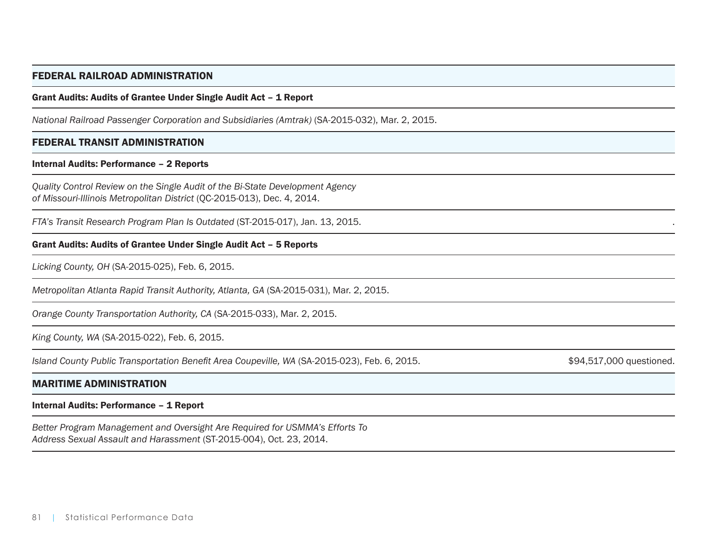## FEDERAL RAILROAD ADMINISTRATION

## Grant Audits: Audits of Grantee Under Single Audit Act – 1 Report

*National Railroad Passenger Corporation and Subsidiaries (Amtrak)* (SA-2015-032), Mar. 2, 2015.

## FEDERAL TRANSIT ADMINISTRATION

## Internal Audits: Performance – 2 Reports

*Quality Control Review on the Single Audit of the Bi-State Development Agency of Missouri-Illinois Metropolitan District* (QC-2015-013), Dec. 4, 2014.

*FTA's Transit Research Program Plan Is Outdated* (ST-2015-017), Jan. 13, 2015. .

## Grant Audits: Audits of Grantee Under Single Audit Act – 5 Reports

*Licking County, OH* (SA-2015-025), Feb. 6, 2015.

*Metropolitan Atlanta Rapid Transit Authority, Atlanta, GA* (SA-2015-031), Mar. 2, 2015.

*Orange County Transportation Authority, CA* (SA-2015-033), Mar. 2, 2015.

*King County, WA* (SA-2015-022), Feb. 6, 2015.

*Island County Public Transportation Benefit Area Coupeville, WA* (SA-2015-023), Feb. 6, 2015.  $$94,517,000$  questioned.

#### MARITIME ADMINISTRATION

#### Internal Audits: Performance – 1 Report

*Better Program Management and Oversight Are Required for USMMA's Efforts To Address Sexual Assault and Harassment* (ST-2015-004), Oct. 23, 2014.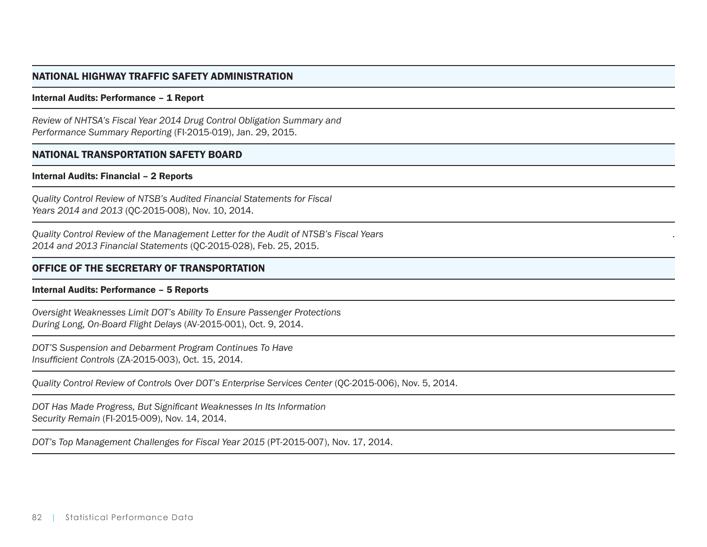## NATIONAL HIGHWAY TRAFFIC SAFETY ADMINISTRATION

#### Internal Audits: Performance – 1 Report

*Review of NHTSA's Fiscal Year 2014 Drug Control Obligation Summary and Performance Summary Reporting* (FI-2015-019), Jan. 29, 2015.

### NATIONAL TRANSPORTATION SAFETY BOARD

#### Internal Audits: Financial – 2 Reports

*Quality Control Review of NTSB's Audited Financial Statements for Fiscal Years 2014 and 2013* (QC-2015-008), Nov. 10, 2014.

*Quality Control Review of the Management Letter for the Audit of NTSB's Fiscal Years 2014 and 2013 Financial Statements* (QC-2015-028), Feb. 25, 2015.

## OFFICE OF THE SECRETARY OF TRANSPORTATION

#### Internal Audits: Performance – 5 Reports

*Oversight Weaknesses Limit DOT's Ability To Ensure Passenger Protections During Long, On-Board Flight Delays* (AV-2015-001), Oct. 9, 2014.

*DOT'S Suspension and Debarment Program Continues To Have Insufficient Controls* (ZA-2015-003), Oct. 15, 2014.

*Quality Control Review of Controls Over DOT's Enterprise Services Center (QC-2015-006), Nov. 5, 2014.* 

.

*DOT Has Made Progress, But Significant Weaknesses In Its Information Security Remain* (FI-2015-009), Nov. 14, 2014.

*DOT's Top Management Challenges for Fiscal Year 2015* (PT-2015-007), Nov. 17, 2014.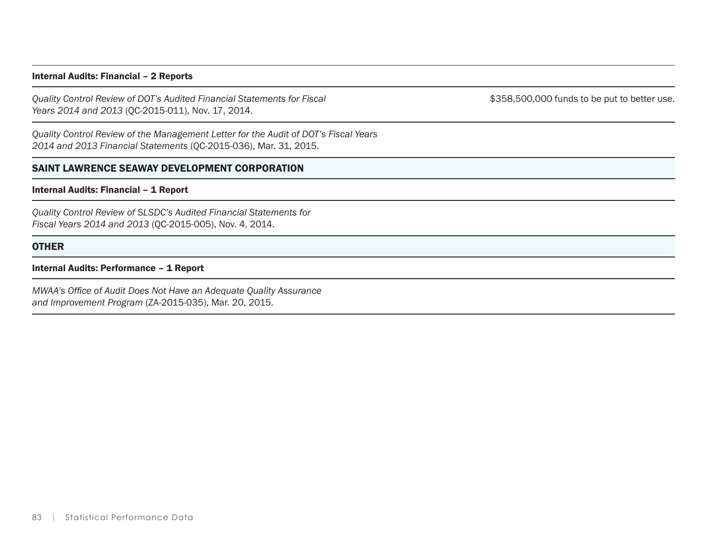### Internal Audits: Financial – 2 Reports

*Quality Control Review of DOT's Audited Financial Statements for Fiscal Years 2014 and 2013* (QC-2015-011), Nov. 17, 2014.

\$358,500,000 funds to be put to better use.

*Quality Control Review of the Management Letter for the Audit of DOT's Fiscal Years 2014 and 2013 Financial Statements* (QC-2015-036), Mar. 31, 2015.

## SAINT LAWRENCE SEAWAY DEVELOPMENT CORPORATION

## Internal Audits: Financial – 1 Report

*Quality Control Review of SLSDC's Audited Financial Statements for Fiscal Years 2014 and 2013* (QC-2015-005), Nov. 4, 2014.

## **OTHER**

#### Internal Audits: Performance – 1 Report

*MWAA's Office of Audit Does Not Have an Adequate Quality Assurance and Improvement Program* (ZA-2015-035), Mar. 20, 2015.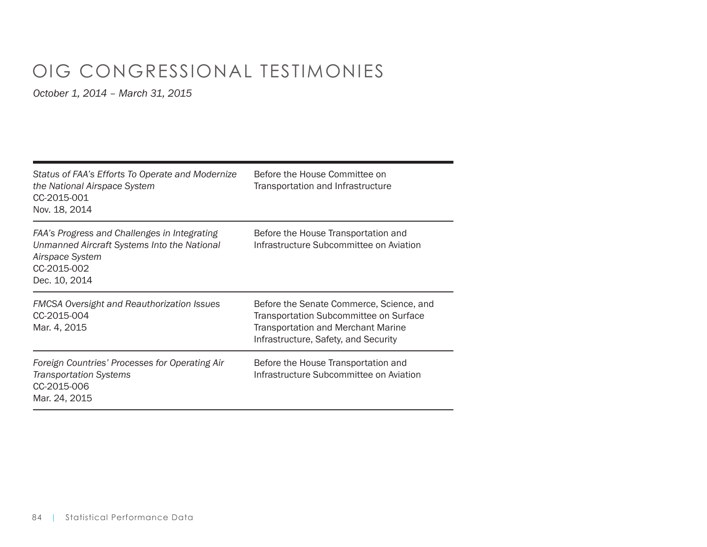# OIG CONGRESSIONAL TESTIMONIES

| Status of FAA's Efforts To Operate and Modernize<br>the National Airspace System<br>CC-2015-001<br>Nov. 18, 2014                               | Before the House Committee on<br>Transportation and Infrastructure                                                                                                      |
|------------------------------------------------------------------------------------------------------------------------------------------------|-------------------------------------------------------------------------------------------------------------------------------------------------------------------------|
| FAA's Progress and Challenges in Integrating<br>Unmanned Aircraft Systems Into the National<br>Airspace System<br>CC-2015-002<br>Dec. 10, 2014 | Before the House Transportation and<br>Infrastructure Subcommittee on Aviation                                                                                          |
| <b>FMCSA Oversight and Reauthorization Issues</b><br>CC-2015-004<br>Mar. 4, 2015                                                               | Before the Senate Commerce, Science, and<br>Transportation Subcommittee on Surface<br><b>Transportation and Merchant Marine</b><br>Infrastructure, Safety, and Security |
| Foreign Countries' Processes for Operating Air<br><b>Transportation Systems</b><br>CC-2015-006<br>Mar. 24, 2015                                | Before the House Transportation and<br>Infrastructure Subcommittee on Aviation                                                                                          |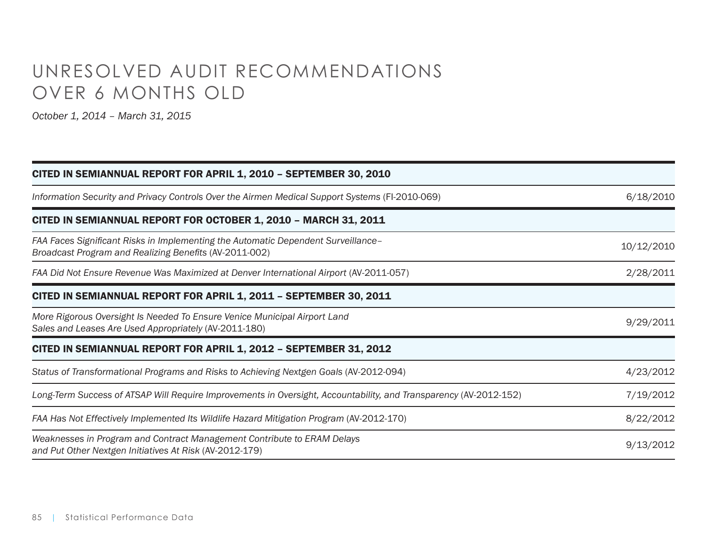# UNRESOLVED AUDIT RECOMMENDATIONS OVER 6 MONTHS OLD

| CITED IN SEMIANNUAL REPORT FOR APRIL 1, 2010 - SEPTEMBER 30, 2010                                                                           |            |
|---------------------------------------------------------------------------------------------------------------------------------------------|------------|
| Information Security and Privacy Controls Over the Airmen Medical Support Systems (FI-2010-069)                                             | 6/18/2010  |
| CITED IN SEMIANNUAL REPORT FOR OCTOBER 1, 2010 - MARCH 31, 2011                                                                             |            |
| FAA Faces Significant Risks in Implementing the Automatic Dependent Surveillance-<br>Broadcast Program and Realizing Benefits (AV-2011-002) | 10/12/2010 |
| FAA Did Not Ensure Revenue Was Maximized at Denver International Airport (AV-2011-057)                                                      | 2/28/2011  |
| CITED IN SEMIANNUAL REPORT FOR APRIL 1, 2011 - SEPTEMBER 30, 2011                                                                           |            |
| More Rigorous Oversight Is Needed To Ensure Venice Municipal Airport Land<br>Sales and Leases Are Used Appropriately (AV-2011-180)          | 9/29/2011  |
| CITED IN SEMIANNUAL REPORT FOR APRIL 1, 2012 - SEPTEMBER 31, 2012                                                                           |            |
| Status of Transformational Programs and Risks to Achieving Nextgen Goals (AV-2012-094)                                                      | 4/23/2012  |
| Long-Term Success of ATSAP Will Require Improvements in Oversight, Accountability, and Transparency (AV-2012-152)                           | 7/19/2012  |
| FAA Has Not Effectively Implemented Its Wildlife Hazard Mitigation Program (AV-2012-170)                                                    | 8/22/2012  |
| Weaknesses in Program and Contract Management Contribute to ERAM Delays<br>and Put Other Nextgen Initiatives At Risk (AV-2012-179)          | 9/13/2012  |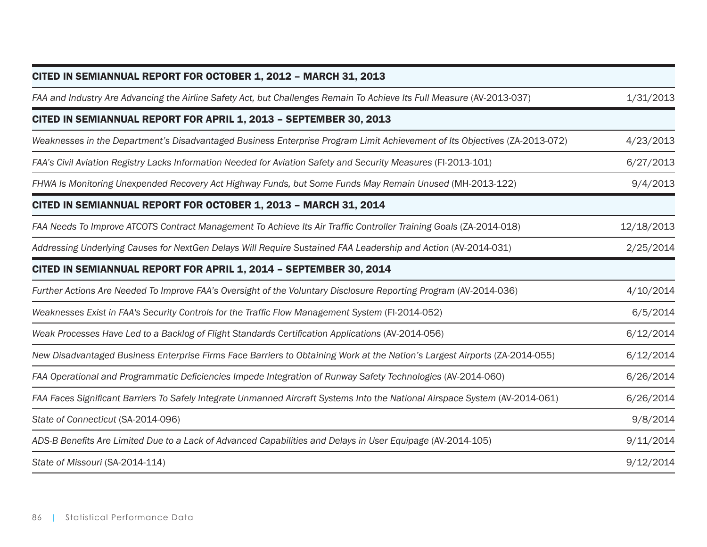| CITED IN SEMIANNUAL REPORT FOR OCTOBER 1, 2012 - MARCH 31, 2013                                                              |            |
|------------------------------------------------------------------------------------------------------------------------------|------------|
| FAA and Industry Are Advancing the Airline Safety Act, but Challenges Remain To Achieve Its Full Measure (AV-2013-037)       | 1/31/2013  |
| CITED IN SEMIANNUAL REPORT FOR APRIL 1, 2013 - SEPTEMBER 30, 2013                                                            |            |
| Weaknesses in the Department's Disadvantaged Business Enterprise Program Limit Achievement of Its Objectives (ZA-2013-072)   | 4/23/2013  |
| FAA's Civil Aviation Registry Lacks Information Needed for Aviation Safety and Security Measures (FI-2013-101)               | 6/27/2013  |
| FHWA Is Monitoring Unexpended Recovery Act Highway Funds, but Some Funds May Remain Unused (MH-2013-122)                     | 9/4/2013   |
| CITED IN SEMIANNUAL REPORT FOR OCTOBER 1, 2013 - MARCH 31, 2014                                                              |            |
| FAA Needs To Improve ATCOTS Contract Management To Achieve Its Air Traffic Controller Training Goals (ZA-2014-018)           | 12/18/2013 |
| Addressing Underlying Causes for NextGen Delays Will Require Sustained FAA Leadership and Action (AV-2014-031)               | 2/25/2014  |
| CITED IN SEMIANNUAL REPORT FOR APRIL 1, 2014 - SEPTEMBER 30, 2014                                                            |            |
| Further Actions Are Needed To Improve FAA's Oversight of the Voluntary Disclosure Reporting Program (AV-2014-036)            | 4/10/2014  |
| Weaknesses Exist in FAA's Security Controls for the Traffic Flow Management System (FI-2014-052)                             | 6/5/2014   |
| Weak Processes Have Led to a Backlog of Flight Standards Certification Applications (AV-2014-056)                            | 6/12/2014  |
| New Disadvantaged Business Enterprise Firms Face Barriers to Obtaining Work at the Nation's Largest Airports (ZA-2014-055)   | 6/12/2014  |
| FAA Operational and Programmatic Deficiencies Impede Integration of Runway Safety Technologies (AV-2014-060)                 | 6/26/2014  |
| FAA Faces Significant Barriers To Safely Integrate Unmanned Aircraft Systems Into the National Airspace System (AV-2014-061) | 6/26/2014  |
| State of Connecticut (SA-2014-096)                                                                                           | 9/8/2014   |
| ADS-B Benefits Are Limited Due to a Lack of Advanced Capabilities and Delays in User Equipage (AV-2014-105)                  | 9/11/2014  |
| State of Missouri (SA-2014-114)                                                                                              | 9/12/2014  |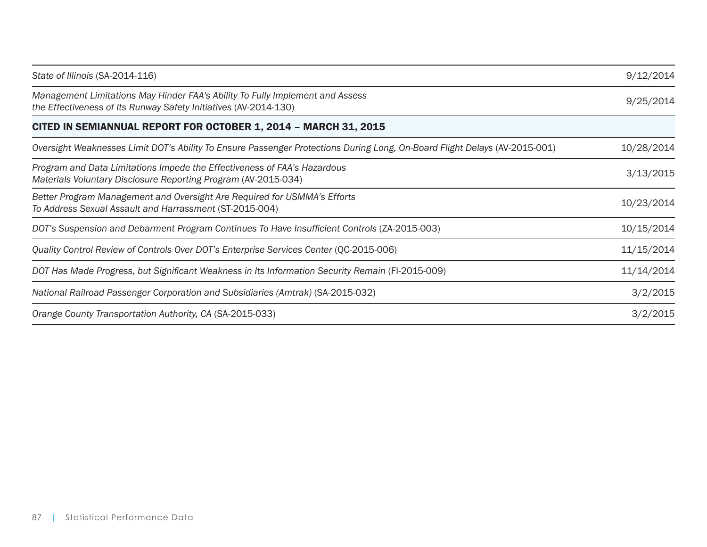| State of Illinois (SA-2014-116)                                                                                                                   | 9/12/2014  |
|---------------------------------------------------------------------------------------------------------------------------------------------------|------------|
| Management Limitations May Hinder FAA's Ability To Fully Implement and Assess<br>the Effectiveness of Its Runway Safety Initiatives (AV-2014-130) | 9/25/2014  |
| CITED IN SEMIANNUAL REPORT FOR OCTOBER 1, 2014 - MARCH 31, 2015                                                                                   |            |
| Oversight Weaknesses Limit DOT's Ability To Ensure Passenger Protections During Long, On-Board Flight Delays (AV-2015-001)                        | 10/28/2014 |
| Program and Data Limitations Impede the Effectiveness of FAA's Hazardous<br>Materials Voluntary Disclosure Reporting Program (AV-2015-034)        | 3/13/2015  |
| Better Program Management and Oversight Are Required for USMMA's Efforts<br>To Address Sexual Assault and Harrassment (ST-2015-004)               | 10/23/2014 |
| DOT's Suspension and Debarment Program Continues To Have Insufficient Controls (ZA-2015-003)                                                      | 10/15/2014 |
| Quality Control Review of Controls Over DOT's Enterprise Services Center (QC-2015-006)                                                            | 11/15/2014 |
| DOT Has Made Progress, but Significant Weakness in Its Information Security Remain (FI-2015-009)                                                  | 11/14/2014 |
| National Railroad Passenger Corporation and Subsidiaries (Amtrak) (SA-2015-032)                                                                   | 3/2/2015   |
| Orange County Transportation Authority, CA (SA-2015-033)                                                                                          | 3/2/2015   |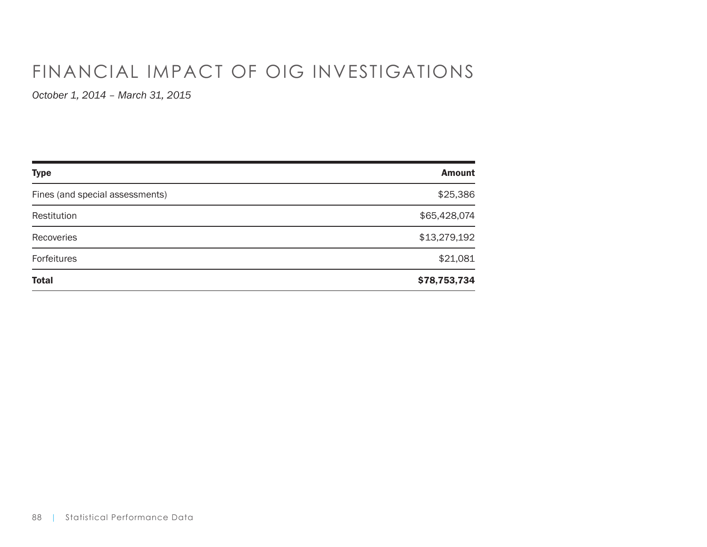# FINANCIAL IMPACT OF OIG INVESTIGATIONS

| <b>Type</b>                     | <b>Amount</b> |
|---------------------------------|---------------|
| Fines (and special assessments) | \$25,386      |
| Restitution                     | \$65,428,074  |
| Recoveries                      | \$13,279,192  |
| Forfeitures                     | \$21,081      |
| <b>Total</b>                    | \$78,753,734  |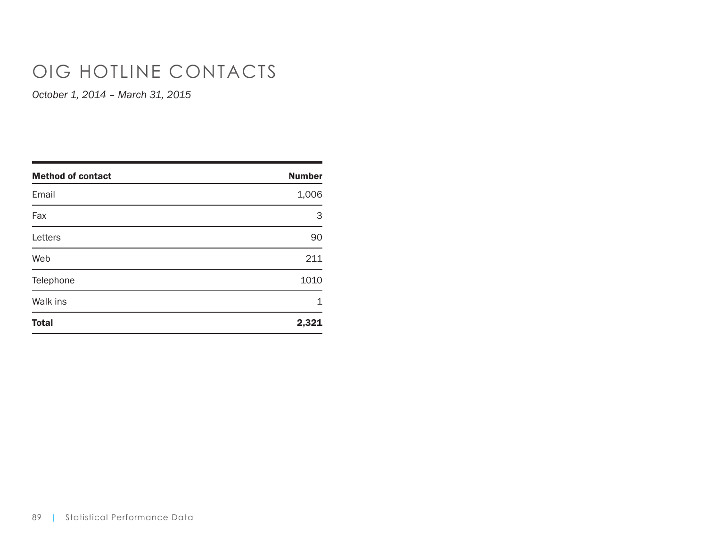# OIG HOTLINE CONTACTS

| <b>Method of contact</b> | <b>Number</b> |
|--------------------------|---------------|
| Email                    | 1,006         |
| Fax                      | 3             |
| Letters                  | 90            |
| Web                      | 211           |
| Telephone                | 1010          |
| Walk ins                 | 1             |
| <b>Total</b>             | 2,321         |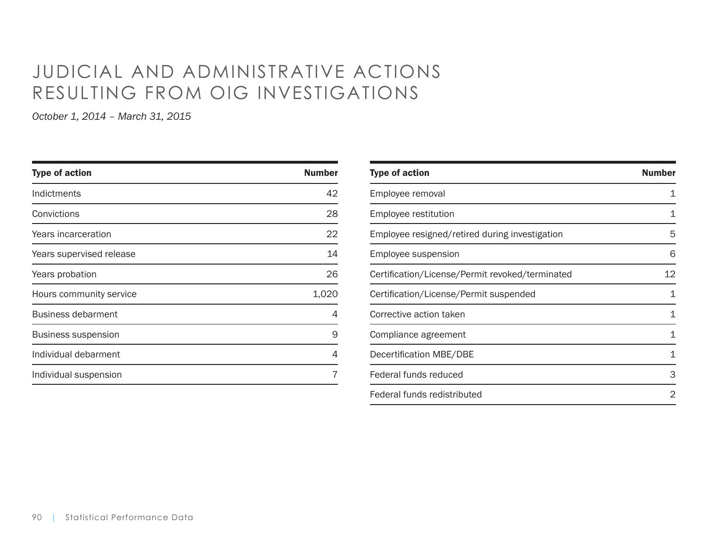# JUDICIAL AND ADMINISTRATIVE ACTIONS RESULTING FROM OIG INVESTIGATIONS

| <b>Number</b> |
|---------------|
| 42            |
| 28            |
| 22            |
| 14            |
| 26            |
| 1,020         |
| 4             |
| 9             |
| 4             |
|               |
|               |

| <b>Type of action</b>                           | <b>Number</b> |
|-------------------------------------------------|---------------|
| Employee removal                                | 1             |
| Employee restitution                            | 1             |
| Employee resigned/retired during investigation  | 5             |
| Employee suspension                             | 6             |
| Certification/License/Permit revoked/terminated | 12            |
| Certification/License/Permit suspended          | 1             |
| Corrective action taken                         | 1             |
| Compliance agreement                            | 1             |
| Decertification MBE/DBE                         | 1             |
| Federal funds reduced                           | 3             |
| Federal funds redistributed                     | 2             |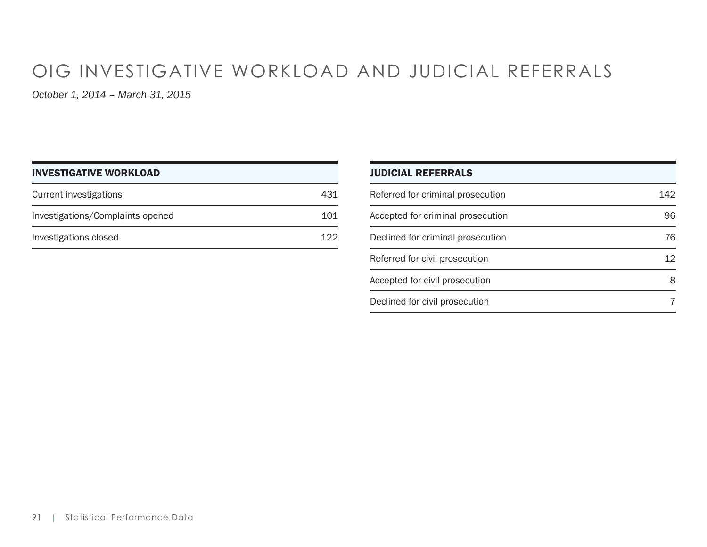# OIG INVESTIGATIVE WORKLOAD AND JUDICIAL REFERRALS

| <b>INVESTIGATIVE WORKLOAD</b>    |     |
|----------------------------------|-----|
| Current investigations           | 431 |
| Investigations/Complaints opened | 101 |
| Investigations closed            | 122 |

| <b>JUDICIAL REFERRALS</b>         |     |
|-----------------------------------|-----|
| Referred for criminal prosecution | 142 |
| Accepted for criminal prosecution | 96  |
| Declined for criminal prosecution | 76  |
| Referred for civil prosecution    | 12  |
| Accepted for civil prosecution    |     |
| Declined for civil prosecution    |     |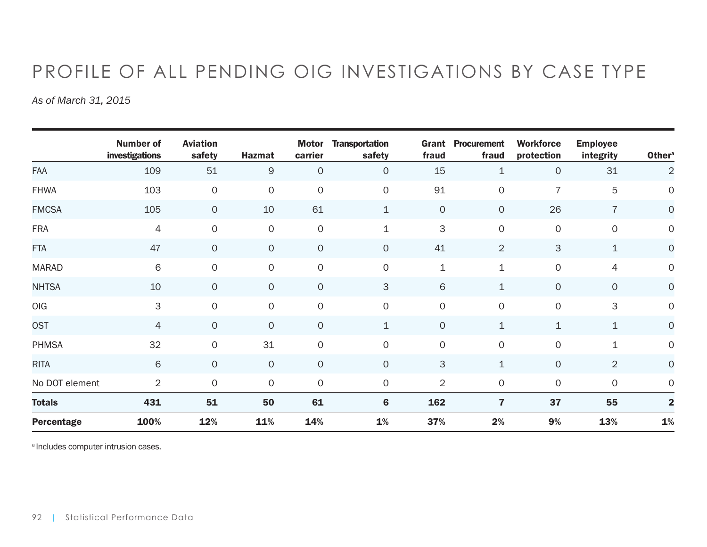# PROFILE OF ALL PENDING OIG INVESTIGATIONS BY CASE TYPE

*As of March 31, 2015*

|                | <b>Number of</b><br>investigations | <b>Aviation</b><br>safety | <b>Hazmat</b> | <b>Motor</b><br>carrier | <b>Transportation</b><br>safety | Grant<br>fraud      | <b>Procurement</b><br>fraud | <b>Workforce</b><br>protection | <b>Employee</b><br>integrity | <b>Othera</b>  |
|----------------|------------------------------------|---------------------------|---------------|-------------------------|---------------------------------|---------------------|-----------------------------|--------------------------------|------------------------------|----------------|
| <b>FAA</b>     | 109                                | 51                        | $\mathsf{9}$  | $\mathbf 0$             | $\circ$                         | 15                  | $\mathbf{1}$                | $\circ$                        | 31                           | $\overline{2}$ |
| <b>FHWA</b>    | 103                                | $\mathsf{O}\xspace$       | $\mathsf{O}$  | $\mathbf 0$             | $\mathsf{O}$                    | 91                  | $\mathsf{O}\xspace$         | $\overline{7}$                 | 5                            | $\circ$        |
| <b>FMCSA</b>   | 105                                | $\mathsf{O}$              | 10            | 61                      | 1                               | $\mathsf{O}\xspace$ | $\circ$                     | 26                             | $\overline{7}$               | $\mathsf O$    |
| <b>FRA</b>     | $\overline{4}$                     | $\circ$                   | $\mathsf O$   | $\mathbf 0$             | 1                               | 3                   | $\mathsf{O}\xspace$         | $\mathsf{O}$                   | $\mathsf{O}\xspace$          | $\mathsf O$    |
| <b>FTA</b>     | 47                                 | $\circ$                   | $\circ$       | $\mathsf{O}\xspace$     | $\circ$                         | 41                  | $\overline{2}$              | 3                              | $\mathbf 1$                  | $\mathsf O$    |
| <b>MARAD</b>   | 6                                  | $\circ$                   | $\mathsf{O}$  | $\mathsf{O}$            | $\mathsf{O}$                    | $\mathbf 1$         | $\mathbf 1$                 | $\mathsf{O}$                   | $\overline{4}$               | $\mathsf O$    |
| <b>NHTSA</b>   | 10                                 | $\circ$                   | $\circ$       | $\mathsf{O}\xspace$     | 3                               | 6                   | $\mathbf 1$                 | $\overline{O}$                 | $\circ$                      | $\mathsf O$    |
| OIG            | $\ensuremath{\mathsf{3}}$          | $\circ$                   | $\mathsf{O}$  | $\mathbf 0$             | $\circ$                         | $\mathsf{O}\xspace$ | $\mathsf{O}\xspace$         | $\mathsf{O}$                   | 3                            | $\mathsf O$    |
| <b>OST</b>     | 4                                  | $\circ$                   | $\circ$       | $\mathsf O$             | $\mathbf 1$                     | $\mathsf{O}\xspace$ | $\mathbf 1$                 | $\mathbf 1$                    | $\mathbf 1$                  | $\overline{O}$ |
| <b>PHMSA</b>   | 32                                 | $\circ$                   | 31            | $\mathbf 0$             | $\mathsf{O}$                    | $\mathsf{O}\xspace$ | $\mathbf 0$                 | $\mathsf{O}$                   | $\mathbf 1$                  | $\mathsf{O}$   |
| <b>RITA</b>    | $\,$ 6                             | $\overline{O}$            | $\circ$       | $\mathbf 0$             | $\circ$                         | 3                   | $\mathbf 1$                 | $\mathbf{O}$                   | $\overline{2}$               | $\overline{O}$ |
| No DOT element | $\overline{2}$                     | $\circ$                   | $\circ$       | $\mathsf{O}\xspace$     | $\mathsf{O}$                    | $\overline{2}$      | $\mathsf{O}\xspace$         | $\mathsf{O}$                   | $\circ$                      | 0              |
| <b>Totals</b>  | 431                                | 51                        | 50            | 61                      | $6\phantom{1}6$                 | 162                 | $\overline{\mathbf{z}}$     | 37                             | 55                           | $\overline{2}$ |
| Percentage     | 100%                               | 12%                       | 11%           | 14%                     | 1%                              | 37%                 | 2%                          | 9%                             | 13%                          | $\mathbf{1}\%$ |

a Includes computer intrusion cases.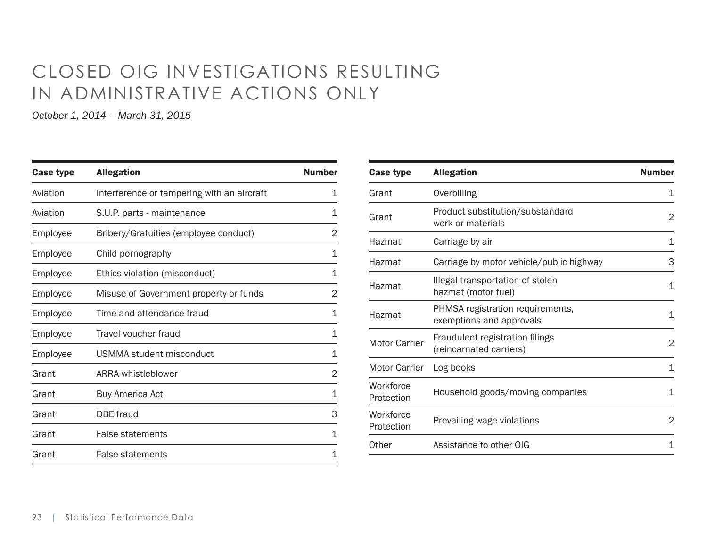# CLOSED OIG INVESTIGATIONS RESULTING IN ADMINISTRATIVE ACTIONS ONLY

| <b>Case type</b> | <b>Allegation</b>                          | <b>Number</b> |
|------------------|--------------------------------------------|---------------|
| Aviation         | Interference or tampering with an aircraft | 1             |
| Aviation         | S.U.P. parts - maintenance                 | 1             |
| Employee         | Bribery/Gratuities (employee conduct)      | 2             |
| Employee         | Child pornography                          | 1             |
| Employee         | Ethics violation (misconduct)              | 1             |
| Employee         | Misuse of Government property or funds     | 2             |
| Employee         | Time and attendance fraud                  | 1             |
| Employee         | Travel voucher fraud                       | 1             |
| Employee         | USMMA student misconduct                   | 1             |
| Grant            | ARRA whistleblower                         | 2             |
| Grant            | <b>Buy America Act</b>                     | 1             |
| Grant            | <b>DBE</b> fraud                           | 3             |
| Grant            | <b>False statements</b>                    | 1             |
| Grant            | <b>False statements</b>                    | 1             |

| Case type               | <b>Allegation</b>                                            | <b>Number</b> |
|-------------------------|--------------------------------------------------------------|---------------|
| Grant                   | Overbilling                                                  | 1             |
| Grant                   | Product substitution/substandard<br>work or materials        | 2             |
| Hazmat                  | Carriage by air                                              | 1             |
| Hazmat                  | Carriage by motor vehicle/public highway                     | 3             |
| Hazmat                  | Illegal transportation of stolen<br>hazmat (motor fuel)      | 1             |
| Hazmat                  | PHMSA registration requirements,<br>exemptions and approvals | 1             |
| <b>Motor Carrier</b>    | Fraudulent registration filings<br>(reincarnated carriers)   | 2             |
| <b>Motor Carrier</b>    | Log books                                                    | 1             |
| Workforce<br>Protection | Household goods/moving companies                             | 1             |
| Workforce<br>Protection | Prevailing wage violations                                   | 2             |
| Other                   | Assistance to other OIG                                      | 1             |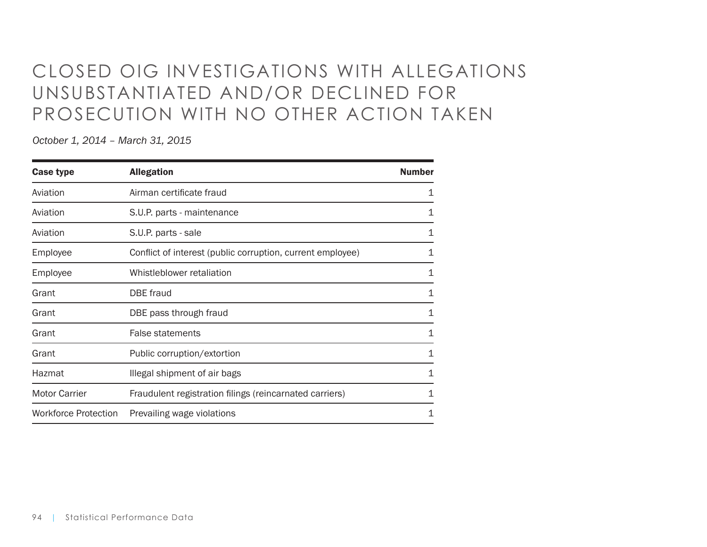# CLOSED OIG INVESTIGATIONS WITH ALLEGATIONS UNSUBSTANTIATED AND/OR DECLINED FOR PROSECUTION WITH NO OTHER ACTION TAKEN

| <b>Case type</b>            | <b>Allegation</b>                                          | <b>Number</b> |
|-----------------------------|------------------------------------------------------------|---------------|
| Aviation                    | Airman certificate fraud                                   | 1             |
| Aviation                    | S.U.P. parts - maintenance                                 | 1             |
| Aviation                    | S.U.P. parts - sale                                        | 1             |
| Employee                    | Conflict of interest (public corruption, current employee) | 1             |
| Employee                    | Whistleblower retaliation                                  | 1             |
| Grant                       | DBE fraud                                                  | 1             |
| Grant                       | DBE pass through fraud                                     | 1             |
| Grant                       | <b>False statements</b>                                    | 1             |
| Grant                       | Public corruption/extortion                                | 1             |
| Hazmat                      | Illegal shipment of air bags                               | 1             |
| <b>Motor Carrier</b>        | Fraudulent registration filings (reincarnated carriers)    | 1             |
| <b>Workforce Protection</b> | Prevailing wage violations                                 | 1             |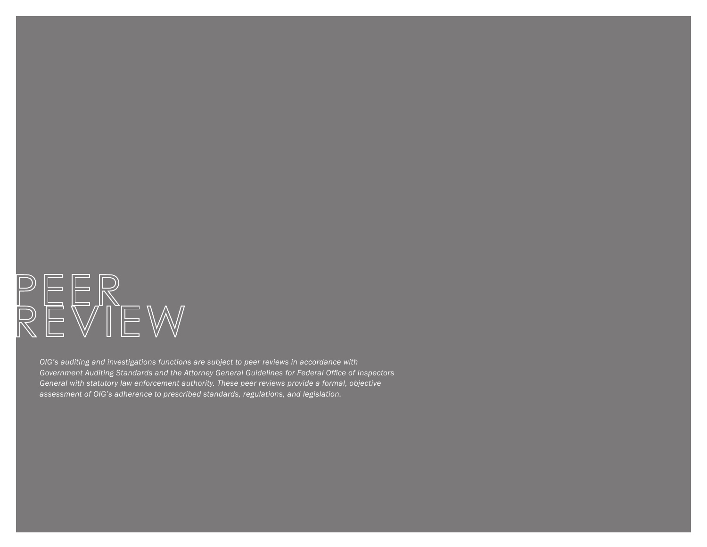

*OIG's auditing and investigations functions are subject to peer reviews in accordance with Government Auditing Standards and the Attorney General Guidelines for Federal Office of Inspectors General with statutory law enforcement authority. These peer reviews provide a formal, objective assessment of OIG's adherence to prescribed standards, regulations, and legislation.*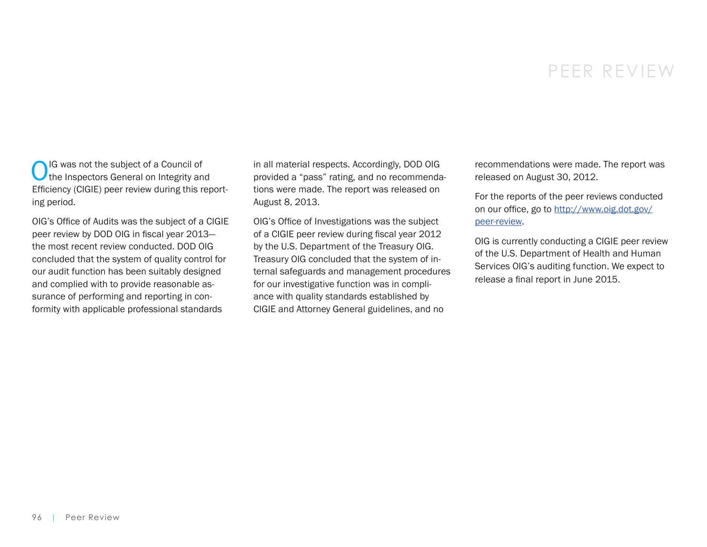## PEER REVIEW

OIG was not the subject of a Council of<br>the Inspectors General on Integrity and Efficiency (CIGIE) peer review during this reporting period.

OIG's Office of Audits was the subject of a CIGIE peer review by DOD OIG in fiscal year 2013 the most recent review conducted. DOD OIG concluded that the system of quality control for our audit function has been suitably designed and complied with to provide reasonable assurance of performing and reporting in conformity with applicable professional standards

in all material respects. Accordingly, DOD OIG provided a "pass" rating, and no recommendations were made. The report was released on August 8, 2013.

OIG's Office of Investigations was the subject of a CIGIE peer review during fiscal year 2012 by the U.S. Department of the Treasury OIG. Treasury OIG concluded that the system of internal safeguards and management procedures for our investigative function was in compliance with quality standards established by CIGIE and Attorney General guidelines, and no

recommendations were made. The report was released on August 30, 2012.

For the reports of the peer reviews conducted on our office, go to [http://www.oig.dot.gov/](http://www.oig.dot.gov/peer-review) [peer-review.](http://www.oig.dot.gov/peer-review)

OIG is currently conducting a CIGIE peer review of the U.S. Department of Health and Human Services OIG's auditing function. We expect to release a final report in June 2015.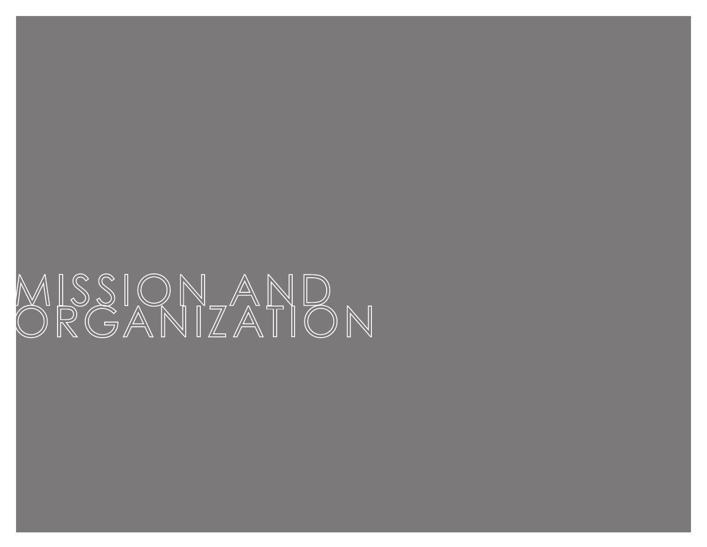# MISSIONAND<br>ORGANIZATION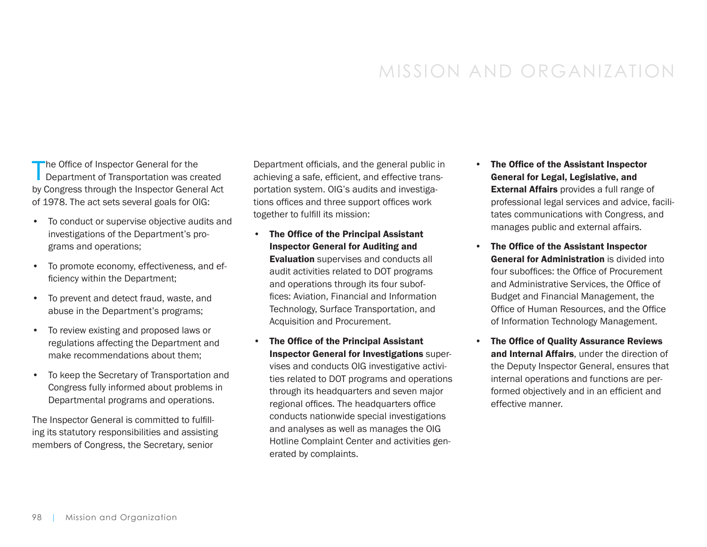# MISSION AND ORGANIZATION

The Office of Inspector General for the Department of Transportation was created by Congress through the Inspector General Act of 1978. The act sets several goals for OIG:

- To conduct or supervise objective audits and investigations of the Department's programs and operations;
- To promote economy, effectiveness, and efficiency within the Department;
- To prevent and detect fraud, waste, and abuse in the Department's programs;
- To review existing and proposed laws or regulations affecting the Department and make recommendations about them;
- To keep the Secretary of Transportation and Congress fully informed about problems in Departmental programs and operations.

The Inspector General is committed to fulfilling its statutory responsibilities and assisting members of Congress, the Secretary, senior

Department officials, and the general public in achieving a safe, efficient, and effective transportation system. OIG's audits and investigations offices and three support offices work together to fulfill its mission:

- The Office of the Principal Assistant Inspector General for Auditing and **Evaluation** supervises and conducts all audit activities related to DOT programs and operations through its four suboffices: Aviation, Financial and Information Technology, Surface Transportation, and Acquisition and Procurement.
- The Office of the Principal Assistant Inspector General for Investigations supervises and conducts OIG investigative activities related to DOT programs and operations through its headquarters and seven major regional offices. The headquarters office conducts nationwide special investigations and analyses as well as manages the OIG Hotline Complaint Center and activities generated by complaints.
- The Office of the Assistant Inspector General for Legal, Legislative, and External Affairs provides a full range of professional legal services and advice, facilitates communications with Congress, and manages public and external affairs.
- The Office of the Assistant Inspector General for Administration is divided into four suboffices: the Office of Procurement and Administrative Services, the Office of Budget and Financial Management, the Office of Human Resources, and the Office of Information Technology Management.
- The Office of Quality Assurance Reviews and Internal Affairs, under the direction of the Deputy Inspector General, ensures that internal operations and functions are performed objectively and in an efficient and effective manner.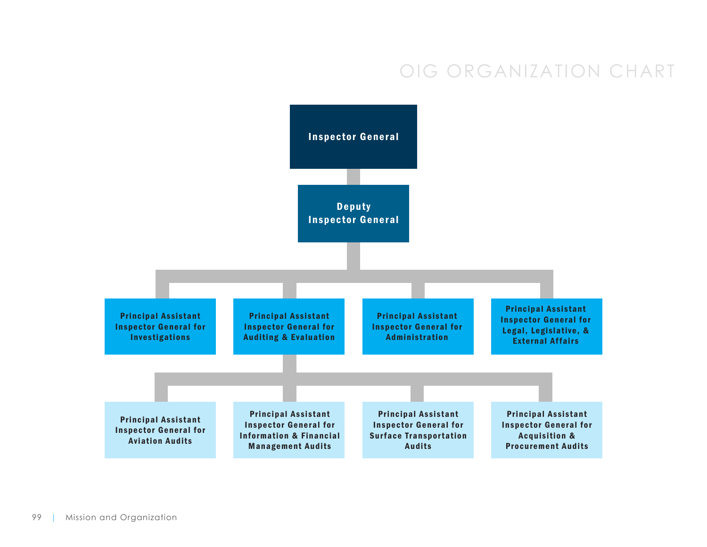# OIG ORGANIZATION CHART